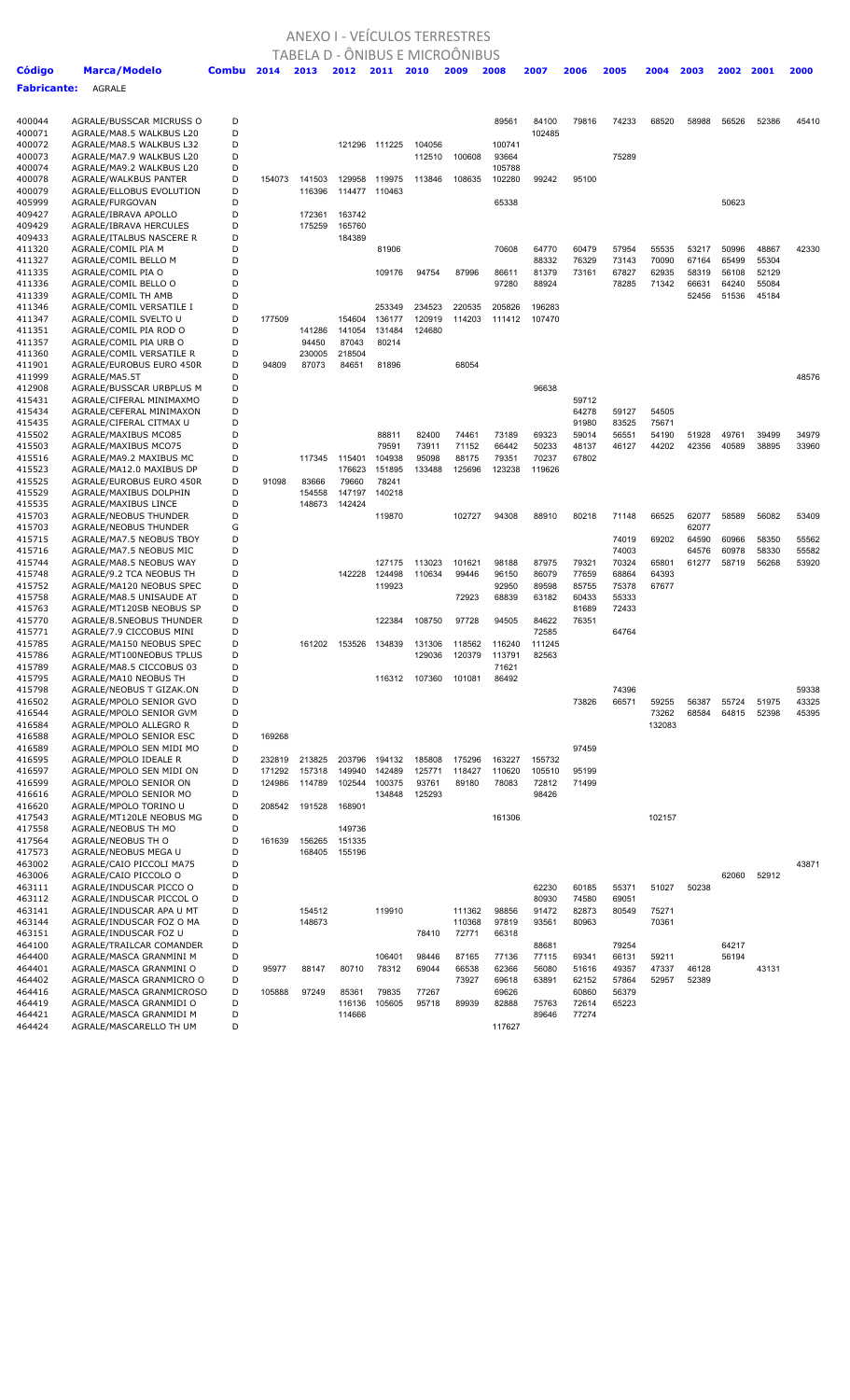## ANEXO I - VEÍCULOS TERRESTRES TABELA D - ÔNIBUS E MICROÔNIBUS

| Código           | Marca/Modelo                                         | Combu  | 2014   | 2013             | 2012             | 2011            | 2010             | 2009           | 2008            | 2007           | 2006           | 2005           | 2004           | 2003           | 2002  | 2001  | 2000  |
|------------------|------------------------------------------------------|--------|--------|------------------|------------------|-----------------|------------------|----------------|-----------------|----------------|----------------|----------------|----------------|----------------|-------|-------|-------|
| Fabricante:      | AGRALE                                               |        |        |                  |                  |                 |                  |                |                 |                |                |                |                |                |       |       |       |
|                  |                                                      |        |        |                  |                  |                 |                  |                |                 |                |                |                |                |                |       |       |       |
| 400044           | AGRALE/BUSSCAR MICRUSS O                             | D      |        |                  |                  |                 |                  |                | 89561           | 84100          | 79816          | 74233          | 68520          | 58988          | 56526 | 52386 | 45410 |
| 400071           | AGRALE/MA8.5 WALKBUS L20                             | D      |        |                  |                  |                 |                  |                |                 | 102485         |                |                |                |                |       |       |       |
| 400072<br>400073 | AGRALE/MA8.5 WALKBUS L32<br>AGRALE/MA7.9 WALKBUS L20 | D<br>D |        |                  |                  | 121296 111225   | 104056<br>112510 | 100608         | 100741<br>93664 |                |                | 75289          |                |                |       |       |       |
| 400074           | AGRALE/MA9.2 WALKBUS L20                             | D      |        |                  |                  |                 |                  |                | 105788          |                |                |                |                |                |       |       |       |
| 400078           | AGRALE/WALKBUS PANTER                                | D      | 154073 | 141503           | 129958           | 119975          | 113846           | 108635         | 102280          | 99242          | 95100          |                |                |                |       |       |       |
| 400079           | AGRALE/ELLOBUS EVOLUTION                             | D      |        | 116396           | 114477           | 110463          |                  |                |                 |                |                |                |                |                |       |       |       |
| 405999           | AGRALE/FURGOVAN                                      | D      |        |                  |                  |                 |                  |                | 65338           |                |                |                |                |                | 50623 |       |       |
| 409427<br>409429 | AGRALE/IBRAVA APOLLO<br>AGRALE/IBRAVA HERCULES       | D<br>D |        | 172361<br>175259 | 163742<br>165760 |                 |                  |                |                 |                |                |                |                |                |       |       |       |
| 409433           | AGRALE/ITALBUS NASCERE R                             | D      |        |                  | 184389           |                 |                  |                |                 |                |                |                |                |                |       |       |       |
| 411320           | AGRALE/COMIL PIA M                                   | D      |        |                  |                  | 81906           |                  |                | 70608           | 64770          | 60479          | 57954          | 55535          | 53217          | 50996 | 48867 | 42330 |
| 411327           | AGRALE/COMIL BELLO M                                 | D      |        |                  |                  |                 |                  |                |                 | 88332          | 76329          | 73143          | 70090          | 67164          | 65499 | 55304 |       |
| 411335           | AGRALE/COMIL PIA O                                   | D      |        |                  |                  | 109176          | 94754            | 87996          | 86611           | 81379          | 73161          | 67827          | 62935          | 58319          | 56108 | 52129 |       |
| 411336           | AGRALE/COMIL BELLO O                                 | D<br>D |        |                  |                  |                 |                  |                | 97280           | 88924          |                | 78285          | 71342          | 66631          | 64240 | 55084 |       |
| 411339<br>411346 | AGRALE/COMIL TH AMB<br>AGRALE/COMIL VERSATILE I      | D      |        |                  |                  | 253349          | 234523           | 220535         | 205826          | 196283         |                |                |                | 52456          | 51536 | 45184 |       |
| 411347           | AGRALE/COMIL SVELTO U                                | D      | 177509 |                  | 154604           | 136177          | 120919           | 114203         | 111412          | 107470         |                |                |                |                |       |       |       |
| 411351           | AGRALE/COMIL PIA ROD O                               | D      |        | 141286           | 141054           | 131484          | 124680           |                |                 |                |                |                |                |                |       |       |       |
| 411357           | AGRALE/COMIL PIA URB O                               | D      |        | 94450            | 87043            | 80214           |                  |                |                 |                |                |                |                |                |       |       |       |
| 411360           | AGRALE/COMIL VERSATILE R                             | D      |        | 230005           | 218504           |                 |                  |                |                 |                |                |                |                |                |       |       |       |
| 411901<br>411999 | AGRALE/EUROBUS EURO 450R<br>AGRALE/MA5.5T            | D<br>D | 94809  | 87073            | 84651            | 81896           |                  | 68054          |                 |                |                |                |                |                |       |       | 48576 |
| 412908           | AGRALE/BUSSCAR URBPLUS M                             | D      |        |                  |                  |                 |                  |                |                 | 96638          |                |                |                |                |       |       |       |
| 415431           | AGRALE/CIFERAL MINIMAXMO                             | D      |        |                  |                  |                 |                  |                |                 |                | 59712          |                |                |                |       |       |       |
| 415434           | AGRALE/CEFERAL MINIMAXON                             | D      |        |                  |                  |                 |                  |                |                 |                | 64278          | 59127          | 54505          |                |       |       |       |
| 415435           | AGRALE/CIFERAL CITMAX U                              | D      |        |                  |                  |                 |                  |                |                 |                | 91980          | 83525          | 75671          |                |       |       |       |
| 415502           | AGRALE/MAXIBUS MCO85                                 | D      |        |                  |                  | 88811           | 82400            | 74461          | 73189           | 69323          | 59014          | 56551          | 54190          | 51928          | 49761 | 39499 | 34979 |
| 415503<br>415516 | AGRALE/MAXIBUS MCO75<br>AGRALE/MA9.2 MAXIBUS MC      | D<br>D |        | 117345           | 115401           | 79591<br>104938 | 73911<br>95098   | 71152<br>88175 | 66442<br>79351  | 50233<br>70237 | 48137<br>67802 | 46127          | 44202          | 42356          | 40589 | 38895 | 33960 |
| 415523           | AGRALE/MA12.0 MAXIBUS DP                             | D      |        |                  | 176623           | 151895          | 133488           | 125696         | 123238          | 119626         |                |                |                |                |       |       |       |
| 415525           | AGRALE/EUROBUS EURO 450R                             | D      | 91098  | 83666            | 79660            | 78241           |                  |                |                 |                |                |                |                |                |       |       |       |
| 415529           | AGRALE/MAXIBUS DOLPHIN                               | D      |        | 154558           | 147197           | 140218          |                  |                |                 |                |                |                |                |                |       |       |       |
| 415535           | AGRALE/MAXIBUS LINCE                                 | D      |        | 148673           | 142424           |                 |                  |                |                 |                |                |                |                |                |       |       |       |
| 415703<br>415703 | AGRALE/NEOBUS THUNDER<br>AGRALE/NEOBUS THUNDER       | D<br>G |        |                  |                  | 119870          |                  | 102727         | 94308           | 88910          | 80218          | 71148          | 66525          | 62077<br>62077 | 58589 | 56082 | 53409 |
| 415715           | AGRALE/MA7.5 NEOBUS TBOY                             | D      |        |                  |                  |                 |                  |                |                 |                |                | 74019          | 69202          | 64590          | 60966 | 58350 | 55562 |
| 415716           | AGRALE/MA7.5 NEOBUS MIC                              | D      |        |                  |                  |                 |                  |                |                 |                |                | 74003          |                | 64576          | 60978 | 58330 | 55582 |
| 415744           | AGRALE/MA8.5 NEOBUS WAY                              | D      |        |                  |                  | 127175          | 113023           | 101621         | 98188           | 87975          | 79321          | 70324          | 65801          | 61277          | 58719 | 56268 | 53920 |
| 415748           | AGRALE/9.2 TCA NEOBUS TH                             | D      |        |                  | 142228           | 124498          | 110634           | 99446          | 96150           | 86079          | 77659          | 68864          | 64393          |                |       |       |       |
| 415752           | AGRALE/MA120 NEOBUS SPEC                             | D<br>D |        |                  |                  | 119923          |                  | 72923          | 92950<br>68839  | 89598<br>63182 | 85755<br>60433 | 75378<br>55333 | 67677          |                |       |       |       |
| 415758<br>415763 | AGRALE/MA8.5 UNISAUDE AT<br>AGRALE/MT120SB NEOBUS SP | D      |        |                  |                  |                 |                  |                |                 |                | 81689          | 72433          |                |                |       |       |       |
| 415770           | AGRALE/8.5NEOBUS THUNDER                             | D      |        |                  |                  | 122384          | 108750           | 97728          | 94505           | 84622          | 76351          |                |                |                |       |       |       |
| 415771           | AGRALE/7.9 CICCOBUS MINI                             | D      |        |                  |                  |                 |                  |                |                 | 72585          |                | 64764          |                |                |       |       |       |
| 415785           | AGRALE/MA150 NEOBUS SPEC                             | D      |        | 161202           | 153526           | 134839          | 131306           | 118562         | 116240          | 111245         |                |                |                |                |       |       |       |
| 415786           | AGRALE/MT100NEOBUS TPLUS                             | D<br>D |        |                  |                  |                 | 129036           | 120379         | 113791          | 82563          |                |                |                |                |       |       |       |
| 415789<br>415795 | AGRALE/MA8.5 CICCOBUS 03<br>AGRALE/MA10 NEOBUS TH    | D      |        |                  |                  | 116312          | 107360           | 101081         | 71621<br>86492  |                |                |                |                |                |       |       |       |
| 415798           | AGRALE/NEOBUS T GIZAK.ON                             | D      |        |                  |                  |                 |                  |                |                 |                |                | 74396          |                |                |       |       | 59338 |
| 416502           | AGRALE/MPOLO SENIOR GVO                              | D      |        |                  |                  |                 |                  |                |                 |                | 73826          | 66571          | 59255          | 56387          | 55724 | 51975 | 43325 |
| 416544           | AGRALE/MPOLO SENIOR GVM                              | D      |        |                  |                  |                 |                  |                |                 |                |                |                | 73262          | 68584          | 64815 | 52398 | 45395 |
| 416584           | AGRALE/MPOLO ALLEGRO R                               | D<br>D |        |                  |                  |                 |                  |                |                 |                |                |                | 132083         |                |       |       |       |
| 416588<br>416589 | AGRALE/MPOLO SENIOR ESC<br>AGRALE/MPOLO SEN MIDI MO  | D      | 169268 |                  |                  |                 |                  |                |                 |                | 97459          |                |                |                |       |       |       |
| 416595           | AGRALE/MPOLO IDEALE R                                | D      | 232819 | 213825           | 203796           | 194132          | 185808           | 175296         | 163227          | 155732         |                |                |                |                |       |       |       |
| 416597           | AGRALE/MPOLO SEN MIDI ON                             | D      | 171292 | 157318           | 149940           | 142489          | 125771           | 118427         | 110620          | 105510         | 95199          |                |                |                |       |       |       |
| 416599           | AGRALE/MPOLO SENIOR ON                               | D      | 124986 | 114789           | 102544           | 100375          | 93761            | 89180          | 78083           | 72812          | 71499          |                |                |                |       |       |       |
| 416616           | AGRALE/MPOLO SENIOR MO                               | D      |        |                  |                  | 134848          | 125293           |                |                 | 98426          |                |                |                |                |       |       |       |
| 416620<br>417543 | AGRALE/MPOLO TORINO U<br>AGRALE/MT120LE NEOBUS MG    | D<br>D | 208542 | 191528           | 168901           |                 |                  |                | 161306          |                |                |                | 102157         |                |       |       |       |
| 417558           | AGRALE/NEOBUS TH MO                                  | D      |        |                  | 149736           |                 |                  |                |                 |                |                |                |                |                |       |       |       |
| 417564           | AGRALE/NEOBUS TH O                                   | D      | 161639 | 156265           | 151335           |                 |                  |                |                 |                |                |                |                |                |       |       |       |
| 417573           | AGRALE/NEOBUS MEGA U                                 | D      |        | 168405           | 155196           |                 |                  |                |                 |                |                |                |                |                |       |       |       |
| 463002           | AGRALE/CAIO PICCOLI MA75                             | D      |        |                  |                  |                 |                  |                |                 |                |                |                |                |                |       |       | 43871 |
| 463006<br>463111 | AGRALE/CAIO PICCOLO O<br>AGRALE/INDUSCAR PICCO O     | D<br>D |        |                  |                  |                 |                  |                |                 | 62230          | 60185          | 55371          | 51027          | 50238          | 62060 | 52912 |       |
| 463112           | AGRALE/INDUSCAR PICCOL O                             | D      |        |                  |                  |                 |                  |                |                 | 80930          | 74580          | 69051          |                |                |       |       |       |
| 463141           | AGRALE/INDUSCAR APA U MT                             | D      |        | 154512           |                  | 119910          |                  | 111362         | 98856           | 91472          | 82873          | 80549          | 75271          |                |       |       |       |
| 463144           | AGRALE/INDUSCAR FOZ O MA                             | D      |        | 148673           |                  |                 |                  | 110368         | 97819           | 93561          | 80963          |                | 70361          |                |       |       |       |
| 463151           | AGRALE/INDUSCAR FOZ U                                | D      |        |                  |                  |                 | 78410            | 72771          | 66318           |                |                |                |                |                |       |       |       |
| 464100           | AGRALE/TRAILCAR COMANDER                             | D      |        |                  |                  |                 |                  |                |                 | 88681          |                | 79254          |                |                | 64217 |       |       |
| 464400<br>464401 | AGRALE/MASCA GRANMINI M<br>AGRALE/MASCA GRANMINI O   | D<br>D | 95977  | 88147            | 80710            | 106401<br>78312 | 98446<br>69044   | 87165<br>66538 | 77136<br>62366  | 77115<br>56080 | 69341<br>51616 | 66131<br>49357 | 59211<br>47337 | 46128          | 56194 | 43131 |       |
| 464402           | AGRALE/MASCA GRANMICRO O                             | D      |        |                  |                  |                 |                  | 73927          | 69618           | 63891          | 62152          | 57864          | 52957          | 52389          |       |       |       |
| 464416           | AGRALE/MASCA GRANMICROSO                             | D      | 105888 | 97249            | 85361            | 79835           | 77267            |                | 69626           |                | 60860          | 56379          |                |                |       |       |       |
| 464419           | AGRALE/MASCA GRANMIDI O                              | D      |        |                  | 116136           | 105605          | 95718            | 89939          | 82888           | 75763          | 72614          | 65223          |                |                |       |       |       |
| 464421           | AGRALE/MASCA GRANMIDI M                              | D      |        |                  | 114666           |                 |                  |                |                 | 89646          | 77274          |                |                |                |       |       |       |
| 464424           | AGRALE/MASCARELLO TH UM                              | D      |        |                  |                  |                 |                  |                | 117627          |                |                |                |                |                |       |       |       |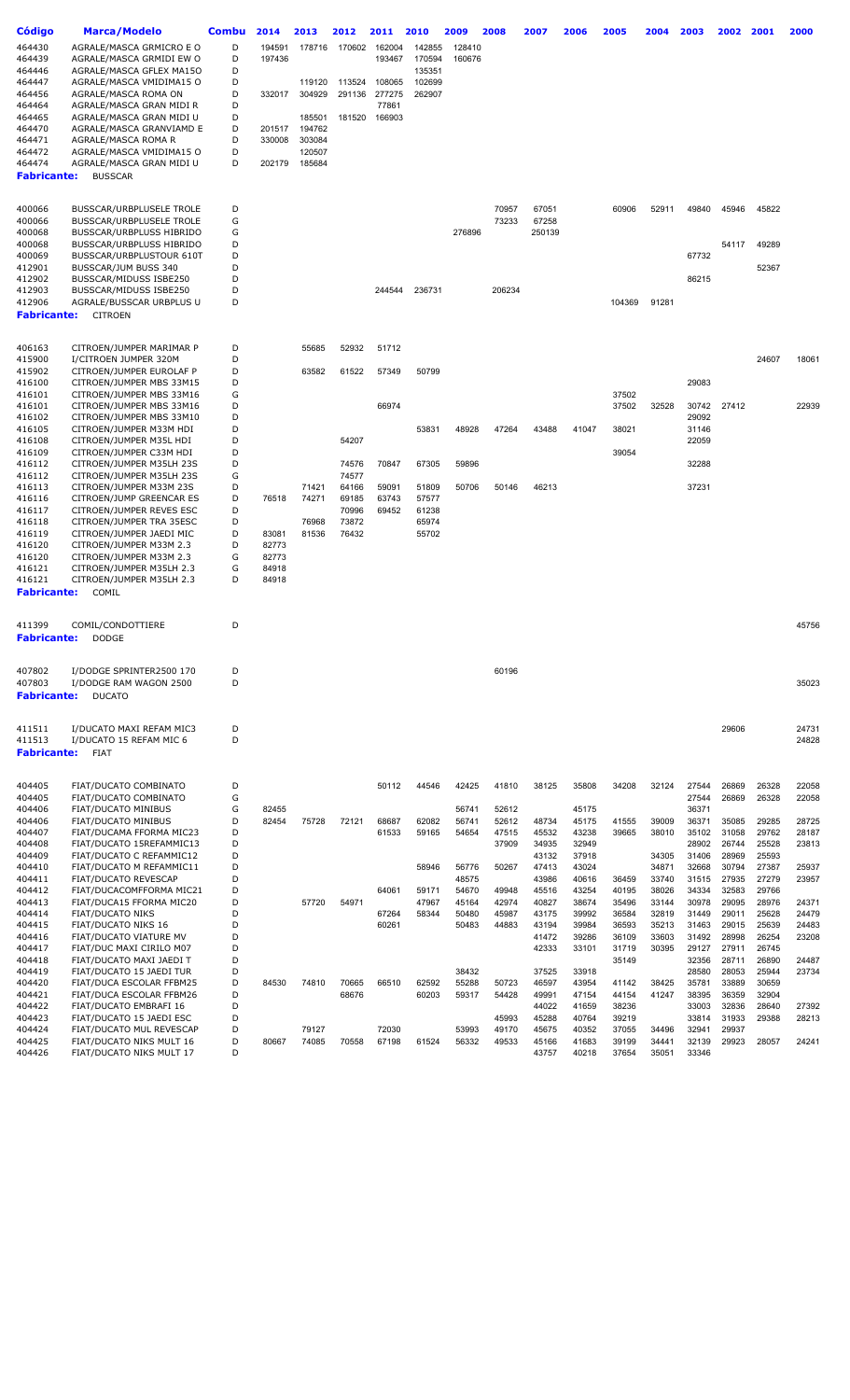| <b>Código</b>                | Marca/Modelo                                         | <b>Combu</b> | 2014           | 2013   | 2012           | 2011           | 2010           | 2009           | 2008           | 2007            | 2006           | 2005           | 2004           | 2003           | 2002           | 2001           | 2000           |
|------------------------------|------------------------------------------------------|--------------|----------------|--------|----------------|----------------|----------------|----------------|----------------|-----------------|----------------|----------------|----------------|----------------|----------------|----------------|----------------|
| 464430                       | AGRALE/MASCA GRMICRO E O                             | D            | 194591         | 178716 | 170602         | 162004         | 142855         | 128410         |                |                 |                |                |                |                |                |                |                |
| 464439                       | AGRALE/MASCA GRMIDI EW O                             | D            | 197436         |        |                | 193467         | 170594         | 160676         |                |                 |                |                |                |                |                |                |                |
| 464446                       | AGRALE/MASCA GFLEX MA150                             | D            |                |        |                |                | 135351         |                |                |                 |                |                |                |                |                |                |                |
| 464447                       | AGRALE/MASCA VMIDIMA15 O                             | D            |                | 119120 | 113524         | 108065         | 102699         |                |                |                 |                |                |                |                |                |                |                |
| 464456                       | AGRALE/MASCA ROMA ON                                 | D            | 332017         | 304929 | 291136         | 277275         | 262907         |                |                |                 |                |                |                |                |                |                |                |
| 464464                       | AGRALE/MASCA GRAN MIDI R                             | D            |                |        |                | 77861          |                |                |                |                 |                |                |                |                |                |                |                |
| 464465                       | AGRALE/MASCA GRAN MIDI U                             | D            |                | 185501 | 181520         | 166903         |                |                |                |                 |                |                |                |                |                |                |                |
| 464470                       | AGRALE/MASCA GRANVIAMD E                             | D            | 201517         | 194762 |                |                |                |                |                |                 |                |                |                |                |                |                |                |
| 464471                       | AGRALE/MASCA ROMA R                                  | D            | 330008         | 303084 |                |                |                |                |                |                 |                |                |                |                |                |                |                |
| 464472                       | AGRALE/MASCA VMIDIMA15 O                             | D<br>D       |                | 120507 |                |                |                |                |                |                 |                |                |                |                |                |                |                |
| 464474<br><b>Fabricante:</b> | AGRALE/MASCA GRAN MIDI U<br><b>BUSSCAR</b>           |              | 202179         | 185684 |                |                |                |                |                |                 |                |                |                |                |                |                |                |
|                              |                                                      |              |                |        |                |                |                |                |                |                 |                |                |                |                |                |                |                |
|                              |                                                      |              |                |        |                |                |                |                |                |                 |                |                |                |                |                |                |                |
| 400066                       | BUSSCAR/URBPLUSELE TROLE                             | D            |                |        |                |                |                |                | 70957          | 67051           |                | 60906          | 52911          | 49840          | 45946          | 45822          |                |
| 400066<br>400068             | BUSSCAR/URBPLUSELE TROLE<br>BUSSCAR/URBPLUSS HIBRIDO | G<br>G       |                |        |                |                |                | 276896         | 73233          | 67258<br>250139 |                |                |                |                |                |                |                |
| 400068                       | BUSSCAR/URBPLUSS HIBRIDO                             | D            |                |        |                |                |                |                |                |                 |                |                |                |                | 54117          | 49289          |                |
| 400069                       | BUSSCAR/URBPLUSTOUR 610T                             | D            |                |        |                |                |                |                |                |                 |                |                |                | 67732          |                |                |                |
| 412901                       | BUSSCAR/JUM BUSS 340                                 | D            |                |        |                |                |                |                |                |                 |                |                |                |                |                | 52367          |                |
| 412902                       | BUSSCAR/MIDUSS ISBE250                               | D            |                |        |                |                |                |                |                |                 |                |                |                | 86215          |                |                |                |
| 412903                       | BUSSCAR/MIDUSS ISBE250                               | D            |                |        |                | 244544         | 236731         |                | 206234         |                 |                |                |                |                |                |                |                |
| 412906                       | AGRALE/BUSSCAR URBPLUS U                             | D            |                |        |                |                |                |                |                |                 |                | 104369         | 91281          |                |                |                |                |
| <b>Fabricante:</b>           | <b>CITROEN</b>                                       |              |                |        |                |                |                |                |                |                 |                |                |                |                |                |                |                |
|                              |                                                      |              |                |        |                |                |                |                |                |                 |                |                |                |                |                |                |                |
| 406163<br>415900             | CITROEN/JUMPER MARIMAR P<br>I/CITROEN JUMPER 320M    | D<br>D       |                | 55685  | 52932          | 51712          |                |                |                |                 |                |                |                |                |                | 24607          | 18061          |
| 415902                       | CITROEN/JUMPER EUROLAF P                             | D            |                | 63582  | 61522          | 57349          | 50799          |                |                |                 |                |                |                |                |                |                |                |
| 416100                       | CITROEN/JUMPER MBS 33M15                             | D            |                |        |                |                |                |                |                |                 |                |                |                | 29083          |                |                |                |
| 416101                       | CITROEN/JUMPER MBS 33M16                             | G            |                |        |                |                |                |                |                |                 |                | 37502          |                |                |                |                |                |
| 416101                       | CITROEN/JUMPER MBS 33M16                             | D            |                |        |                | 66974          |                |                |                |                 |                | 37502          | 32528          | 30742          | 27412          |                | 22939          |
| 416102                       | CITROEN/JUMPER MBS 33M10                             | D            |                |        |                |                |                |                |                |                 |                |                |                | 29092          |                |                |                |
| 416105                       | CITROEN/JUMPER M33M HDI                              | D            |                |        |                |                | 53831          | 48928          | 47264          | 43488           | 41047          | 38021          |                | 31146          |                |                |                |
| 416108                       | CITROEN/JUMPER M35L HDI                              | D            |                |        | 54207          |                |                |                |                |                 |                |                |                | 22059          |                |                |                |
| 416109                       | CITROEN/JUMPER C33M HDI                              | D<br>D       |                |        |                | 70847          |                | 59896          |                |                 |                | 39054          |                |                |                |                |                |
| 416112<br>416112             | CITROEN/JUMPER M35LH 23S<br>CITROEN/JUMPER M35LH 23S | G            |                |        | 74576<br>74577 |                | 67305          |                |                |                 |                |                |                | 32288          |                |                |                |
| 416113                       | CITROEN/JUMPER M33M 23S                              | D            |                | 71421  | 64166          | 59091          | 51809          | 50706          | 50146          | 46213           |                |                |                | 37231          |                |                |                |
| 416116                       | CITROEN/JUMP GREENCAR ES                             | D            | 76518          | 74271  | 69185          | 63743          | 57577          |                |                |                 |                |                |                |                |                |                |                |
| 416117                       | CITROEN/JUMPER REVES ESC                             | D            |                |        | 70996          | 69452          | 61238          |                |                |                 |                |                |                |                |                |                |                |
| 416118                       | CITROEN/JUMPER TRA 35ESC                             | D            |                | 76968  | 73872          |                | 65974          |                |                |                 |                |                |                |                |                |                |                |
| 416119                       | CITROEN/JUMPER JAEDI MIC                             | D            | 83081          | 81536  | 76432          |                | 55702          |                |                |                 |                |                |                |                |                |                |                |
| 416120                       | CITROEN/JUMPER M33M 2.3                              | D            | 82773          |        |                |                |                |                |                |                 |                |                |                |                |                |                |                |
| 416120                       | CITROEN/JUMPER M33M 2.3                              | G            | 82773          |        |                |                |                |                |                |                 |                |                |                |                |                |                |                |
| 416121<br>416121             | CITROEN/JUMPER M35LH 2.3<br>CITROEN/JUMPER M35LH 2.3 | G<br>D       | 84918<br>84918 |        |                |                |                |                |                |                 |                |                |                |                |                |                |                |
| <b>Fabricante:</b>           | COMIL                                                |              |                |        |                |                |                |                |                |                 |                |                |                |                |                |                |                |
|                              |                                                      |              |                |        |                |                |                |                |                |                 |                |                |                |                |                |                |                |
| 411399                       | COMIL/CONDOTTIERE                                    | D            |                |        |                |                |                |                |                |                 |                |                |                |                |                |                | 45756          |
|                              | <b>Fabricante: DODGE</b>                             |              |                |        |                |                |                |                |                |                 |                |                |                |                |                |                |                |
|                              |                                                      |              |                |        |                |                |                |                |                |                 |                |                |                |                |                |                |                |
| 407802                       | I/DODGE SPRINTER2500 170                             | D            |                |        |                |                |                |                | 60196          |                 |                |                |                |                |                |                |                |
| 407803                       | I/DODGE RAM WAGON 2500                               | D            |                |        |                |                |                |                |                |                 |                |                |                |                |                |                | 35023          |
| <b>Fabricante:</b>           | <b>DUCATO</b>                                        |              |                |        |                |                |                |                |                |                 |                |                |                |                |                |                |                |
| 411511                       | I/DUCATO MAXI REFAM MIC3                             | D            |                |        |                |                |                |                |                |                 |                |                |                |                | 29606          |                | 24731          |
| 411513                       | I/DUCATO 15 REFAM MIC 6                              | D            |                |        |                |                |                |                |                |                 |                |                |                |                |                |                | 24828          |
| <b>Fabricante:</b>           | <b>FIAT</b>                                          |              |                |        |                |                |                |                |                |                 |                |                |                |                |                |                |                |
|                              |                                                      |              |                |        |                |                |                |                |                |                 |                |                |                |                |                |                |                |
| 404405                       | FIAT/DUCATO COMBINATO                                | D            |                |        |                | 50112          | 44546          | 42425          | 41810          | 38125           | 35808          | 34208          | 32124          | 27544          | 26869          | 26328          | 22058          |
| 404405                       | FIAT/DUCATO COMBINATO                                | G            |                |        |                |                |                |                |                |                 |                |                |                | 27544          | 26869          | 26328          | 22058          |
| 404406                       | <b>FIAT/DUCATO MINIBUS</b>                           | G<br>D       | 82455          |        |                |                |                | 56741          | 52612          |                 | 45175          |                |                | 36371          |                |                |                |
| 404406<br>404407             | FIAT/DUCATO MINIBUS<br>FIAT/DUCAMA FFORMA MIC23      | D            | 82454          | 75728  | 72121          | 68687<br>61533 | 62082<br>59165 | 56741<br>54654 | 52612<br>47515 | 48734<br>45532  | 45175<br>43238 | 41555<br>39665 | 39009<br>38010 | 36371<br>35102 | 35085<br>31058 | 29285<br>29762 | 28725<br>28187 |
| 404408                       | FIAT/DUCATO 15REFAMMIC13                             | D            |                |        |                |                |                |                | 37909          | 34935           | 32949          |                |                | 28902          | 26744          | 25528          | 23813          |
| 404409                       | FIAT/DUCATO C REFAMMIC12                             | D            |                |        |                |                |                |                |                | 43132           | 37918          |                | 34305          | 31406          | 28969          | 25593          |                |
| 404410                       | FIAT/DUCATO M REFAMMIC11                             | D            |                |        |                |                | 58946          | 56776          | 50267          | 47413           | 43024          |                | 34871          | 32668          | 30794          | 27387          | 25937          |
| 404411                       | <b>FIAT/DUCATO REVESCAP</b>                          | D            |                |        |                |                |                | 48575          |                | 43986           | 40616          | 36459          | 33740          | 31515          | 27935          | 27279          | 23957          |
| 404412                       | FIAT/DUCACOMFFORMA MIC21                             | D            |                |        |                | 64061          | 59171          | 54670          | 49948          | 45516           | 43254          | 40195          | 38026          | 34334          | 32583          | 29766          |                |
| 404413                       | FIAT/DUCA15 FFORMA MIC20                             | D            |                | 57720  | 54971          |                | 47967          | 45164          | 42974          | 40827           | 38674          | 35496          | 33144          | 30978          | 29095          | 28976          | 24371          |
| 404414                       | <b>FIAT/DUCATO NIKS</b>                              | D<br>D       |                |        |                | 67264          | 58344          | 50480          | 45987          | 43175           | 39992          | 36584          | 32819          | 31449          | 29011          | 25628          | 24479          |
| 404415<br>404416             | FIAT/DUCATO NIKS 16<br>FIAT/DUCATO VIATURE MV        | D            |                |        |                | 60261          |                | 50483          | 44883          | 43194<br>41472  | 39984<br>39286 | 36593<br>36109 | 35213<br>33603 | 31463<br>31492 | 29015<br>28998 | 25639<br>26254 | 24483<br>23208 |
| 404417                       | FIAT/DUC MAXI CIRILO M07                             | D            |                |        |                |                |                |                |                | 42333           | 33101          | 31719          | 30395          | 29127          | 27911          | 26745          |                |
| 404418                       | FIAT/DUCATO MAXI JAEDI T                             | D            |                |        |                |                |                |                |                |                 |                | 35149          |                | 32356          | 28711          | 26890          | 24487          |
| 404419                       | FIAT/DUCATO 15 JAEDI TUR                             | D            |                |        |                |                |                | 38432          |                | 37525           | 33918          |                |                | 28580          | 28053          | 25944          | 23734          |
| 404420                       | FIAT/DUCA ESCOLAR FFBM25                             | D            | 84530          | 74810  | 70665          | 66510          | 62592          | 55288          | 50723          | 46597           | 43954          | 41142          | 38425          | 35781          | 33889          | 30659          |                |
| 404421                       | FIAT/DUCA ESCOLAR FFBM26                             | D            |                |        | 68676          |                | 60203          | 59317          | 54428          | 49991           | 47154          | 44154          | 41247          | 38395          | 36359          | 32904          |                |
| 404422                       | FIAT/DUCATO EMBRAFI 16                               | D            |                |        |                |                |                |                |                | 44022           | 41659          | 38236          |                | 33003          | 32836          | 28640          | 27392          |
| 404423<br>404424             | FIAT/DUCATO 15 JAEDI ESC<br>FIAT/DUCATO MUL REVESCAP | D<br>D       |                | 79127  |                | 72030          |                | 53993          | 45993<br>49170 | 45288<br>45675  | 40764<br>40352 | 39219<br>37055 | 34496          | 33814<br>32941 | 31933<br>29937 | 29388          | 28213          |
| 404425                       | FIAT/DUCATO NIKS MULT 16                             | D            | 80667          | 74085  | 70558          | 67198          | 61524          | 56332          | 49533          | 45166           | 41683          | 39199          | 34441          | 32139          | 29923          | 28057          | 24241          |
| 404426                       | FIAT/DUCATO NIKS MULT 17                             | D            |                |        |                |                |                |                |                | 43757           | 40218          | 37654          | 35051          | 33346          |                |                |                |
|                              |                                                      |              |                |        |                |                |                |                |                |                 |                |                |                |                |                |                |                |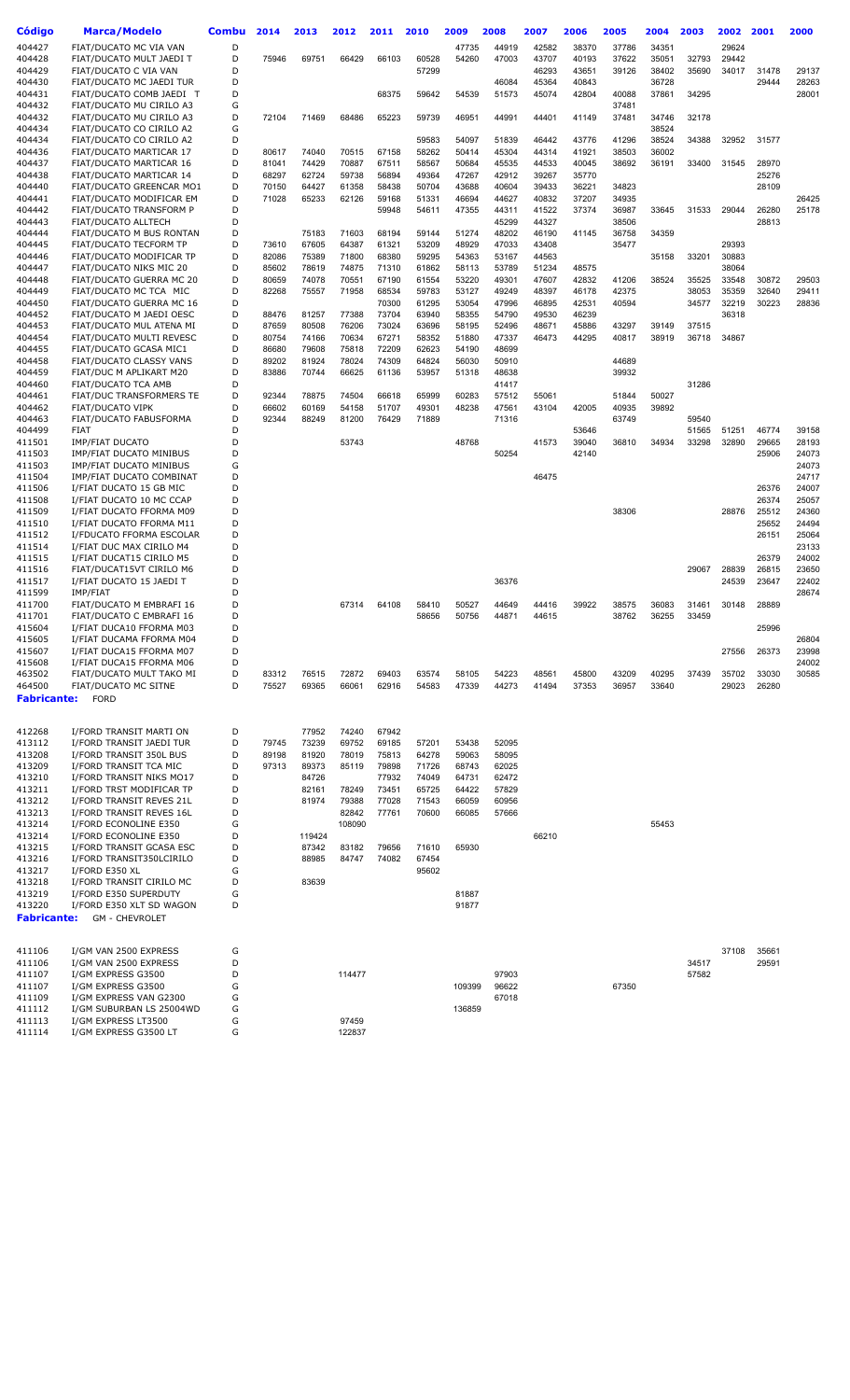| Código             | <b>Marca/Modelo</b>                                  | Combu  | 2014           | 2013           | 2012           | 2011           | 2010           | 2009           | 2008           | 2007           | 2006           | 2005  | 2004           | 2003  | 2002  | 2001           | 2000           |
|--------------------|------------------------------------------------------|--------|----------------|----------------|----------------|----------------|----------------|----------------|----------------|----------------|----------------|-------|----------------|-------|-------|----------------|----------------|
|                    |                                                      |        |                |                |                |                |                |                |                |                |                |       |                |       |       |                |                |
| 404427             | FIAT/DUCATO MC VIA VAN                               | D      |                |                |                |                |                | 47735          | 44919          | 42582          | 38370          | 37786 | 34351          |       | 29624 |                |                |
| 404428             | FIAT/DUCATO MULT JAEDI T                             | D<br>D | 75946          | 69751          | 66429          | 66103          | 60528          | 54260          | 47003          | 43707          | 40193          | 37622 | 35051          | 32793 | 29442 |                |                |
| 404429<br>404430   | FIAT/DUCATO C VIA VAN<br>FIAT/DUCATO MC JAEDI TUR    | D      |                |                |                |                | 57299          |                | 46084          | 46293<br>45364 | 43651<br>40843 | 39126 | 38402<br>36728 | 35690 | 34017 | 31478<br>29444 | 29137<br>28263 |
| 404431             | FIAT/DUCATO COMB JAEDI T                             | D      |                |                |                | 68375          | 59642          | 54539          | 51573          | 45074          | 42804          | 40088 | 37861          | 34295 |       |                | 28001          |
| 404432             | FIAT/DUCATO MU CIRILO A3                             | G      |                |                |                |                |                |                |                |                |                | 37481 |                |       |       |                |                |
| 404432             | FIAT/DUCATO MU CIRILO A3                             | D      | 72104          | 71469          | 68486          | 65223          | 59739          | 46951          | 44991          | 44401          | 41149          | 37481 | 34746          | 32178 |       |                |                |
| 404434             | FIAT/DUCATO CO CIRILO A2                             | G      |                |                |                |                |                |                |                |                |                |       | 38524          |       |       |                |                |
| 404434             | FIAT/DUCATO CO CIRILO A2                             | D      |                |                |                |                | 59583          | 54097          | 51839          | 46442          | 43776          | 41296 | 38524          | 34388 | 32952 | 31577          |                |
| 404436             | FIAT/DUCATO MARTICAR 17                              | D      | 80617          | 74040          | 70515          | 67158          | 58262          | 50414          | 45304          | 44314          | 41921          | 38503 | 36002          |       |       |                |                |
| 404437             | FIAT/DUCATO MARTICAR 16                              | D      | 81041          | 74429          | 70887          | 67511          | 58567          | 50684          | 45535          | 44533          | 40045          | 38692 | 36191          | 33400 | 31545 | 28970          |                |
| 404438             | FIAT/DUCATO MARTICAR 14                              | D      | 68297          | 62724          | 59738          | 56894          | 49364          | 47267          | 42912          | 39267          | 35770          |       |                |       |       | 25276          |                |
| 404440             | FIAT/DUCATO GREENCAR MO1                             | D      | 70150          | 64427          | 61358          | 58438          | 50704          | 43688          | 40604          | 39433          | 36221          | 34823 |                |       |       | 28109          |                |
| 404441             | FIAT/DUCATO MODIFICAR EM                             | D      | 71028          | 65233          | 62126          | 59168          | 51331          | 46694          | 44627          | 40832          | 37207          | 34935 |                |       |       |                | 26425          |
| 404442             | FIAT/DUCATO TRANSFORM P                              | D      |                |                |                | 59948          | 54611          | 47355          | 44311          | 41522          | 37374          | 36987 | 33645          | 31533 | 29044 | 26280          | 25178          |
| 404443             | FIAT/DUCATO ALLTECH                                  | D      |                |                |                |                |                |                | 45299          | 44327          |                | 38506 |                |       |       | 28813          |                |
| 404444             | FIAT/DUCATO M BUS RONTAN                             | D      |                | 75183          | 71603          | 68194          | 59144          | 51274          | 48202          | 46190          | 41145          | 36758 | 34359          |       |       |                |                |
| 404445             | FIAT/DUCATO TECFORM TP                               | D      | 73610          | 67605          | 64387          | 61321          | 53209          | 48929          | 47033          | 43408          |                | 35477 |                |       | 29393 |                |                |
| 404446             | FIAT/DUCATO MODIFICAR TP                             | D      | 82086          | 75389          | 71800          | 68380          | 59295          | 54363          | 53167          | 44563          |                |       | 35158          | 33201 | 30883 |                |                |
| 404447             | FIAT/DUCATO NIKS MIC 20                              | D      | 85602          | 78619          | 74875          | 71310          | 61862          | 58113          | 53789          | 51234          | 48575          |       |                |       | 38064 |                |                |
| 404448             | FIAT/DUCATO GUERRA MC 20                             | D      | 80659          | 74078          | 70551          | 67190          | 61554          | 53220          | 49301          | 47607          | 42832          | 41206 | 38524          | 35525 | 33548 | 30872          | 29503          |
| 404449             | FIAT/DUCATO MC TCA MIC                               | D      | 82268          | 75557          | 71958          | 68534          | 59783          | 53127          | 49249          | 48397          | 46178          | 42375 |                | 38053 | 35359 | 32640          | 29411          |
| 404450             | FIAT/DUCATO GUERRA MC 16                             | D      |                |                |                | 70300          | 61295          | 53054          | 47996          | 46895          | 42531          | 40594 |                | 34577 | 32219 | 30223          | 28836          |
| 404452             | FIAT/DUCATO M JAEDI OESC                             | D      | 88476          | 81257          | 77388          | 73704          | 63940          | 58355          | 54790          | 49530          | 46239          |       |                |       | 36318 |                |                |
| 404453             | FIAT/DUCATO MUL ATENA MI                             | D      | 87659          | 80508          | 76206          | 73024          | 63696          | 58195          | 52496          | 48671          | 45886          | 43297 | 39149          | 37515 |       |                |                |
| 404454             | FIAT/DUCATO MULTI REVESC                             | D      | 80754          | 74166          | 70634          | 67271          | 58352          | 51880          | 47337          | 46473          | 44295          | 40817 | 38919          | 36718 | 34867 |                |                |
| 404455<br>404458   | FIAT/DUCATO GCASA MIC1<br>FIAT/DUCATO CLASSY VANS    | D<br>D | 86680<br>89202 | 79608<br>81924 | 75818<br>78024 | 72209<br>74309 | 62623<br>64824 | 54190<br>56030 | 48699<br>50910 |                |                | 44689 |                |       |       |                |                |
| 404459             | FIAT/DUC M APLIKART M20                              | D      | 83886          | 70744          | 66625          | 61136          | 53957          | 51318          | 48638          |                |                | 39932 |                |       |       |                |                |
| 404460             | <b>FIAT/DUCATO TCA AMB</b>                           | D      |                |                |                |                |                |                | 41417          |                |                |       |                | 31286 |       |                |                |
| 404461             | FIAT/DUC TRANSFORMERS TE                             | D      | 92344          | 78875          | 74504          | 66618          | 65999          | 60283          | 57512          | 55061          |                | 51844 | 50027          |       |       |                |                |
| 404462             | <b>FIAT/DUCATO VIPK</b>                              | D      | 66602          | 60169          | 54158          | 51707          | 49301          | 48238          | 47561          | 43104          | 42005          | 40935 | 39892          |       |       |                |                |
| 404463             | FIAT/DUCATO FABUSFORMA                               | D      | 92344          | 88249          | 81200          | 76429          | 71889          |                | 71316          |                |                | 63749 |                | 59540 |       |                |                |
| 404499             | <b>FIAT</b>                                          | D      |                |                |                |                |                |                |                |                | 53646          |       |                | 51565 | 51251 | 46774          | 39158          |
| 411501             | <b>IMP/FIAT DUCATO</b>                               | D      |                |                | 53743          |                |                | 48768          |                | 41573          | 39040          | 36810 | 34934          | 33298 | 32890 | 29665          | 28193          |
| 411503             | IMP/FIAT DUCATO MINIBUS                              | D      |                |                |                |                |                |                | 50254          |                | 42140          |       |                |       |       | 25906          | 24073          |
| 411503             | <b>IMP/FIAT DUCATO MINIBUS</b>                       | G      |                |                |                |                |                |                |                |                |                |       |                |       |       |                | 24073          |
| 411504             | IMP/FIAT DUCATO COMBINAT                             | D      |                |                |                |                |                |                |                | 46475          |                |       |                |       |       |                | 24717          |
| 411506             | I/FIAT DUCATO 15 GB MIC                              | D      |                |                |                |                |                |                |                |                |                |       |                |       |       | 26376          | 24007          |
| 411508             | I/FIAT DUCATO 10 MC CCAP                             | D      |                |                |                |                |                |                |                |                |                |       |                |       |       | 26374          | 25057          |
| 411509             | I/FIAT DUCATO FFORMA M09                             | D      |                |                |                |                |                |                |                |                |                | 38306 |                |       | 28876 | 25512          | 24360          |
| 411510             | I/FIAT DUCATO FFORMA M11                             | D      |                |                |                |                |                |                |                |                |                |       |                |       |       | 25652          | 24494          |
| 411512             | I/FDUCATO FFORMA ESCOLAR                             | D      |                |                |                |                |                |                |                |                |                |       |                |       |       | 26151          | 25064          |
| 411514             | I/FIAT DUC MAX CIRILO M4                             | D      |                |                |                |                |                |                |                |                |                |       |                |       |       |                | 23133          |
| 411515             | I/FIAT DUCAT15 CIRILO M5                             | D      |                |                |                |                |                |                |                |                |                |       |                |       |       | 26379          | 24002          |
| 411516             | FIAT/DUCAT15VT CIRILO M6                             | D      |                |                |                |                |                |                |                |                |                |       |                | 29067 | 28839 | 26815          | 23650          |
| 411517             | I/FIAT DUCATO 15 JAEDI T                             | D      |                |                |                |                |                |                | 36376          |                |                |       |                |       | 24539 | 23647          | 22402          |
| 411599             | IMP/FIAT                                             | D      |                |                |                |                |                |                |                |                |                |       |                |       |       |                | 28674          |
| 411700             | FIAT/DUCATO M EMBRAFI 16                             | D      |                |                | 67314          | 64108          | 58410          | 50527          | 44649          | 44416          | 39922          | 38575 | 36083          | 31461 | 30148 | 28889          |                |
| 411701             | FIAT/DUCATO C EMBRAFI 16                             | D      |                |                |                |                | 58656          | 50756          | 44871          | 44615          |                | 38762 | 36255          | 33459 |       |                |                |
| 415604             | I/FIAT DUCA10 FFORMA M03                             | D      |                |                |                |                |                |                |                |                |                |       |                |       |       | 25996          |                |
| 415605             | I/FIAT DUCAMA FFORMA M04<br>I/FIAT DUCA15 FFORMA M07 | D      |                |                |                |                |                |                |                |                |                |       |                |       |       |                | 26804          |
| 415607             | I/FIAT DUCA15 FFORMA M06                             | D<br>D |                |                |                |                |                |                |                |                |                |       |                |       | 27556 | 26373          | 23998          |
| 415608             | FIAT/DUCATO MULT TAKO MI                             | D      | 83312          | 76515          | 72872          | 69403          |                | 58105          | 54223          | 48561          | 45800          | 43209 | 40295          | 37439 | 35702 | 33030          | 24002<br>30585 |
| 463502<br>464500   | FIAT/DUCATO MC SITNE                                 | D      | 75527          | 69365          | 66061          | 62916          | 63574<br>54583 | 47339          | 44273          | 41494          | 37353          | 36957 | 33640          |       | 29023 | 26280          |                |
| <b>Fabricante:</b> | <b>FORD</b>                                          |        |                |                |                |                |                |                |                |                |                |       |                |       |       |                |                |
|                    |                                                      |        |                |                |                |                |                |                |                |                |                |       |                |       |       |                |                |
|                    |                                                      |        |                |                |                |                |                |                |                |                |                |       |                |       |       |                |                |
| 412268             | I/FORD TRANSIT MARTI ON                              | D      |                | 77952          | 74240          | 67942          |                |                |                |                |                |       |                |       |       |                |                |
| 413112             | I/FORD TRANSIT JAEDI TUR                             | D      | 79745          | 73239          | 69752          | 69185          | 57201          | 53438          | 52095          |                |                |       |                |       |       |                |                |
| 413208             | I/FORD TRANSIT 350L BUS                              | D      | 89198          | 81920          | 78019          | 75813          | 64278          | 59063          | 58095          |                |                |       |                |       |       |                |                |
| 413209             | I/FORD TRANSIT TCA MIC                               | D      | 97313          | 89373          | 85119          | 79898          | 71726          | 68743          | 62025          |                |                |       |                |       |       |                |                |
| 413210             | I/FORD TRANSIT NIKS MO17                             | D      |                | 84726          |                | 77932          | 74049          | 64731          | 62472          |                |                |       |                |       |       |                |                |
| 413211             | I/FORD TRST MODIFICAR TP                             | D      |                | 82161          | 78249          | 73451          | 65725          | 64422          | 57829          |                |                |       |                |       |       |                |                |
| 413212             | I/FORD TRANSIT REVES 21L                             | D      |                | 81974          | 79388          | 77028          | 71543          | 66059          | 60956          |                |                |       |                |       |       |                |                |
| 413213             | I/FORD TRANSIT REVES 16L                             | D      |                |                | 82842          | 77761          | 70600          | 66085          | 57666          |                |                |       |                |       |       |                |                |
| 413214             | I/FORD ECONOLINE E350                                | G      |                |                | 108090         |                |                |                |                |                |                |       | 55453          |       |       |                |                |
| 413214             | I/FORD ECONOLINE E350                                | D      |                | 119424         |                |                |                |                |                | 66210          |                |       |                |       |       |                |                |
| 413215             | I/FORD TRANSIT GCASA ESC                             | D      |                | 87342          | 83182          | 79656          | 71610          | 65930          |                |                |                |       |                |       |       |                |                |
| 413216             | I/FORD TRANSIT350LCIRILO                             | D      |                | 88985          | 84747          | 74082          | 67454          |                |                |                |                |       |                |       |       |                |                |
| 413217             | I/FORD E350 XL                                       | G      |                |                |                |                | 95602          |                |                |                |                |       |                |       |       |                |                |
| 413218             | I/FORD TRANSIT CIRILO MC                             | D      |                | 83639          |                |                |                |                |                |                |                |       |                |       |       |                |                |
| 413219             | I/FORD E350 SUPERDUTY                                | G      |                |                |                |                |                | 81887          |                |                |                |       |                |       |       |                |                |
| 413220             | I/FORD E350 XLT SD WAGON                             | D      |                |                |                |                |                | 91877          |                |                |                |       |                |       |       |                |                |
| <b>Fabricante:</b> | <b>GM - CHEVROLET</b>                                |        |                |                |                |                |                |                |                |                |                |       |                |       |       |                |                |
|                    |                                                      |        |                |                |                |                |                |                |                |                |                |       |                |       |       |                |                |
| 411106             | I/GM VAN 2500 EXPRESS                                | G      |                |                |                |                |                |                |                |                |                |       |                |       | 37108 | 35661          |                |
| 411106             | I/GM VAN 2500 EXPRESS                                | D      |                |                |                |                |                |                |                |                |                |       |                | 34517 |       | 29591          |                |
| 411107             | I/GM EXPRESS G3500                                   | D      |                |                | 114477         |                |                |                | 97903          |                |                |       |                | 57582 |       |                |                |
| 411107             | I/GM EXPRESS G3500                                   | G      |                |                |                |                |                | 109399         | 96622          |                |                | 67350 |                |       |       |                |                |
| 411109             | I/GM EXPRESS VAN G2300                               | G      |                |                |                |                |                |                | 67018          |                |                |       |                |       |       |                |                |
| 411112             | I/GM SUBURBAN LS 25004WD                             | G      |                |                |                |                |                | 136859         |                |                |                |       |                |       |       |                |                |
| 411113             | I/GM EXPRESS LT3500                                  | G      |                |                | 97459          |                |                |                |                |                |                |       |                |       |       |                |                |
| 411114             | I/GM EXPRESS G3500 LT                                | G      |                |                | 122837         |                |                |                |                |                |                |       |                |       |       |                |                |
|                    |                                                      |        |                |                |                |                |                |                |                |                |                |       |                |       |       |                |                |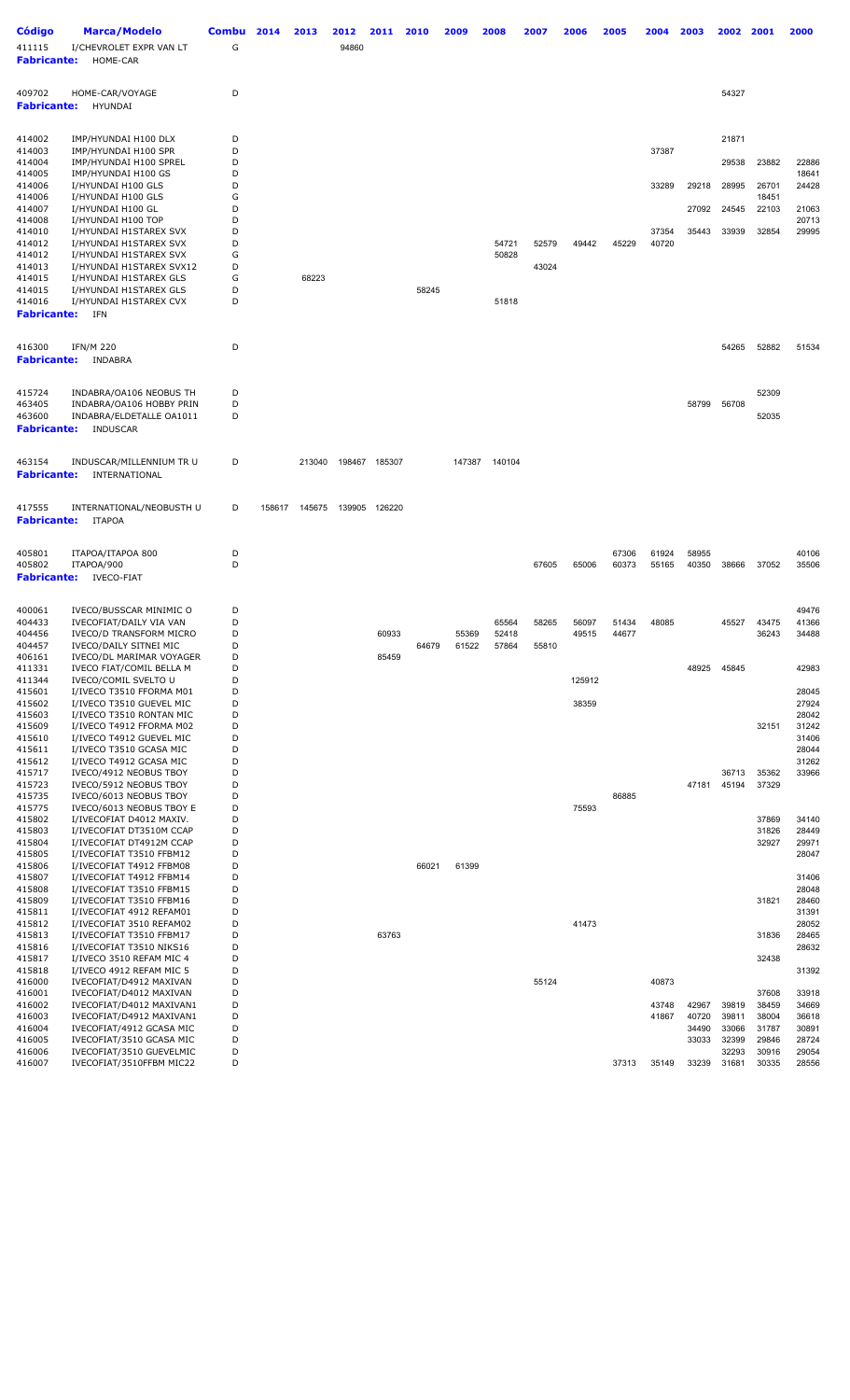| <b>Código</b><br>411115<br><b>Fabricante:</b> | Marca/Modelo<br>I/CHEVROLET EXPR VAN LT<br>HOME-CAR              | <b>Combu</b><br>G | 2014   | 2013   | 2012<br>94860 | 2011          | 2010  | 2009           | 2008           | 2007  | 2006   | 2005  | 2004           | 2003           | 2002           | 2001           | 2000           |
|-----------------------------------------------|------------------------------------------------------------------|-------------------|--------|--------|---------------|---------------|-------|----------------|----------------|-------|--------|-------|----------------|----------------|----------------|----------------|----------------|
| 409702<br><b>Fabricante:</b>                  | HOME-CAR/VOYAGE<br><b>HYUNDAI</b>                                | D                 |        |        |               |               |       |                |                |       |        |       |                |                | 54327          |                |                |
| 414002                                        | IMP/HYUNDAI H100 DLX                                             | D                 |        |        |               |               |       |                |                |       |        |       |                |                | 21871          |                |                |
| 414003<br>414004                              | IMP/HYUNDAI H100 SPR<br>IMP/HYUNDAI H100 SPREL                   | D<br>D            |        |        |               |               |       |                |                |       |        |       | 37387          |                | 29538          | 23882          | 22886          |
| 414005                                        | IMP/HYUNDAI H100 GS                                              | D<br>D            |        |        |               |               |       |                |                |       |        |       |                |                |                |                | 18641          |
| 414006<br>414006                              | I/HYUNDAI H100 GLS<br>I/HYUNDAI H100 GLS                         | G                 |        |        |               |               |       |                |                |       |        |       | 33289          | 29218          | 28995          | 26701<br>18451 | 24428          |
| 414007<br>414008                              | I/HYUNDAI H100 GL<br>I/HYUNDAI H100 TOP                          | D<br>D            |        |        |               |               |       |                |                |       |        |       |                | 27092          | 24545          | 22103          | 21063<br>20713 |
| 414010<br>414012                              | I/HYUNDAI H1STAREX SVX<br>I/HYUNDAI H1STAREX SVX                 | D<br>D            |        |        |               |               |       |                | 54721          | 52579 | 49442  | 45229 | 37354<br>40720 | 35443          | 33939          | 32854          | 29995          |
| 414012                                        | I/HYUNDAI H1STAREX SVX                                           | G                 |        |        |               |               |       |                | 50828          |       |        |       |                |                |                |                |                |
| 414013<br>414015                              | I/HYUNDAI H1STAREX SVX12<br>I/HYUNDAI H1STAREX GLS               | D<br>G            |        | 68223  |               |               |       |                |                | 43024 |        |       |                |                |                |                |                |
| 414015<br>414016                              | I/HYUNDAI H1STAREX GLS<br>I/HYUNDAI H1STAREX CVX                 | D<br>D            |        |        |               |               | 58245 |                | 51818          |       |        |       |                |                |                |                |                |
| <b>Fabricante:</b>                            | IFN                                                              |                   |        |        |               |               |       |                |                |       |        |       |                |                |                |                |                |
| 416300<br><b>Fabricante:</b>                  | <b>IFN/M 220</b><br>INDABRA                                      | D                 |        |        |               |               |       |                |                |       |        |       |                |                | 54265          | 52882          | 51534          |
| 415724                                        | INDABRA/OA106 NEOBUS TH                                          | D                 |        |        |               |               |       |                |                |       |        |       |                |                |                | 52309          |                |
| 463405<br>463600<br><b>Fabricante:</b>        | INDABRA/OA106 HOBBY PRIN<br>INDABRA/ELDETALLE OA1011<br>INDUSCAR | D<br>D            |        |        |               |               |       |                |                |       |        |       |                | 58799          | 56708          | 52035          |                |
| 463154<br><b>Fabricante:</b>                  | INDUSCAR/MILLENNIUM TR U<br>INTERNATIONAL                        | D                 |        | 213040 |               | 198467 185307 |       | 147387         | 140104         |       |        |       |                |                |                |                |                |
|                                               |                                                                  |                   |        |        |               |               |       |                |                |       |        |       |                |                |                |                |                |
| 417555<br><b>Fabricante:</b>                  | INTERNATIONAL/NEOBUSTH U<br><b>ITAPOA</b>                        | D                 | 158617 | 145675 | 139905        | 126220        |       |                |                |       |        |       |                |                |                |                |                |
| 405801                                        | ITAPOA/ITAPOA 800                                                | D                 |        |        |               |               |       |                |                |       |        | 67306 | 61924          | 58955          |                |                | 40106          |
| 405802<br><b>Fabricante:</b>                  | ITAPOA/900<br><b>IVECO-FIAT</b>                                  | D                 |        |        |               |               |       |                |                | 67605 | 65006  | 60373 | 55165          | 40350          | 38666          | 37052          | 35506          |
|                                               |                                                                  |                   |        |        |               |               |       |                |                |       |        |       |                |                |                |                |                |
| 400061<br>404433                              | IVECO/BUSSCAR MINIMIC O<br>IVECOFIAT/DAILY VIA VAN               | D<br>D            |        |        |               |               |       |                | 65564          | 58265 | 56097  | 51434 | 48085          |                | 45527          | 43475          | 49476<br>41366 |
| 404456<br>404457                              | <b>IVECO/D TRANSFORM MICRO</b><br>IVECO/DAILY SITNEI MIC         | D<br>D            |        |        |               | 60933         | 64679 | 55369<br>61522 | 52418<br>57864 | 55810 | 49515  | 44677 |                |                |                | 36243          | 34488          |
| 406161                                        | IVECO/DL MARIMAR VOYAGER                                         | D                 |        |        |               | 85459         |       |                |                |       |        |       |                |                |                |                |                |
| 411331<br>411344                              | IVECO FIAT/COMIL BELLA M<br>IVECO/COMIL SVELTO U                 | D<br>D            |        |        |               |               |       |                |                |       | 125912 |       |                | 48925          | 45845          |                | 42983          |
| 415601<br>415602                              | I/IVECO T3510 FFORMA M01<br>I/IVECO T3510 GUEVEL MIC             | D<br>D            |        |        |               |               |       |                |                |       | 38359  |       |                |                |                |                | 28045<br>27924 |
| 415603                                        | I/IVECO T3510 RONTAN MIC                                         | D                 |        |        |               |               |       |                |                |       |        |       |                |                |                |                | 28042          |
| 415609<br>415610                              | I/IVECO T4912 FFORMA M02<br>I/IVECO T4912 GUEVEL MIC             | D<br>D            |        |        |               |               |       |                |                |       |        |       |                |                |                | 32151          | 31242<br>31406 |
| 415611<br>415612                              | I/IVECO T3510 GCASA MIC<br>I/IVECO T4912 GCASA MIC               | D<br>D            |        |        |               |               |       |                |                |       |        |       |                |                |                |                | 28044<br>31262 |
| 415717                                        | IVECO/4912 NEOBUS TBOY                                           | D                 |        |        |               |               |       |                |                |       |        |       |                |                | 36713          | 35362          | 33966          |
| 415723<br>415735                              | IVECO/5912 NEOBUS TBOY<br>IVECO/6013 NEOBUS TBOY                 | D<br>D            |        |        |               |               |       |                |                |       |        | 86885 |                | 47181          | 45194          | 37329          |                |
| 415775<br>415802                              | IVECO/6013 NEOBUS TBOY E<br>I/IVECOFIAT D4012 MAXIV.             | D<br>D            |        |        |               |               |       |                |                |       | 75593  |       |                |                |                | 37869          | 34140          |
| 415803                                        | I/IVECOFIAT DT3510M CCAP                                         | D                 |        |        |               |               |       |                |                |       |        |       |                |                |                | 31826          | 28449          |
| 415804<br>415805                              | I/IVECOFIAT DT4912M CCAP<br>I/IVECOFIAT T3510 FFBM12             | D<br>D            |        |        |               |               |       |                |                |       |        |       |                |                |                | 32927          | 29971<br>28047 |
| 415806<br>415807                              | I/IVECOFIAT T4912 FFBM08<br>I/IVECOFIAT T4912 FFBM14             | D<br>D            |        |        |               |               | 66021 | 61399          |                |       |        |       |                |                |                |                | 31406          |
| 415808                                        | I/IVECOFIAT T3510 FFBM15                                         | D                 |        |        |               |               |       |                |                |       |        |       |                |                |                |                | 28048          |
| 415809<br>415811                              | I/IVECOFIAT T3510 FFBM16<br>I/IVECOFIAT 4912 REFAM01             | D<br>D            |        |        |               |               |       |                |                |       |        |       |                |                |                | 31821          | 28460<br>31391 |
| 415812<br>415813                              | I/IVECOFIAT 3510 REFAM02<br>I/IVECOFIAT T3510 FFBM17             | D<br>D            |        |        |               | 63763         |       |                |                |       | 41473  |       |                |                |                | 31836          | 28052<br>28465 |
| 415816                                        | I/IVECOFIAT T3510 NIKS16                                         | D                 |        |        |               |               |       |                |                |       |        |       |                |                |                |                | 28632          |
| 415817<br>415818                              | I/IVECO 3510 REFAM MIC 4<br>I/IVECO 4912 REFAM MIC 5             | D<br>D            |        |        |               |               |       |                |                |       |        |       |                |                |                | 32438          | 31392          |
| 416000                                        | IVECOFIAT/D4912 MAXIVAN<br>IVECOFIAT/D4012 MAXIVAN               | D<br>D            |        |        |               |               |       |                |                | 55124 |        |       | 40873          |                |                |                |                |
| 416001<br>416002                              | IVECOFIAT/D4012 MAXIVAN1                                         | D                 |        |        |               |               |       |                |                |       |        |       | 43748          | 42967          | 39819          | 37608<br>38459 | 33918<br>34669 |
| 416003<br>416004                              | IVECOFIAT/D4912 MAXIVAN1<br>IVECOFIAT/4912 GCASA MIC             | D<br>D            |        |        |               |               |       |                |                |       |        |       | 41867          | 40720<br>34490 | 39811<br>33066 | 38004<br>31787 | 36618<br>30891 |
| 416005<br>416006                              | IVECOFIAT/3510 GCASA MIC<br>IVECOFIAT/3510 GUEVELMIC             | D<br>D            |        |        |               |               |       |                |                |       |        |       |                | 33033          | 32399<br>32293 | 29846<br>30916 | 28724<br>29054 |
| 416007                                        | IVECOFIAT/3510FFBM MIC22                                         | D                 |        |        |               |               |       |                |                |       |        | 37313 | 35149          | 33239          | 31681          | 30335          | 28556          |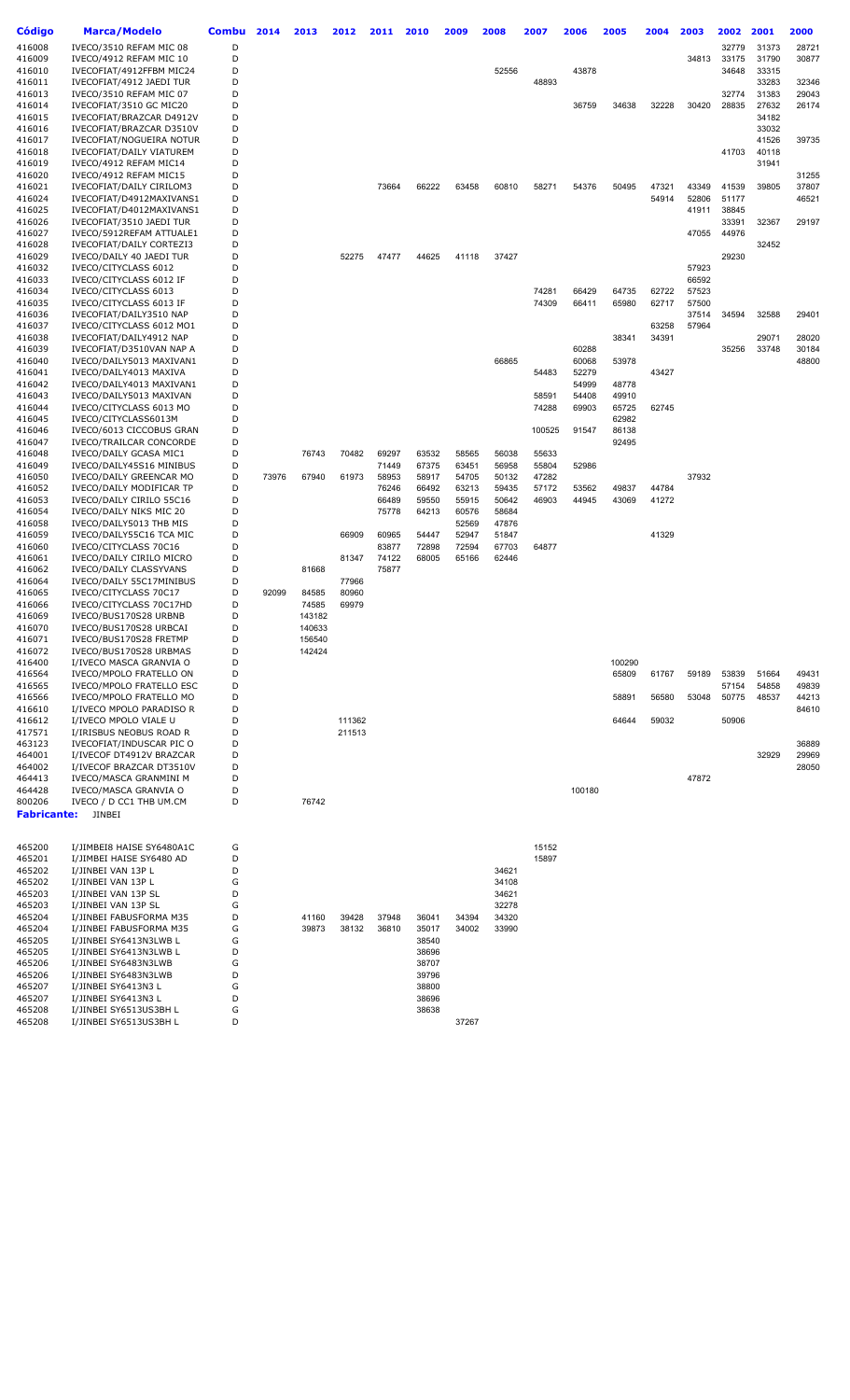| Código             | <b>Marca/Modelo</b>                                        | Combu  | 2014  | 2013            | 2012   | 2011           | 2010           | 2009           | 2008           | 2007           | 2006           | 2005           | 2004  | 2003           | 2002           | 2001           | 2000           |
|--------------------|------------------------------------------------------------|--------|-------|-----------------|--------|----------------|----------------|----------------|----------------|----------------|----------------|----------------|-------|----------------|----------------|----------------|----------------|
| 416008             | IVECO/3510 REFAM MIC 08                                    | D      |       |                 |        |                |                |                |                |                |                |                |       |                | 32779          | 31373          | 28721          |
| 416009             | IVECO/4912 REFAM MIC 10                                    | D      |       |                 |        |                |                |                |                |                |                |                |       | 34813          | 33175          | 31790          | 30877          |
| 416010             | IVECOFIAT/4912FFBM MIC24                                   | D      |       |                 |        |                |                |                | 52556          |                | 43878          |                |       |                | 34648          | 33315          |                |
| 416011             | IVECOFIAT/4912 JAEDI TUR                                   | D<br>D |       |                 |        |                |                |                |                | 48893          |                |                |       |                | 32774          | 33283          | 32346          |
| 416013<br>416014   | IVECO/3510 REFAM MIC 07<br>IVECOFIAT/3510 GC MIC20         | D      |       |                 |        |                |                |                |                |                | 36759          | 34638          | 32228 | 30420          | 28835          | 31383<br>27632 | 29043<br>26174 |
| 416015             | IVECOFIAT/BRAZCAR D4912V                                   | D      |       |                 |        |                |                |                |                |                |                |                |       |                |                | 34182          |                |
| 416016             | IVECOFIAT/BRAZCAR D3510V                                   | D      |       |                 |        |                |                |                |                |                |                |                |       |                |                | 33032          |                |
| 416017             | IVECOFIAT/NOGUEIRA NOTUR                                   | D      |       |                 |        |                |                |                |                |                |                |                |       |                |                | 41526          | 39735          |
| 416018             | IVECOFIAT/DAILY VIATUREM                                   | D      |       |                 |        |                |                |                |                |                |                |                |       |                | 41703          | 40118          |                |
| 416019<br>416020   | IVECO/4912 REFAM MIC14<br>IVECO/4912 REFAM MIC15           | D<br>D |       |                 |        |                |                |                |                |                |                |                |       |                |                | 31941          | 31255          |
| 416021             | IVECOFIAT/DAILY CIRILOM3                                   | D      |       |                 |        | 73664          | 66222          | 63458          | 60810          | 58271          | 54376          | 50495          | 47321 | 43349          | 41539          | 39805          | 37807          |
| 416024             | IVECOFIAT/D4912MAXIVANS1                                   | D      |       |                 |        |                |                |                |                |                |                |                | 54914 | 52806          | 51177          |                | 46521          |
| 416025             | IVECOFIAT/D4012MAXIVANS1                                   | D      |       |                 |        |                |                |                |                |                |                |                |       | 41911          | 38845          |                |                |
| 416026             | IVECOFIAT/3510 JAEDI TUR                                   | D      |       |                 |        |                |                |                |                |                |                |                |       |                | 33391          | 32367          | 29197          |
| 416027<br>416028   | IVECO/5912REFAM ATTUALE1<br>IVECOFIAT/DAILY CORTEZI3       | D<br>D |       |                 |        |                |                |                |                |                |                |                |       | 47055          | 44976          | 32452          |                |
| 416029             | IVECO/DAILY 40 JAEDI TUR                                   | D      |       |                 | 52275  | 47477          | 44625          | 41118          | 37427          |                |                |                |       |                | 29230          |                |                |
| 416032             | IVECO/CITYCLASS 6012                                       | D      |       |                 |        |                |                |                |                |                |                |                |       | 57923          |                |                |                |
| 416033             | IVECO/CITYCLASS 6012 IF                                    | D      |       |                 |        |                |                |                |                |                |                |                |       | 66592          |                |                |                |
| 416034             | IVECO/CITYCLASS 6013                                       | D      |       |                 |        |                |                |                |                | 74281          | 66429          | 64735          | 62722 | 57523          |                |                |                |
| 416035             | IVECO/CITYCLASS 6013 IF                                    | D      |       |                 |        |                |                |                |                | 74309          | 66411          | 65980          | 62717 | 57500          |                |                |                |
| 416036<br>416037   | IVECOFIAT/DAILY3510 NAP<br>IVECO/CITYCLASS 6012 MO1        | D<br>D |       |                 |        |                |                |                |                |                |                |                | 63258 | 37514<br>57964 | 34594          | 32588          | 29401          |
| 416038             | IVECOFIAT/DAILY4912 NAP                                    | D      |       |                 |        |                |                |                |                |                |                | 38341          | 34391 |                |                | 29071          | 28020          |
| 416039             | IVECOFIAT/D3510VAN NAP A                                   | D      |       |                 |        |                |                |                |                |                | 60288          |                |       |                | 35256          | 33748          | 30184          |
| 416040             | IVECO/DAILY5013 MAXIVAN1                                   | D      |       |                 |        |                |                |                | 66865          |                | 60068          | 53978          |       |                |                |                | 48800          |
| 416041             | IVECO/DAILY4013 MAXIVA                                     | D      |       |                 |        |                |                |                |                | 54483          | 52279          |                | 43427 |                |                |                |                |
| 416042<br>416043   | IVECO/DAILY4013 MAXIVAN1<br>IVECO/DAILY5013 MAXIVAN        | D<br>D |       |                 |        |                |                |                |                | 58591          | 54999<br>54408 | 48778<br>49910 |       |                |                |                |                |
| 416044             | IVECO/CITYCLASS 6013 MO                                    | D      |       |                 |        |                |                |                |                | 74288          | 69903          | 65725          | 62745 |                |                |                |                |
| 416045             | IVECO/CITYCLASS6013M                                       | D      |       |                 |        |                |                |                |                |                |                | 62982          |       |                |                |                |                |
| 416046             | IVECO/6013 CICCOBUS GRAN                                   | D      |       |                 |        |                |                |                |                | 100525         | 91547          | 86138          |       |                |                |                |                |
| 416047             | IVECO/TRAILCAR CONCORDE                                    | D      |       |                 |        |                |                |                |                |                |                | 92495          |       |                |                |                |                |
| 416048             | IVECO/DAILY GCASA MIC1                                     | D      |       | 76743           | 70482  | 69297          | 63532          | 58565          | 56038          | 55633          |                |                |       |                |                |                |                |
| 416049<br>416050   | IVECO/DAILY45S16 MINIBUS<br>IVECO/DAILY GREENCAR MO        | D<br>D | 73976 | 67940           | 61973  | 71449<br>58953 | 67375<br>58917 | 63451<br>54705 | 56958<br>50132 | 55804<br>47282 | 52986          |                |       | 37932          |                |                |                |
| 416052             | IVECO/DAILY MODIFICAR TP                                   | D      |       |                 |        | 76246          | 66492          | 63213          | 59435          | 57172          | 53562          | 49837          | 44784 |                |                |                |                |
| 416053             | IVECO/DAILY CIRILO 55C16                                   | D      |       |                 |        | 66489          | 59550          | 55915          | 50642          | 46903          | 44945          | 43069          | 41272 |                |                |                |                |
| 416054             | IVECO/DAILY NIKS MIC 20                                    | D      |       |                 |        | 75778          | 64213          | 60576          | 58684          |                |                |                |       |                |                |                |                |
| 416058<br>416059   | IVECO/DAILY5013 THB MIS                                    | D<br>D |       |                 | 66909  | 60965          | 54447          | 52569<br>52947 | 47876<br>51847 |                |                |                | 41329 |                |                |                |                |
| 416060             | IVECO/DAILY55C16 TCA MIC<br>IVECO/CITYCLASS 70C16          | D      |       |                 |        | 83877          | 72898          | 72594          | 67703          | 64877          |                |                |       |                |                |                |                |
| 416061             | IVECO/DAILY CIRILO MICRO                                   | D      |       |                 | 81347  | 74122          | 68005          | 65166          | 62446          |                |                |                |       |                |                |                |                |
| 416062             | IVECO/DAILY CLASSYVANS                                     | D      |       | 81668           |        | 75877          |                |                |                |                |                |                |       |                |                |                |                |
| 416064             | IVECO/DAILY 55C17MINIBUS                                   | D      |       |                 | 77966  |                |                |                |                |                |                |                |       |                |                |                |                |
| 416065             | IVECO/CITYCLASS 70C17                                      | D<br>D | 92099 | 84585           | 80960  |                |                |                |                |                |                |                |       |                |                |                |                |
| 416066<br>416069   | IVECO/CITYCLASS 70C17HD<br>IVECO/BUS170S28 URBNB           | D      |       | 74585<br>143182 | 69979  |                |                |                |                |                |                |                |       |                |                |                |                |
| 416070             | IVECO/BUS170S28 URBCAI                                     | D      |       | 140633          |        |                |                |                |                |                |                |                |       |                |                |                |                |
| 416071             | IVECO/BUS170S28 FRETMP                                     | D      |       | 156540          |        |                |                |                |                |                |                |                |       |                |                |                |                |
| 416072             | IVECO/BUS170S28 URBMAS                                     | D      |       | 142424          |        |                |                |                |                |                |                |                |       |                |                |                |                |
| 416400<br>416564   | I/IVECO MASCA GRANVIA O                                    | D<br>D |       |                 |        |                |                |                |                |                |                | 100290         |       |                |                |                |                |
| 416565             | IVECO/MPOLO FRATELLO ON<br><b>IVECO/MPOLO FRATELLO ESC</b> | D      |       |                 |        |                |                |                |                |                |                | 65809          | 61767 | 59189          | 53839<br>57154 | 51664<br>54858 | 49431<br>49839 |
| 416566             | IVECO/MPOLO FRATELLO MO                                    | D      |       |                 |        |                |                |                |                |                |                | 58891          | 56580 | 53048          | 50775          | 48537          | 44213          |
| 416610             | I/IVECO MPOLO PARADISO R                                   | D      |       |                 |        |                |                |                |                |                |                |                |       |                |                |                | 84610          |
| 416612             | I/IVECO MPOLO VIALE U                                      | D      |       |                 | 111362 |                |                |                |                |                |                | 64644          | 59032 |                | 50906          |                |                |
| 417571<br>463123   | I/IRISBUS NEOBUS ROAD R<br>IVECOFIAT/INDUSCAR PIC O        | D<br>D |       |                 | 211513 |                |                |                |                |                |                |                |       |                |                |                | 36889          |
| 464001             | I/IVECOF DT4912V BRAZCAR                                   | D      |       |                 |        |                |                |                |                |                |                |                |       |                |                | 32929          | 29969          |
| 464002             | I/IVECOF BRAZCAR DT3510V                                   | D      |       |                 |        |                |                |                |                |                |                |                |       |                |                |                | 28050          |
| 464413             | IVECO/MASCA GRANMINI M                                     | D      |       |                 |        |                |                |                |                |                |                |                |       | 47872          |                |                |                |
| 464428             | IVECO/MASCA GRANVIA O                                      | D      |       |                 |        |                |                |                |                |                | 100180         |                |       |                |                |                |                |
| 800206             | IVECO / D CC1 THB UM.CM                                    | D      |       | 76742           |        |                |                |                |                |                |                |                |       |                |                |                |                |
| <b>Fabricante:</b> | <b>JINBEI</b>                                              |        |       |                 |        |                |                |                |                |                |                |                |       |                |                |                |                |
|                    |                                                            |        |       |                 |        |                |                |                |                |                |                |                |       |                |                |                |                |
| 465200             | I/JIMBEI8 HAISE SY6480A1C                                  | G      |       |                 |        |                |                |                |                | 15152          |                |                |       |                |                |                |                |
| 465201<br>465202   | I/JIMBEI HAISE SY6480 AD<br>I/JINBEI VAN 13P L             | D<br>D |       |                 |        |                |                |                | 34621          | 15897          |                |                |       |                |                |                |                |
| 465202             | I/JINBEI VAN 13P L                                         | G      |       |                 |        |                |                |                | 34108          |                |                |                |       |                |                |                |                |
| 465203             | I/JINBEI VAN 13P SL                                        | D      |       |                 |        |                |                |                | 34621          |                |                |                |       |                |                |                |                |
| 465203             | I/JINBEI VAN 13P SL                                        | G      |       |                 |        |                |                |                | 32278          |                |                |                |       |                |                |                |                |
| 465204             | I/JINBEI FABUSFORMA M35                                    | D      |       | 41160           | 39428  | 37948          | 36041          | 34394          | 34320          |                |                |                |       |                |                |                |                |
| 465204<br>465205   | I/JINBEI FABUSFORMA M35<br>I/JINBEI SY6413N3LWB L          | G<br>G |       | 39873           | 38132  | 36810          | 35017<br>38540 | 34002          | 33990          |                |                |                |       |                |                |                |                |
| 465205             | I/JINBEI SY6413N3LWB L                                     | D      |       |                 |        |                | 38696          |                |                |                |                |                |       |                |                |                |                |
| 465206             | I/JINBEI SY6483N3LWB                                       | G      |       |                 |        |                | 38707          |                |                |                |                |                |       |                |                |                |                |
| 465206             | I/JINBEI SY6483N3LWB                                       | D      |       |                 |        |                | 39796          |                |                |                |                |                |       |                |                |                |                |
| 465207             | I/JINBEI SY6413N3 L                                        | G      |       |                 |        |                | 38800          |                |                |                |                |                |       |                |                |                |                |
| 465207<br>465208   | I/JINBEI SY6413N3 L<br>I/JINBEI SY6513US3BH L              | D<br>G |       |                 |        |                | 38696<br>38638 |                |                |                |                |                |       |                |                |                |                |
| 465208             | I/JINBEI SY6513US3BH L                                     | D      |       |                 |        |                |                | 37267          |                |                |                |                |       |                |                |                |                |
|                    |                                                            |        |       |                 |        |                |                |                |                |                |                |                |       |                |                |                |                |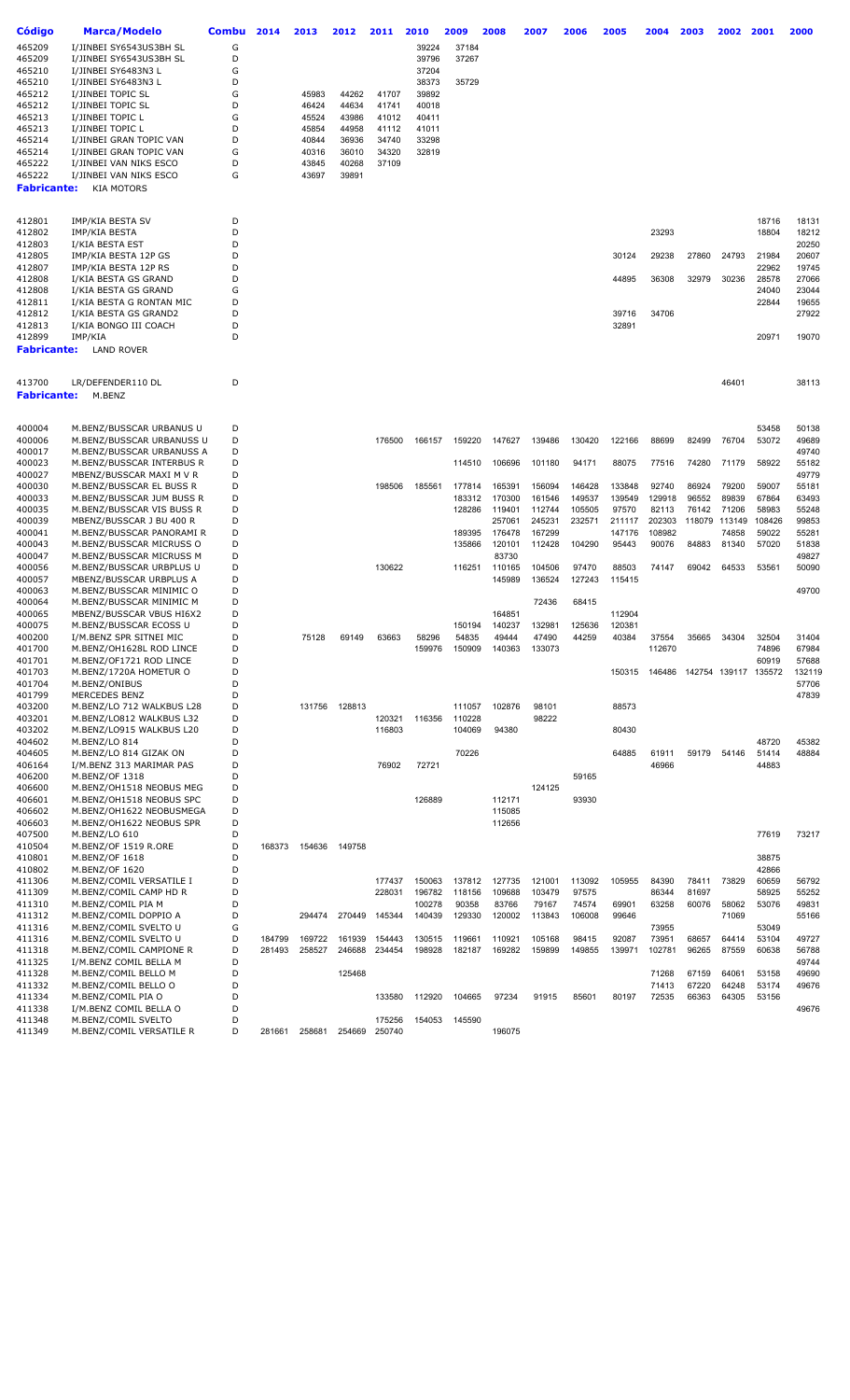| Código             | Marca/Modelo                                         | <b>Combu</b> | 2014   | 2013   | 2012   | 2011   | 2010   | 2009            | 2008   | 2007   | 2006   | 2005   | 2004   | 2003                 | 2002          | 2001   | 2000   |
|--------------------|------------------------------------------------------|--------------|--------|--------|--------|--------|--------|-----------------|--------|--------|--------|--------|--------|----------------------|---------------|--------|--------|
|                    |                                                      |              |        |        |        |        |        |                 |        |        |        |        |        |                      |               |        |        |
| 465209             | I/JINBEI SY6543US3BH SL                              | G            |        |        |        |        | 39224  | 37184           |        |        |        |        |        |                      |               |        |        |
| 465209             | I/JINBEI SY6543US3BH SL                              | D            |        |        |        |        | 39796  | 37267           |        |        |        |        |        |                      |               |        |        |
| 465210             | I/JINBEI SY6483N3 L                                  | G            |        |        |        |        | 37204  |                 |        |        |        |        |        |                      |               |        |        |
| 465210             | I/JINBEI SY6483N3 L                                  | D            |        |        |        |        | 38373  | 35729           |        |        |        |        |        |                      |               |        |        |
| 465212             | I/JINBEI TOPIC SL                                    | G            |        | 45983  | 44262  | 41707  | 39892  |                 |        |        |        |        |        |                      |               |        |        |
| 465212             | I/JINBEI TOPIC SL                                    | D            |        | 46424  | 44634  | 41741  | 40018  |                 |        |        |        |        |        |                      |               |        |        |
| 465213             | I/JINBEI TOPIC L                                     | G            |        | 45524  | 43986  | 41012  | 40411  |                 |        |        |        |        |        |                      |               |        |        |
| 465213             | I/JINBEI TOPIC L                                     | D            |        | 45854  | 44958  | 41112  | 41011  |                 |        |        |        |        |        |                      |               |        |        |
| 465214             | I/JINBEI GRAN TOPIC VAN                              | D            |        | 40844  | 36936  | 34740  | 33298  |                 |        |        |        |        |        |                      |               |        |        |
| 465214             | I/JINBEI GRAN TOPIC VAN                              | G            |        | 40316  | 36010  | 34320  | 32819  |                 |        |        |        |        |        |                      |               |        |        |
| 465222             | I/JINBEI VAN NIKS ESCO                               | D            |        | 43845  | 40268  | 37109  |        |                 |        |        |        |        |        |                      |               |        |        |
| 465222             | I/JINBEI VAN NIKS ESCO                               | G            |        | 43697  | 39891  |        |        |                 |        |        |        |        |        |                      |               |        |        |
| <b>Fabricante:</b> | <b>KIA MOTORS</b>                                    |              |        |        |        |        |        |                 |        |        |        |        |        |                      |               |        |        |
|                    |                                                      |              |        |        |        |        |        |                 |        |        |        |        |        |                      |               |        |        |
| 412801             | IMP/KIA BESTA SV                                     | D            |        |        |        |        |        |                 |        |        |        |        |        |                      |               | 18716  | 18131  |
| 412802             | IMP/KIA BESTA                                        | D            |        |        |        |        |        |                 |        |        |        |        | 23293  |                      |               | 18804  | 18212  |
| 412803             | I/KIA BESTA EST                                      | D            |        |        |        |        |        |                 |        |        |        |        |        |                      |               |        | 20250  |
| 412805             | IMP/KIA BESTA 12P GS                                 | D            |        |        |        |        |        |                 |        |        |        | 30124  | 29238  | 27860                | 24793         | 21984  | 20607  |
| 412807             | IMP/KIA BESTA 12P RS                                 | D            |        |        |        |        |        |                 |        |        |        |        |        |                      |               | 22962  | 19745  |
| 412808             | I/KIA BESTA GS GRAND                                 | D            |        |        |        |        |        |                 |        |        |        | 44895  | 36308  | 32979                | 30236         | 28578  | 27066  |
| 412808             | I/KIA BESTA GS GRAND                                 | G            |        |        |        |        |        |                 |        |        |        |        |        |                      |               | 24040  | 23044  |
| 412811             | I/KIA BESTA G RONTAN MIC                             | D            |        |        |        |        |        |                 |        |        |        |        |        |                      |               | 22844  | 19655  |
| 412812             | I/KIA BESTA GS GRAND2                                | D            |        |        |        |        |        |                 |        |        |        | 39716  | 34706  |                      |               |        | 27922  |
| 412813             | I/KIA BONGO III COACH                                | D            |        |        |        |        |        |                 |        |        |        | 32891  |        |                      |               |        |        |
| 412899             | IMP/KIA                                              | D            |        |        |        |        |        |                 |        |        |        |        |        |                      |               | 20971  | 19070  |
| <b>Fabricante:</b> | <b>LAND ROVER</b>                                    |              |        |        |        |        |        |                 |        |        |        |        |        |                      |               |        |        |
|                    |                                                      |              |        |        |        |        |        |                 |        |        |        |        |        |                      |               |        |        |
|                    |                                                      |              |        |        |        |        |        |                 |        |        |        |        |        |                      |               |        |        |
| 413700             | LR/DEFENDER110 DL                                    | D            |        |        |        |        |        |                 |        |        |        |        |        |                      | 46401         |        | 38113  |
| <b>Fabricante:</b> | M.BENZ                                               |              |        |        |        |        |        |                 |        |        |        |        |        |                      |               |        |        |
|                    |                                                      |              |        |        |        |        |        |                 |        |        |        |        |        |                      |               |        |        |
|                    |                                                      |              |        |        |        |        |        |                 |        |        |        |        |        |                      |               |        |        |
| 400004             | M.BENZ/BUSSCAR URBANUS U                             | D            |        |        |        |        |        |                 |        |        |        |        |        |                      |               | 53458  | 50138  |
| 400006             | M.BENZ/BUSSCAR URBANUSS U                            | D            |        |        |        | 176500 | 166157 | 159220          | 147627 | 139486 | 130420 | 122166 | 88699  | 82499                | 76704         | 53072  | 49689  |
| 400017             | M.BENZ/BUSSCAR URBANUSS A                            | D            |        |        |        |        |        |                 |        |        |        |        |        |                      |               |        | 49740  |
| 400023             | M.BENZ/BUSSCAR INTERBUS R                            | D            |        |        |        |        |        | 114510          | 106696 | 101180 | 94171  | 88075  | 77516  | 74280                | 71179         | 58922  | 55182  |
| 400027             | MBENZ/BUSSCAR MAXI M V R                             | D            |        |        |        |        |        |                 |        |        |        |        |        |                      |               |        | 49779  |
| 400030             | M.BENZ/BUSSCAR EL BUSS R                             | D            |        |        |        | 198506 | 185561 | 177814          | 165391 | 156094 | 146428 | 133848 | 92740  | 86924                | 79200         | 59007  | 55181  |
| 400033             | M.BENZ/BUSSCAR JUM BUSS R                            | D            |        |        |        |        |        | 183312          | 170300 | 161546 | 149537 | 139549 | 129918 | 96552                | 89839         | 67864  | 63493  |
| 400035             | M.BENZ/BUSSCAR VIS BUSS R                            | D            |        |        |        |        |        | 128286          | 119401 | 112744 | 105505 | 97570  | 82113  | 76142                | 71206         | 58983  | 55248  |
| 400039             | MBENZ/BUSSCAR J BU 400 R                             | D            |        |        |        |        |        |                 | 257061 | 245231 | 232571 | 211117 | 202303 |                      | 118079 113149 | 108426 | 99853  |
| 400041             | M.BENZ/BUSSCAR PANORAMI R                            | D            |        |        |        |        |        | 189395          | 176478 | 167299 |        | 147176 | 108982 |                      | 74858         | 59022  | 55281  |
| 400043             | M.BENZ/BUSSCAR MICRUSS O                             | D            |        |        |        |        |        | 135866          | 120101 | 112428 | 104290 | 95443  | 90076  | 84883                | 81340         | 57020  | 51838  |
| 400047             | M.BENZ/BUSSCAR MICRUSS M                             | D            |        |        |        |        |        |                 | 83730  |        |        |        |        |                      |               |        | 49827  |
| 400056             | M.BENZ/BUSSCAR URBPLUS U                             | D            |        |        |        | 130622 |        | 116251          | 110165 | 104506 | 97470  | 88503  | 74147  | 69042                | 64533         | 53561  | 50090  |
| 400057             | MBENZ/BUSSCAR URBPLUS A                              | D<br>D       |        |        |        |        |        |                 | 145989 | 136524 | 127243 | 115415 |        |                      |               |        |        |
| 400063             | M.BENZ/BUSSCAR MINIMIC O                             | D            |        |        |        |        |        |                 |        |        |        |        |        |                      |               |        | 49700  |
| 400064<br>400065   | M.BENZ/BUSSCAR MINIMIC M<br>MBENZ/BUSSCAR VBUS HI6X2 | D            |        |        |        |        |        |                 | 164851 | 72436  | 68415  | 112904 |        |                      |               |        |        |
| 400075             | M.BENZ/BUSSCAR ECOSS U                               | D            |        |        |        |        |        |                 | 140237 | 132981 | 125636 | 120381 |        |                      |               |        |        |
| 400200             | I/M.BENZ SPR SITNEI MIC                              | D            |        | 75128  | 69149  | 63663  | 58296  | 150194<br>54835 | 49444  | 47490  | 44259  | 40384  | 37554  | 35665                | 34304         | 32504  | 31404  |
| 401700             | M.BENZ/OH1628L ROD LINCE                             | D            |        |        |        |        | 159976 | 150909          | 140363 | 133073 |        |        | 112670 |                      |               | 74896  | 67984  |
| 401701             | M.BENZ/OF1721 ROD LINCE                              | D            |        |        |        |        |        |                 |        |        |        |        |        |                      |               | 60919  | 57688  |
| 401703             | M.BENZ/1720A HOMETUR O                               | D            |        |        |        |        |        |                 |        |        |        | 150315 |        | 146486 142754 139117 |               | 135572 | 132119 |
| 401704             | M.BENZ/ONIBUS                                        | D            |        |        |        |        |        |                 |        |        |        |        |        |                      |               |        | 57706  |
| 401799             | MERCEDES BENZ                                        | D            |        |        |        |        |        |                 |        |        |        |        |        |                      |               |        | 47839  |
| 403200             | M.BENZ/LO 712 WALKBUS L28                            | D            |        | 131756 | 128813 |        |        | 111057          | 102876 | 98101  |        | 88573  |        |                      |               |        |        |
| 403201             | M.BENZ/LO812 WALKBUS L32                             | D            |        |        |        | 120321 | 116356 | 110228          |        | 98222  |        |        |        |                      |               |        |        |
| 403202             | M.BENZ/LO915 WALKBUS L20                             | D            |        |        |        | 116803 |        | 104069          | 94380  |        |        | 80430  |        |                      |               |        |        |
| 404602             | M.BENZ/LO 814                                        | D            |        |        |        |        |        |                 |        |        |        |        |        |                      |               | 48720  | 45382  |
| 404605             | M.BENZ/LO 814 GIZAK ON                               | D            |        |        |        |        |        | 70226           |        |        |        | 64885  | 61911  | 59179                | 54146         | 51414  | 48884  |
| 406164             | I/M.BENZ 313 MARIMAR PAS                             | D            |        |        |        | 76902  | 72721  |                 |        |        |        |        | 46966  |                      |               | 44883  |        |
| 406200             | M.BENZ/OF 1318                                       | D            |        |        |        |        |        |                 |        |        | 59165  |        |        |                      |               |        |        |
| 406600             | M.BENZ/OH1518 NEOBUS MEG                             | D            |        |        |        |        |        |                 |        | 124125 |        |        |        |                      |               |        |        |
| 406601             | M.BENZ/OH1518 NEOBUS SPC                             | D            |        |        |        |        | 126889 |                 | 112171 |        | 93930  |        |        |                      |               |        |        |
| 406602             | M.BENZ/OH1622 NEOBUSMEGA                             | D            |        |        |        |        |        |                 | 115085 |        |        |        |        |                      |               |        |        |
| 406603             | M.BENZ/OH1622 NEOBUS SPR                             | D            |        |        |        |        |        |                 | 112656 |        |        |        |        |                      |               |        |        |
| 407500             | M.BENZ/LO 610                                        | D            |        |        |        |        |        |                 |        |        |        |        |        |                      |               | 77619  | 73217  |
| 410504             | M.BENZ/OF 1519 R.ORE                                 | D            | 168373 | 154636 | 149758 |        |        |                 |        |        |        |        |        |                      |               |        |        |
| 410801             | M.BENZ/OF 1618                                       | D            |        |        |        |        |        |                 |        |        |        |        |        |                      |               | 38875  |        |
| 410802             | M.BENZ/OF 1620                                       | D            |        |        |        |        |        |                 |        |        |        |        |        |                      |               | 42866  |        |
| 411306             | M.BENZ/COMIL VERSATILE I                             | D            |        |        |        | 177437 | 150063 | 137812          | 127735 | 121001 | 113092 | 105955 | 84390  | 78411                | 73829         | 60659  | 56792  |
| 411309             | M.BENZ/COMIL CAMP HD R                               | D            |        |        |        | 228031 | 196782 | 118156          | 109688 | 103479 | 97575  |        | 86344  | 81697                |               | 58925  | 55252  |
| 411310             | M.BENZ/COMIL PIA M                                   | D            |        |        |        |        | 100278 | 90358           | 83766  | 79167  | 74574  | 69901  | 63258  | 60076                | 58062         | 53076  | 49831  |
| 411312             | M.BENZ/COMIL DOPPIO A                                | D            |        | 294474 | 270449 | 145344 | 140439 | 129330          | 120002 | 113843 | 106008 | 99646  |        |                      | 71069         |        | 55166  |
| 411316             | M.BENZ/COMIL SVELTO U                                | G            |        |        |        |        |        |                 |        |        |        |        | 73955  |                      |               | 53049  |        |
| 411316             | M.BENZ/COMIL SVELTO U                                | D            | 184799 | 169722 | 161939 | 154443 | 130515 | 119661          | 110921 | 105168 | 98415  | 92087  | 73951  | 68657                | 64414         | 53104  | 49727  |
| 411318             | M.BENZ/COMIL CAMPIONE R                              | D            | 281493 | 258527 | 246688 | 234454 | 198928 | 182187          | 169282 | 159899 | 149855 | 139971 | 102781 | 96265                | 87559         | 60638  | 56788  |
| 411325             | I/M.BENZ COMIL BELLA M                               | D            |        |        |        |        |        |                 |        |        |        |        |        |                      |               |        | 49744  |
| 411328             | M.BENZ/COMIL BELLO M                                 | D            |        |        | 125468 |        |        |                 |        |        |        |        | 71268  | 67159                | 64061         | 53158  | 49690  |
| 411332             | M.BENZ/COMIL BELLO O                                 | D            |        |        |        |        |        |                 |        |        |        |        | 71413  | 67220                | 64248         | 53174  | 49676  |
| 411334             | M.BENZ/COMIL PIA O                                   | D            |        |        |        | 133580 | 112920 | 104665          | 97234  | 91915  | 85601  | 80197  | 72535  | 66363                | 64305         | 53156  |        |
| 411338             | I/M.BENZ COMIL BELLA O                               | D            |        |        |        |        |        |                 |        |        |        |        |        |                      |               |        | 49676  |
| 411348             | M.BENZ/COMIL SVELTO                                  | D            |        |        |        | 175256 | 154053 | 145590          |        |        |        |        |        |                      |               |        |        |
| 411349             | M.BENZ/COMIL VERSATILE R                             | D            | 281661 | 258681 | 254669 | 250740 |        |                 | 196075 |        |        |        |        |                      |               |        |        |
|                    |                                                      |              |        |        |        |        |        |                 |        |        |        |        |        |                      |               |        |        |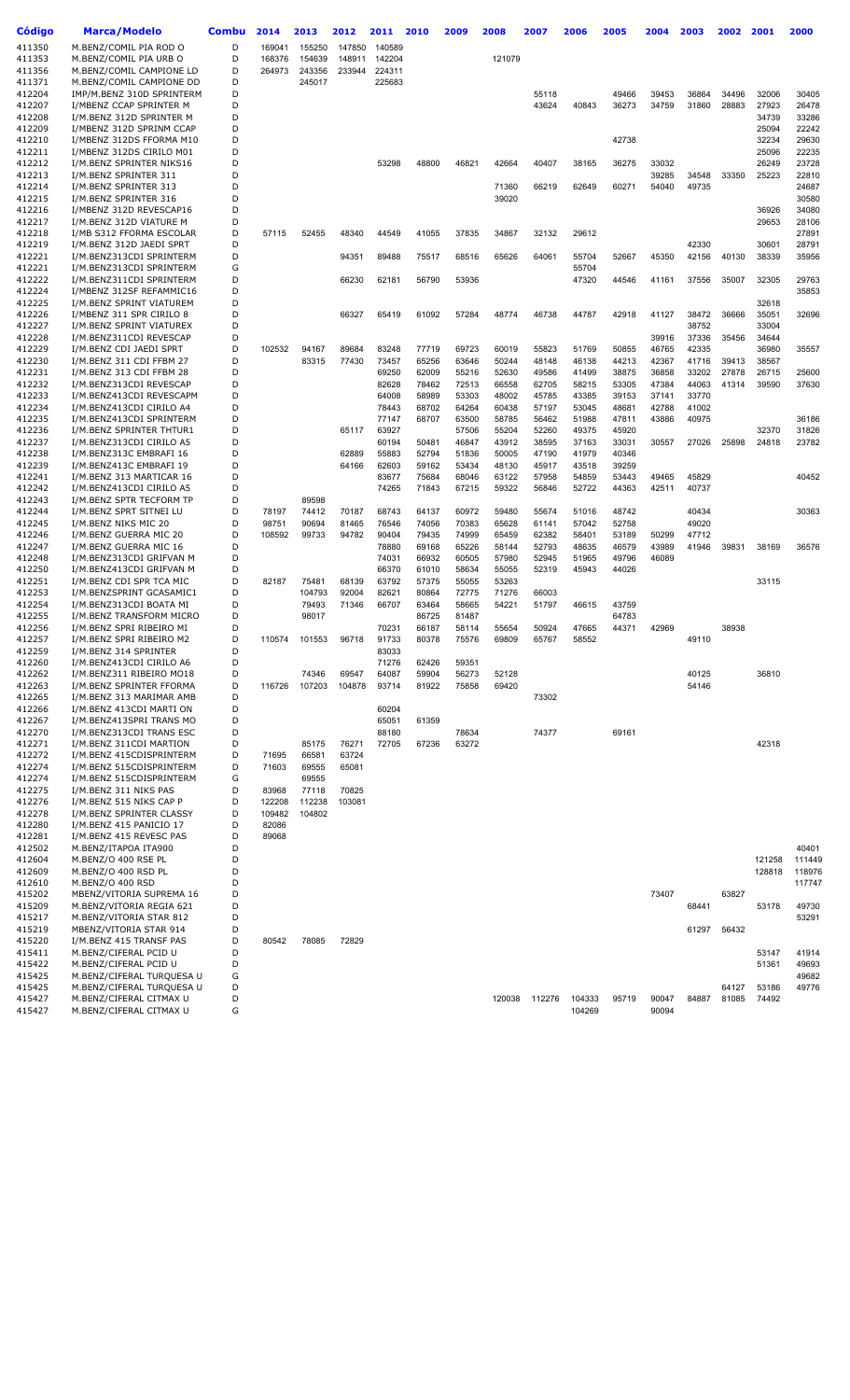| Código           | <b>Marca/Modelo</b>                                    | Combu  | 2014   | 2013           | 2012   | 2011   | 2010           | 2009           | 2008   | 2007   | 2006   | 2005           | 2004  | 2003  | 2002  | 2001   | 2000           |
|------------------|--------------------------------------------------------|--------|--------|----------------|--------|--------|----------------|----------------|--------|--------|--------|----------------|-------|-------|-------|--------|----------------|
| 411350           | M.BENZ/COMIL PIA ROD O                                 | D      | 169041 | 155250         | 147850 | 140589 |                |                |        |        |        |                |       |       |       |        |                |
| 411353           | M.BENZ/COMIL PIA URB O                                 | D      | 168376 | 154639         | 148911 | 142204 |                |                | 121079 |        |        |                |       |       |       |        |                |
| 411356           | M.BENZ/COMIL CAMPIONE LD                               | D      | 264973 | 243356         | 233944 | 224311 |                |                |        |        |        |                |       |       |       |        |                |
| 411371           | M.BENZ/COMIL CAMPIONE DD                               | D      |        | 245017         |        | 225683 |                |                |        |        |        |                |       |       |       |        |                |
| 412204           | IMP/M.BENZ 310D SPRINTERM                              | D      |        |                |        |        |                |                |        | 55118  |        | 49466          | 39453 | 36864 | 34496 | 32006  | 30405          |
| 412207           | I/MBENZ CCAP SPRINTER M                                | D      |        |                |        |        |                |                |        | 43624  | 40843  | 36273          | 34759 | 31860 | 28883 | 27923  | 26478          |
| 412208           | I/M.BENZ 312D SPRINTER M                               | D      |        |                |        |        |                |                |        |        |        |                |       |       |       | 34739  | 33286          |
| 412209           | I/MBENZ 312D SPRINM CCAP                               | D      |        |                |        |        |                |                |        |        |        |                |       |       |       | 25094  | 22242          |
| 412210           | I/MBENZ 312DS FFORMA M10                               | D      |        |                |        |        |                |                |        |        |        | 42738          |       |       |       | 32234  | 29630          |
| 412211           | I/MBENZ 312DS CIRILO M01                               | D      |        |                |        |        |                |                |        |        |        |                |       |       |       | 25096  | 22235          |
| 412212           | I/M.BENZ SPRINTER NIKS16                               | D      |        |                |        | 53298  | 48800          | 46821          | 42664  | 40407  | 38165  | 36275          | 33032 |       |       | 26249  | 23728          |
| 412213           | I/M.BENZ SPRINTER 311                                  | D      |        |                |        |        |                |                |        |        |        |                | 39285 | 34548 | 33350 | 25223  | 22810          |
| 412214           | I/M.BENZ SPRINTER 313                                  | D      |        |                |        |        |                |                | 71360  | 66219  | 62649  | 60271          | 54040 | 49735 |       |        | 24687          |
| 412215           | I/M.BENZ SPRINTER 316                                  | D      |        |                |        |        |                |                | 39020  |        |        |                |       |       |       |        | 30580          |
| 412216           | I/MBENZ 312D REVESCAP16                                | D      |        |                |        |        |                |                |        |        |        |                |       |       |       | 36926  | 34080          |
| 412217           | I/M.BENZ 312D VIATURE M                                | D      |        |                |        |        |                |                |        |        |        |                |       |       |       | 29653  | 28106          |
| 412218           | I/MB S312 FFORMA ESCOLAR                               | D      | 57115  | 52455          | 48340  | 44549  | 41055          | 37835          | 34867  | 32132  | 29612  |                |       |       |       |        | 27891          |
| 412219           | I/M.BENZ 312D JAEDI SPRT                               | D      |        |                |        |        |                |                |        |        |        |                |       | 42330 |       | 30601  | 28791          |
| 412221           | I/M.BENZ313CDI SPRINTERM                               | D      |        |                | 94351  | 89488  | 75517          | 68516          | 65626  | 64061  | 55704  | 52667          | 45350 | 42156 | 40130 | 38339  | 35956          |
| 412221           | I/M.BENZ313CDI SPRINTERM                               | G<br>D |        |                |        |        |                |                |        |        | 55704  |                |       |       |       |        |                |
| 412222<br>412224 | I/M.BENZ311CDI SPRINTERM<br>I/MBENZ 312SF REFAMMIC16   | D      |        |                | 66230  | 62181  | 56790          | 53936          |        |        | 47320  | 44546          | 41161 | 37556 | 35007 | 32305  | 29763<br>35853 |
| 412225           | I/M.BENZ SPRINT VIATUREM                               | D      |        |                |        |        |                |                |        |        |        |                |       |       |       | 32618  |                |
| 412226           | I/MBENZ 311 SPR CIRILO 8                               | D      |        |                | 66327  | 65419  | 61092          | 57284          | 48774  | 46738  | 44787  | 42918          | 41127 | 38472 | 36666 | 35051  | 32696          |
| 412227           | I/M.BENZ SPRINT VIATUREX                               | D      |        |                |        |        |                |                |        |        |        |                |       | 38752 |       | 33004  |                |
| 412228           | I/M.BENZ311CDI REVESCAP                                | D      |        |                |        |        |                |                |        |        |        |                | 39916 | 37336 | 35456 | 34644  |                |
| 412229           | I/M.BENZ CDI JAEDI SPRT                                | D      | 102532 | 94167          | 89684  | 83248  | 77719          | 69723          | 60019  | 55823  | 51769  | 50855          | 46765 | 42335 |       | 36980  | 35557          |
| 412230           | I/M.BENZ 311 CDI FFBM 27                               | D      |        | 83315          | 77430  | 73457  | 65256          | 63646          | 50244  | 48148  | 46138  | 44213          | 42367 | 41716 | 39413 | 38567  |                |
| 412231           | I/M.BENZ 313 CDI FFBM 28                               | D      |        |                |        | 69250  | 62009          | 55216          | 52630  | 49586  | 41499  | 38875          | 36858 | 33202 | 27878 | 26715  | 25600          |
| 412232           | I/M.BENZ313CDI REVESCAP                                | D      |        |                |        | 82628  | 78462          | 72513          | 66558  | 62705  | 58215  | 53305          | 47384 | 44063 | 41314 | 39590  | 37630          |
| 412233           | I/M.BENZ413CDI REVESCAPM                               | D      |        |                |        | 64008  | 58989          | 53303          | 48002  | 45785  | 43385  | 39153          | 37141 | 33770 |       |        |                |
| 412234           | I/M.BENZ413CDI CIRILO A4                               | D      |        |                |        | 78443  | 68702          | 64264          | 60438  | 57197  | 53045  | 48681          | 42788 | 41002 |       |        |                |
| 412235           | I/M.BENZ413CDI SPRINTERM                               | D      |        |                |        | 77147  | 68707          | 63500          | 58785  | 56462  | 51988  | 47811          | 43886 | 40975 |       |        | 36186          |
| 412236           | I/M.BENZ SPRINTER THTUR1                               | D      |        |                | 65117  | 63927  |                | 57506          | 55204  | 52260  | 49375  | 45920          |       |       |       | 32370  | 31826          |
| 412237           | I/M.BENZ313CDI CIRILO A5                               | D      |        |                |        | 60194  | 50481          | 46847          | 43912  | 38595  | 37163  | 33031          | 30557 | 27026 | 25898 | 24818  | 23782          |
| 412238           | I/M.BENZ313C EMBRAFI 16                                | D      |        |                | 62889  | 55883  | 52794          | 51836          | 50005  | 47190  | 41979  | 40346          |       |       |       |        |                |
| 412239           | I/M.BENZ413C EMBRAFI 19                                | D      |        |                | 64166  | 62603  | 59162          | 53434          | 48130  | 45917  | 43518  | 39259          |       |       |       |        |                |
| 412241           | I/M.BENZ 313 MARTICAR 16                               | D      |        |                |        | 83677  | 75684          | 68046          | 63122  | 57958  | 54859  | 53443          | 49465 | 45829 |       |        | 40452          |
| 412242           | I/M.BENZ413CDI CIRILO A5                               | D      |        |                |        | 74265  | 71843          | 67215          | 59322  | 56846  | 52722  | 44363          | 42511 | 40737 |       |        |                |
| 412243           | I/M.BENZ SPTR TECFORM TP                               | D      |        | 89598          |        |        |                |                |        |        |        |                |       |       |       |        |                |
| 412244           | I/M.BENZ SPRT SITNEI LU                                | D      | 78197  | 74412          | 70187  | 68743  | 64137          | 60972          | 59480  | 55674  | 51016  | 48742          |       | 40434 |       |        | 30363          |
| 412245           | I/M.BENZ NIKS MIC 20                                   | D      | 98751  | 90694          | 81465  | 76546  | 74056          | 70383          | 65628  | 61141  | 57042  | 52758          |       | 49020 |       |        |                |
| 412246           | I/M.BENZ GUERRA MIC 20                                 | D      | 108592 | 99733          | 94782  | 90404  | 79435          | 74999          | 65459  | 62382  | 58401  | 53189          | 50299 | 47712 |       |        |                |
| 412247           | I/M.BENZ GUERRA MIC 16                                 | D      |        |                |        | 78880  | 69168          | 65226          | 58144  | 52793  | 48635  | 46579          | 43989 | 41946 | 39831 | 38169  | 36576          |
| 412248           | I/M.BENZ313CDI GRIFVAN M                               | D      |        |                |        | 74031  | 66932          | 60505          | 57980  | 52945  | 51965  | 49796          | 46089 |       |       |        |                |
| 412250           | I/M.BENZ413CDI GRIFVAN M                               | D      |        |                |        | 66370  | 61010          | 58634          | 55055  | 52319  | 45943  | 44026          |       |       |       |        |                |
| 412251           | I/M.BENZ CDI SPR TCA MIC                               | D      | 82187  | 75481          | 68139  | 63792  | 57375          | 55055          | 53263  |        |        |                |       |       |       | 33115  |                |
| 412253           | I/M.BENZSPRINT GCASAMIC1                               | D      |        | 104793         | 92004  | 82621  | 80864          | 72775          | 71276  | 66003  |        |                |       |       |       |        |                |
| 412254<br>412255 | I/M.BENZ313CDI BOATA MI                                | D<br>D |        | 79493<br>98017 | 71346  | 66707  | 63464          | 58665<br>81487 | 54221  | 51797  | 46615  | 43759<br>64783 |       |       |       |        |                |
| 412256           | I/M.BENZ TRANSFORM MICRO<br>I/M.BENZ SPRI RIBEIRO MI   | D      |        |                |        | 70231  | 86725<br>66187 | 58114          | 55654  | 50924  | 47665  | 44371          | 42969 |       | 38938 |        |                |
| 412257           | I/M.BENZ SPRI RIBEIRO M2                               | D      | 110574 | 101553         | 96718  | 91733  | 80378          | 75576          | 69809  | 65767  | 58552  |                |       | 49110 |       |        |                |
| 412259           | I/M.BENZ 314 SPRINTER                                  | D      |        |                |        | 83033  |                |                |        |        |        |                |       |       |       |        |                |
| 412260           | I/M.BENZ413CDI CIRILO A6                               | D      |        |                |        | 71276  | 62426          | 59351          |        |        |        |                |       |       |       |        |                |
| 412262           | I/M.BENZ311 RIBEIRO MO18                               | D      |        | 74346          | 69547  | 64087  | 59904          | 56273          | 52128  |        |        |                |       | 40125 |       | 36810  |                |
| 412263           | I/M.BENZ SPRINTER FFORMA                               | D      | 116726 | 107203         | 104878 | 93714  | 81922          | 75858          | 69420  |        |        |                |       | 54146 |       |        |                |
| 412265           | I/M.BENZ 313 MARIMAR AMB                               | D      |        |                |        |        |                |                |        | 73302  |        |                |       |       |       |        |                |
| 412266           | I/M.BENZ 413CDI MARTI ON                               | D      |        |                |        | 60204  |                |                |        |        |        |                |       |       |       |        |                |
| 412267           | I/M.BENZ413SPRI TRANS MO                               | D      |        |                |        | 65051  | 61359          |                |        |        |        |                |       |       |       |        |                |
| 412270           | I/M.BENZ313CDI TRANS ESC                               | D      |        |                |        | 88180  |                | 78634          |        | 74377  |        | 69161          |       |       |       |        |                |
| 412271           | I/M.BENZ 311CDI MARTION                                | D      |        | 85175          | 76271  | 72705  | 67236          | 63272          |        |        |        |                |       |       |       | 42318  |                |
| 412272           | I/M.BENZ 415CDISPRINTERM                               | D      | 71695  | 66581          | 63724  |        |                |                |        |        |        |                |       |       |       |        |                |
| 412274           | I/M.BENZ 515CDISPRINTERM                               | D      | 71603  | 69555          | 65081  |        |                |                |        |        |        |                |       |       |       |        |                |
| 412274           | I/M.BENZ 515CDISPRINTERM                               | G      |        | 69555          |        |        |                |                |        |        |        |                |       |       |       |        |                |
| 412275           | I/M.BENZ 311 NIKS PAS                                  | D      | 83968  | 77118          | 70825  |        |                |                |        |        |        |                |       |       |       |        |                |
| 412276           | I/M.BENZ 515 NIKS CAP P                                | D      | 122208 | 112238         | 103081 |        |                |                |        |        |        |                |       |       |       |        |                |
| 412278           | I/M.BENZ SPRINTER CLASSY                               | D      | 109482 | 104802         |        |        |                |                |        |        |        |                |       |       |       |        |                |
| 412280           | I/M.BENZ 415 PANICIO 17                                | D      | 82086  |                |        |        |                |                |        |        |        |                |       |       |       |        |                |
| 412281           | I/M.BENZ 415 REVESC PAS                                | D      | 89068  |                |        |        |                |                |        |        |        |                |       |       |       |        |                |
| 412502           | M.BENZ/ITAPOA ITA900                                   | D      |        |                |        |        |                |                |        |        |        |                |       |       |       |        | 40401          |
| 412604           | M.BENZ/O 400 RSE PL                                    | D      |        |                |        |        |                |                |        |        |        |                |       |       |       | 121258 | 111449         |
| 412609           | M.BENZ/O 400 RSD PL                                    | D      |        |                |        |        |                |                |        |        |        |                |       |       |       | 128818 | 118976         |
| 412610           | M.BENZ/O 400 RSD                                       | D      |        |                |        |        |                |                |        |        |        |                |       |       |       |        | 117747         |
| 415202           | MBENZ/VITORIA SUPREMA 16                               | D      |        |                |        |        |                |                |        |        |        |                | 73407 |       | 63827 |        |                |
| 415209           | M.BENZ/VITORIA REGIA 621                               | D      |        |                |        |        |                |                |        |        |        |                |       | 68441 |       | 53178  | 49730          |
| 415217           | M.BENZ/VITORIA STAR 812                                | D      |        |                |        |        |                |                |        |        |        |                |       |       |       |        | 53291          |
| 415219           | MBENZ/VITORIA STAR 914                                 | D      |        |                |        |        |                |                |        |        |        |                |       | 61297 | 56432 |        |                |
| 415220           | I/M.BENZ 415 TRANSF PAS                                | D      | 80542  | 78085          | 72829  |        |                |                |        |        |        |                |       |       |       |        |                |
| 415411           | M.BENZ/CIFERAL PCID U                                  | D      |        |                |        |        |                |                |        |        |        |                |       |       |       | 53147  | 41914          |
| 415422           | M.BENZ/CIFERAL PCID U                                  | D      |        |                |        |        |                |                |        |        |        |                |       |       |       | 51361  | 49693          |
| 415425<br>415425 | M.BENZ/CIFERAL TURQUESA U<br>M.BENZ/CIFERAL TURQUESA U | G<br>D |        |                |        |        |                |                |        |        |        |                |       |       | 64127 | 53186  | 49682<br>49776 |
| 415427           | M.BENZ/CIFERAL CITMAX U                                | D      |        |                |        |        |                |                | 120038 | 112276 | 104333 | 95719          | 90047 | 84887 | 81085 | 74492  |                |
| 415427           | M.BENZ/CIFERAL CITMAX U                                | G      |        |                |        |        |                |                |        |        | 104269 |                | 90094 |       |       |        |                |
|                  |                                                        |        |        |                |        |        |                |                |        |        |        |                |       |       |       |        |                |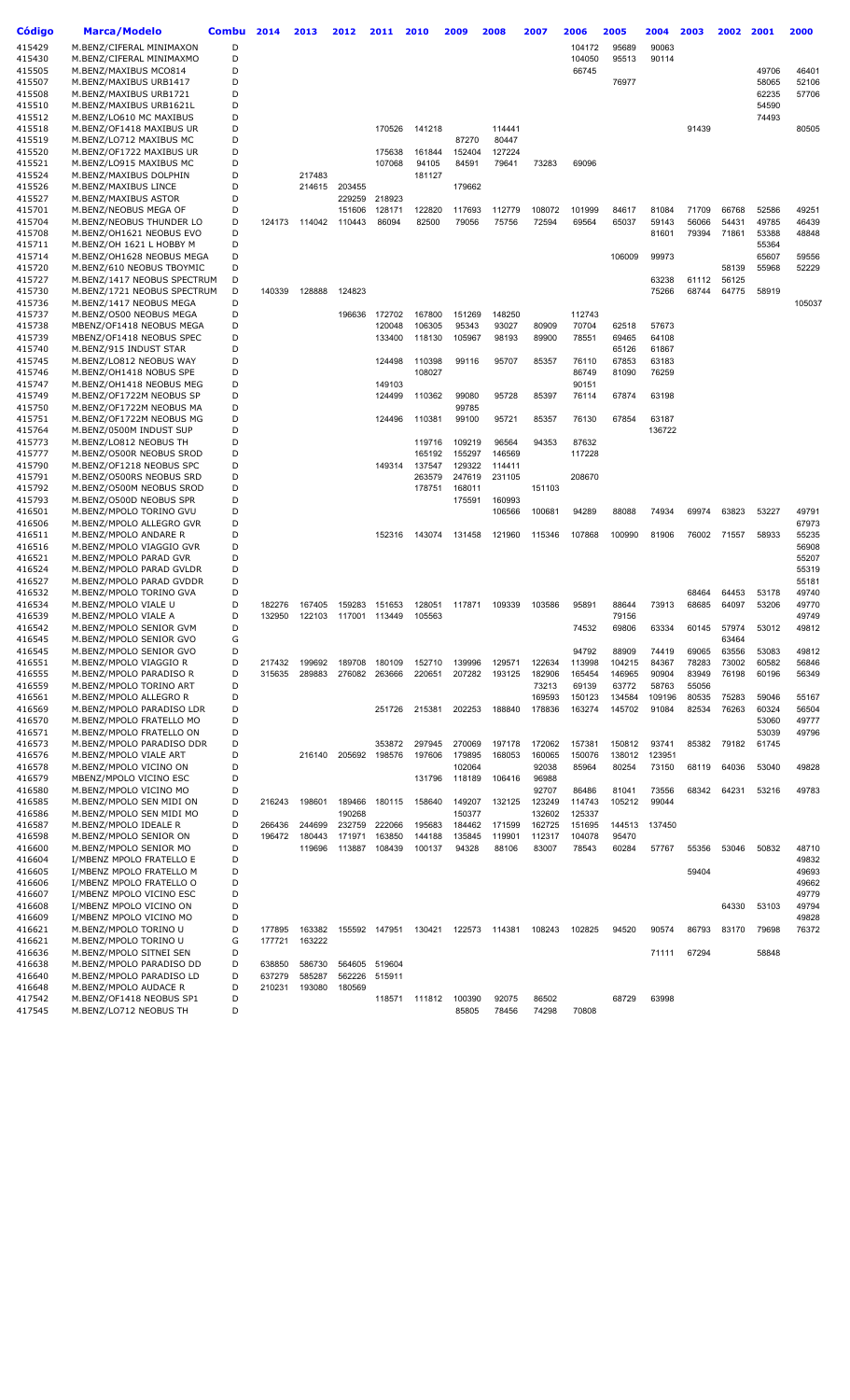| <b>Código</b>    | <b>Marca/Modelo</b>                                  | <b>Combu</b> | 2014   | 2013   | 2012   | 2011          | 2010             | 2009             | 2008   | 2007   | 2006            | 2005   | 2004   | 2003  | 2002  | 2001  | 2000           |
|------------------|------------------------------------------------------|--------------|--------|--------|--------|---------------|------------------|------------------|--------|--------|-----------------|--------|--------|-------|-------|-------|----------------|
|                  |                                                      |              |        |        |        |               |                  |                  |        |        |                 |        |        |       |       |       |                |
| 415429           | M.BENZ/CIFERAL MINIMAXON                             | D<br>D       |        |        |        |               |                  |                  |        |        | 104172          | 95689  | 90063  |       |       |       |                |
| 415430           | M.BENZ/CIFERAL MINIMAXMO                             | D            |        |        |        |               |                  |                  |        |        | 104050<br>66745 | 95513  | 90114  |       |       | 49706 | 46401          |
| 415505<br>415507 | M.BENZ/MAXIBUS MCO814<br>M.BENZ/MAXIBUS URB1417      | D            |        |        |        |               |                  |                  |        |        |                 | 76977  |        |       |       | 58065 | 52106          |
| 415508           | M.BENZ/MAXIBUS URB1721                               | D            |        |        |        |               |                  |                  |        |        |                 |        |        |       |       | 62235 | 57706          |
| 415510           | M.BENZ/MAXIBUS URB1621L                              | D            |        |        |        |               |                  |                  |        |        |                 |        |        |       |       | 54590 |                |
| 415512           | M.BENZ/LO610 MC MAXIBUS                              | D            |        |        |        |               |                  |                  |        |        |                 |        |        |       |       | 74493 |                |
| 415518           | M.BENZ/OF1418 MAXIBUS UR                             | D            |        |        |        | 170526        | 141218           |                  | 114441 |        |                 |        |        | 91439 |       |       | 80505          |
| 415519           | M.BENZ/LO712 MAXIBUS MC                              | D            |        |        |        |               |                  | 87270            | 80447  |        |                 |        |        |       |       |       |                |
| 415520           | M.BENZ/OF1722 MAXIBUS UR                             | D            |        |        |        | 175638        | 161844           | 152404           | 127224 |        |                 |        |        |       |       |       |                |
| 415521           | M.BENZ/LO915 MAXIBUS MC                              | D            |        |        |        | 107068        | 94105            | 84591            | 79641  | 73283  | 69096           |        |        |       |       |       |                |
| 415524           | M.BENZ/MAXIBUS DOLPHIN                               | D            |        | 217483 |        |               | 181127           |                  |        |        |                 |        |        |       |       |       |                |
| 415526           | M.BENZ/MAXIBUS LINCE                                 | D            |        | 214615 | 203455 |               |                  | 179662           |        |        |                 |        |        |       |       |       |                |
| 415527           | M.BENZ/MAXIBUS ASTOR                                 | D            |        |        | 229259 | 218923        |                  |                  |        |        |                 |        |        |       |       |       |                |
| 415701           | M.BENZ/NEOBUS MEGA OF                                | D            |        |        | 151606 | 128171        | 122820           | 117693           | 112779 | 108072 | 101999          | 84617  | 81084  | 71709 | 66768 | 52586 | 49251          |
| 415704           | M.BENZ/NEOBUS THUNDER LO                             | D            | 124173 | 114042 | 110443 | 86094         | 82500            | 79056            | 75756  | 72594  | 69564           | 65037  | 59143  | 56066 | 54431 | 49785 | 46439          |
| 415708           | M.BENZ/OH1621 NEOBUS EVO                             | D            |        |        |        |               |                  |                  |        |        |                 |        | 81601  | 79394 | 71861 | 53388 | 48848          |
| 415711           | M.BENZ/OH 1621 L HOBBY M                             | D            |        |        |        |               |                  |                  |        |        |                 |        |        |       |       | 55364 |                |
| 415714           | M.BENZ/OH1628 NEOBUS MEGA                            | D            |        |        |        |               |                  |                  |        |        |                 | 106009 | 99973  |       |       | 65607 | 59556          |
| 415720           | M.BENZ/610 NEOBUS TBOYMIC                            | D            |        |        |        |               |                  |                  |        |        |                 |        |        |       | 58139 | 55968 | 52229          |
| 415727           | M.BENZ/1417 NEOBUS SPECTRUM                          | D            |        |        |        |               |                  |                  |        |        |                 |        | 63238  | 61112 | 56125 |       |                |
| 415730           | M.BENZ/1721 NEOBUS SPECTRUM                          | D            | 140339 | 128888 | 124823 |               |                  |                  |        |        |                 |        | 75266  | 68744 | 64775 | 58919 |                |
| 415736           | M.BENZ/1417 NEOBUS MEGA                              | D            |        |        |        |               |                  |                  |        |        |                 |        |        |       |       |       | 105037         |
| 415737           | M.BENZ/O500 NEOBUS MEGA                              | D            |        |        |        | 196636 172702 | 167800           | 151269           | 148250 |        | 112743          |        |        |       |       |       |                |
| 415738           | MBENZ/OF1418 NEOBUS MEGA                             | D            |        |        |        | 120048        | 106305           | 95343            | 93027  | 80909  | 70704           | 62518  | 57673  |       |       |       |                |
| 415739           | MBENZ/OF1418 NEOBUS SPEC                             | D            |        |        |        | 133400        | 118130           | 105967           | 98193  | 89900  | 78551           | 69465  | 64108  |       |       |       |                |
| 415740           | M.BENZ/915 INDUST STAR                               | D            |        |        |        |               |                  |                  |        |        |                 | 65126  | 61867  |       |       |       |                |
| 415745           | M.BENZ/LO812 NEOBUS WAY                              | D            |        |        |        | 124498        | 110398           | 99116            | 95707  | 85357  | 76110           | 67853  | 63183  |       |       |       |                |
| 415746           | M.BENZ/OH1418 NOBUS SPE                              | D            |        |        |        |               | 108027           |                  |        |        | 86749           | 81090  | 76259  |       |       |       |                |
| 415747           | M.BENZ/OH1418 NEOBUS MEG                             | D            |        |        |        | 149103        |                  |                  |        |        | 90151           |        |        |       |       |       |                |
| 415749           | M.BENZ/OF1722M NEOBUS SP                             | D            |        |        |        | 124499        | 110362           | 99080            | 95728  | 85397  | 76114           | 67874  | 63198  |       |       |       |                |
| 415750           | M.BENZ/OF1722M NEOBUS MA                             | D            |        |        |        |               |                  | 99785            |        |        |                 |        |        |       |       |       |                |
| 415751           | M.BENZ/OF1722M NEOBUS MG                             | D            |        |        |        | 124496        | 110381           | 99100            | 95721  | 85357  | 76130           | 67854  | 63187  |       |       |       |                |
| 415764           | M.BENZ/0500M INDUST SUP                              | D            |        |        |        |               |                  |                  |        |        |                 |        | 136722 |       |       |       |                |
| 415773           | M.BENZ/LO812 NEOBUS TH                               | D            |        |        |        |               | 119716           | 109219           | 96564  | 94353  | 87632           |        |        |       |       |       |                |
| 415777           | M.BENZ/O500R NEOBUS SROD                             | D            |        |        |        |               | 165192           | 155297           | 146569 |        | 117228          |        |        |       |       |       |                |
| 415790           | M.BENZ/OF1218 NEOBUS SPC                             | D            |        |        |        | 149314        | 137547           | 129322           | 114411 |        |                 |        |        |       |       |       |                |
| 415791           | M.BENZ/O500RS NEOBUS SRD                             | D<br>D       |        |        |        |               | 263579<br>178751 | 247619<br>168011 | 231105 | 151103 | 208670          |        |        |       |       |       |                |
| 415792<br>415793 | M.BENZ/O500M NEOBUS SROD<br>M.BENZ/O500D NEOBUS SPR  | D            |        |        |        |               |                  | 175591           | 160993 |        |                 |        |        |       |       |       |                |
| 416501           | M.BENZ/MPOLO TORINO GVU                              | D            |        |        |        |               |                  |                  | 106566 | 100681 | 94289           | 88088  | 74934  | 69974 | 63823 | 53227 | 49791          |
| 416506           | M.BENZ/MPOLO ALLEGRO GVR                             | D            |        |        |        |               |                  |                  |        |        |                 |        |        |       |       |       | 67973          |
| 416511           | M.BENZ/MPOLO ANDARE R                                | D            |        |        |        | 152316        | 143074           | 131458           | 121960 | 115346 | 107868          | 100990 | 81906  | 76002 | 71557 | 58933 | 55235          |
| 416516           | M.BENZ/MPOLO VIAGGIO GVR                             | D            |        |        |        |               |                  |                  |        |        |                 |        |        |       |       |       | 56908          |
| 416521           | M.BENZ/MPOLO PARAD GVR                               | D            |        |        |        |               |                  |                  |        |        |                 |        |        |       |       |       | 55207          |
| 416524           | M.BENZ/MPOLO PARAD GVLDR                             | D            |        |        |        |               |                  |                  |        |        |                 |        |        |       |       |       | 55319          |
| 416527           | M.BENZ/MPOLO PARAD GVDDR                             | D            |        |        |        |               |                  |                  |        |        |                 |        |        |       |       |       | 55181          |
| 416532           | M.BENZ/MPOLO TORINO GVA                              | D            |        |        |        |               |                  |                  |        |        |                 |        |        | 68464 | 64453 | 53178 | 49740          |
| 416534           | M.BENZ/MPOLO VIALE U                                 | D            | 182276 | 167405 | 159283 | 151653        | 128051           | 117871           | 109339 | 103586 | 95891           | 88644  | 73913  | 68685 | 64097 | 53206 | 49770          |
| 416539           | M.BENZ/MPOLO VIALE A                                 | D            | 132950 | 122103 |        | 117001 113449 | 105563           |                  |        |        |                 | 79156  |        |       |       |       | 49749          |
| 416542           | M.BENZ/MPOLO SENIOR GVM                              | D            |        |        |        |               |                  |                  |        |        | 74532           | 69806  | 63334  | 60145 | 57974 | 53012 | 49812          |
| 416545           | M.BENZ/MPOLO SENIOR GVO                              | G            |        |        |        |               |                  |                  |        |        |                 |        |        |       | 63464 |       |                |
| 416545           | M.BENZ/MPOLO SENIOR GVO                              | D            |        |        |        |               |                  |                  |        |        | 94792           | 88909  | 74419  | 69065 | 63556 | 53083 | 49812          |
| 416551           | M.BENZ/MPOLO VIAGGIO R                               | D            | 217432 | 199692 | 189708 | 180109        | 152710           | 139996           | 129571 | 122634 | 113998          | 104215 | 84367  | 78283 | 73002 | 60582 | 56846          |
| 416555           | M.BENZ/MPOLO PARADISO R                              | D            | 315635 | 289883 | 276082 | 263666        | 220651           | 207282           | 193125 | 182906 | 165454          | 146965 | 90904  | 83949 | 76198 | 60196 | 56349          |
| 416559           | M.BENZ/MPOLO TORINO ART                              | D            |        |        |        |               |                  |                  |        | 73213  | 69139           | 63772  | 58763  | 55056 |       |       |                |
| 416561           | M.BENZ/MPOLO ALLEGRO R                               | D            |        |        |        |               |                  |                  |        | 169593 | 150123          | 134584 | 109196 | 80535 | 75283 | 59046 | 55167          |
| 416569           | M.BENZ/MPOLO PARADISO LDR                            | D            |        |        |        | 251726        | 215381           | 202253           | 188840 | 178836 | 163274          | 145702 | 91084  | 82534 | 76263 | 60324 | 56504          |
| 416570           | M.BENZ/MPOLO FRATELLO MO                             | D            |        |        |        |               |                  |                  |        |        |                 |        |        |       |       | 53060 | 49777          |
| 416571           | M.BENZ/MPOLO FRATELLO ON                             | D            |        |        |        |               |                  |                  |        |        |                 |        |        |       |       | 53039 | 49796          |
| 416573           | M.BENZ/MPOLO PARADISO DDR                            | D            |        |        |        | 353872        | 297945           | 270069           | 197178 | 172062 | 157381          | 150812 | 93741  | 85382 | 79182 | 61745 |                |
| 416576           | M.BENZ/MPOLO VIALE ART                               | D            |        | 216140 | 205692 | 198576        | 197606           | 179895           | 168053 | 160065 | 150076          | 138012 | 123951 |       |       |       |                |
| 416578           | M.BENZ/MPOLO VICINO ON                               | D            |        |        |        |               |                  | 102064           |        | 92038  | 85964           | 80254  | 73150  | 68119 | 64036 | 53040 | 49828          |
| 416579           | MBENZ/MPOLO VICINO ESC                               | D            |        |        |        |               | 131796           | 118189           | 106416 | 96988  |                 |        |        |       |       |       |                |
| 416580           | M.BENZ/MPOLO VICINO MO                               | D            |        |        |        |               |                  |                  |        | 92707  | 86486           | 81041  | 73556  | 68342 | 64231 | 53216 | 49783          |
| 416585           | M.BENZ/MPOLO SEN MIDI ON                             | D            | 216243 | 198601 | 189466 | 180115        | 158640           | 149207           | 132125 | 123249 | 114743          | 105212 | 99044  |       |       |       |                |
| 416586           | M.BENZ/MPOLO SEN MIDI MO                             | D            |        |        | 190268 |               |                  | 150377           |        | 132602 | 125337          |        |        |       |       |       |                |
| 416587           | M.BENZ/MPOLO IDEALE R                                | D            | 266436 | 244699 | 232759 | 222066        | 195683           | 184462           | 171599 | 162725 | 151695          | 144513 | 137450 |       |       |       |                |
| 416598           | M.BENZ/MPOLO SENIOR ON                               | D            | 196472 | 180443 | 171971 | 163850        | 144188           | 135845           | 119901 | 112317 | 104078          | 95470  |        |       |       |       |                |
| 416600           | M.BENZ/MPOLO SENIOR MO                               | D            |        | 119696 | 113887 | 108439        | 100137           | 94328            | 88106  | 83007  | 78543           | 60284  | 57767  | 55356 | 53046 | 50832 | 48710          |
| 416604<br>416605 | I/MBENZ MPOLO FRATELLO E<br>I/MBENZ MPOLO FRATELLO M | D<br>D       |        |        |        |               |                  |                  |        |        |                 |        |        | 59404 |       |       | 49832<br>49693 |
| 416606           | I/MBENZ MPOLO FRATELLO O                             | D            |        |        |        |               |                  |                  |        |        |                 |        |        |       |       |       | 49662          |
| 416607           | I/MBENZ MPOLO VICINO ESC                             | D            |        |        |        |               |                  |                  |        |        |                 |        |        |       |       |       | 49779          |
| 416608           | I/MBENZ MPOLO VICINO ON                              | D            |        |        |        |               |                  |                  |        |        |                 |        |        |       | 64330 | 53103 | 49794          |
| 416609           | I/MBENZ MPOLO VICINO MO                              | D            |        |        |        |               |                  |                  |        |        |                 |        |        |       |       |       | 49828          |
| 416621           | M.BENZ/MPOLO TORINO U                                | D            | 177895 | 163382 | 155592 | 147951        | 130421           | 122573           | 114381 | 108243 | 102825          | 94520  | 90574  | 86793 | 83170 | 79698 | 76372          |
| 416621           | M.BENZ/MPOLO TORINO U                                | G            | 177721 | 163222 |        |               |                  |                  |        |        |                 |        |        |       |       |       |                |
| 416636           | M.BENZ/MPOLO SITNEI SEN                              | D            |        |        |        |               |                  |                  |        |        |                 |        | 71111  | 67294 |       | 58848 |                |
| 416638           | M.BENZ/MPOLO PARADISO DD                             | D            | 638850 | 586730 | 564605 | 519604        |                  |                  |        |        |                 |        |        |       |       |       |                |
| 416640           | M.BENZ/MPOLO PARADISO LD                             | D            | 637279 | 585287 | 562226 | 515911        |                  |                  |        |        |                 |        |        |       |       |       |                |
| 416648           | M.BENZ/MPOLO AUDACE R                                | D            | 210231 | 193080 | 180569 |               |                  |                  |        |        |                 |        |        |       |       |       |                |
| 417542           | M.BENZ/OF1418 NEOBUS SP1                             | D            |        |        |        | 118571        | 111812           | 100390           | 92075  | 86502  |                 | 68729  | 63998  |       |       |       |                |
| 417545           | M.BENZ/LO712 NEOBUS TH                               | D            |        |        |        |               |                  | 85805            | 78456  | 74298  | 70808           |        |        |       |       |       |                |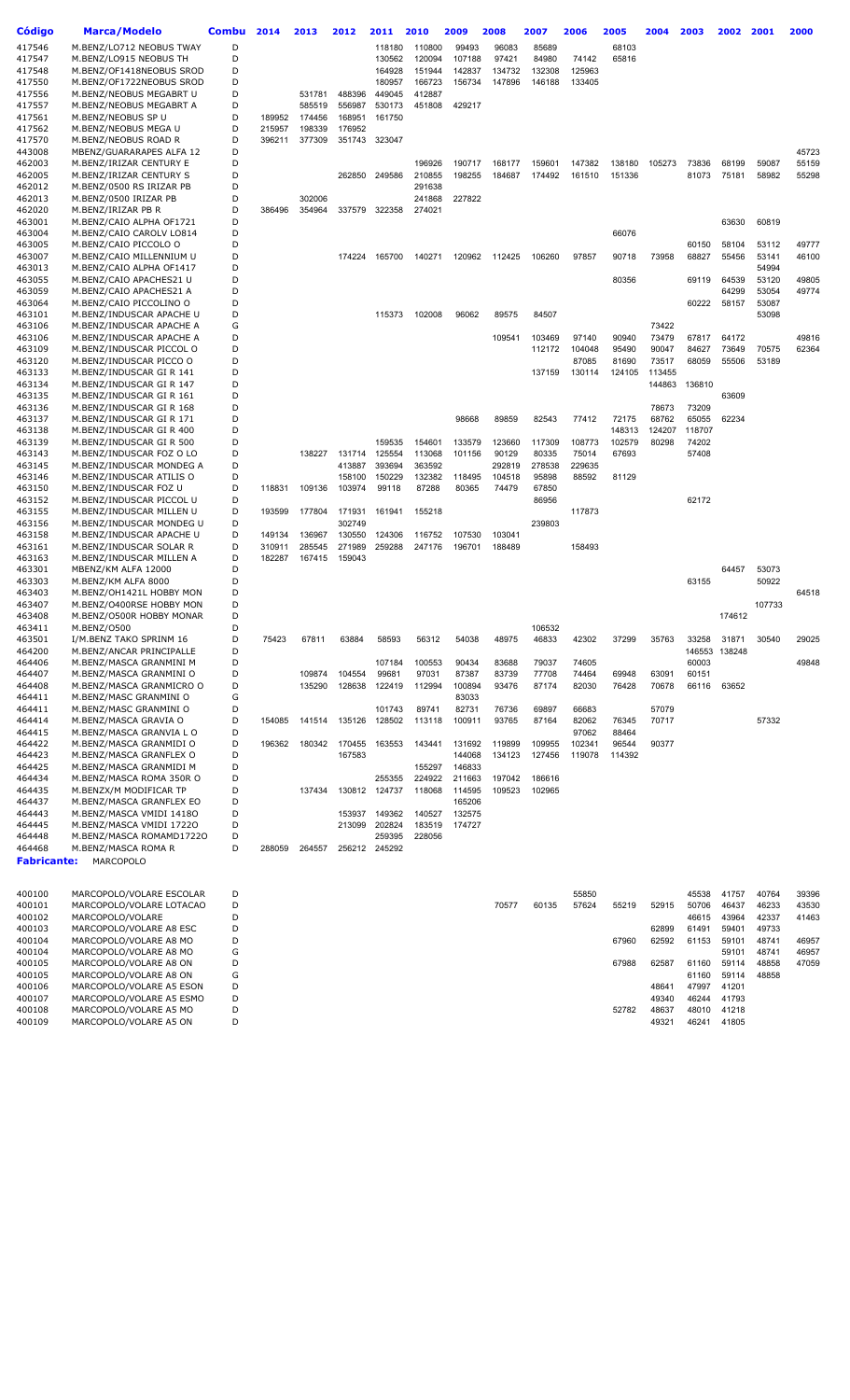| <b>Código</b>      | <b>Marca/Modelo</b>                                  | <b>Combu</b> | 2014             | 2013             | 2012             | 2011             | 2010             | 2009             | 2008             | 2007             | 2006             | 2005             | 2004           | 2003           | 2002           | 2001           | 2000           |
|--------------------|------------------------------------------------------|--------------|------------------|------------------|------------------|------------------|------------------|------------------|------------------|------------------|------------------|------------------|----------------|----------------|----------------|----------------|----------------|
| 417546             | M.BENZ/LO712 NEOBUS TWAY                             | D            |                  |                  |                  | 118180           | 110800           | 99493            | 96083            | 85689            |                  | 68103            |                |                |                |                |                |
| 417547             | M.BENZ/LO915 NEOBUS TH                               | D            |                  |                  |                  | 130562           | 120094           | 107188           | 97421            | 84980            | 74142            | 65816            |                |                |                |                |                |
| 417548             | M.BENZ/OF1418NEOBUS SROD                             | D            |                  |                  |                  | 164928           | 151944           | 142837           | 134732           | 132308           | 125963           |                  |                |                |                |                |                |
| 417550<br>417556   | M.BENZ/OF1722NEOBUS SROD<br>M.BENZ/NEOBUS MEGABRT U  | D<br>D       |                  | 531781           | 488396           | 180957<br>449045 | 166723<br>412887 | 156734           | 147896           | 146188           | 133405           |                  |                |                |                |                |                |
| 417557             | M.BENZ/NEOBUS MEGABRT A                              | D            |                  | 585519           | 556987           | 530173           | 451808           | 429217           |                  |                  |                  |                  |                |                |                |                |                |
| 417561             | M.BENZ/NEOBUS SP U                                   | D            | 189952           | 174456           | 168951           | 161750           |                  |                  |                  |                  |                  |                  |                |                |                |                |                |
| 417562             | M.BENZ/NEOBUS MEGA U                                 | D            | 215957           | 198339           | 176952           |                  |                  |                  |                  |                  |                  |                  |                |                |                |                |                |
| 417570             | M.BENZ/NEOBUS ROAD R                                 | D            | 396211           | 377309           |                  | 351743 323047    |                  |                  |                  |                  |                  |                  |                |                |                |                |                |
| 443008             | MBENZ/GUARARAPES ALFA 12                             | D            |                  |                  |                  |                  |                  |                  |                  |                  |                  |                  |                |                |                |                | 45723          |
| 462003<br>462005   | M.BENZ/IRIZAR CENTURY E<br>M.BENZ/IRIZAR CENTURY S   | D<br>D       |                  |                  | 262850           | 249586           | 196926<br>210855 | 190717<br>198255 | 168177<br>184687 | 159601<br>174492 | 147382<br>161510 | 138180<br>151336 | 105273         | 73836<br>81073 | 68199<br>75181 | 59087<br>58982 | 55159<br>55298 |
| 462012             | M.BENZ/0500 RS IRIZAR PB                             | D            |                  |                  |                  |                  | 291638           |                  |                  |                  |                  |                  |                |                |                |                |                |
| 462013             | M.BENZ/0500 IRIZAR PB                                | D            |                  | 302006           |                  |                  | 241868           | 227822           |                  |                  |                  |                  |                |                |                |                |                |
| 462020             | M.BENZ/IRIZAR PB R                                   | D            | 386496           | 354964           | 337579           | 322358           | 274021           |                  |                  |                  |                  |                  |                |                |                |                |                |
| 463001             | M.BENZ/CAIO ALPHA OF1721                             | D            |                  |                  |                  |                  |                  |                  |                  |                  |                  |                  |                |                | 63630          | 60819          |                |
| 463004<br>463005   | M.BENZ/CAIO CAROLV LO814<br>M.BENZ/CAIO PICCOLO O    | D<br>D       |                  |                  |                  |                  |                  |                  |                  |                  |                  | 66076            |                | 60150          | 58104          | 53112          | 49777          |
| 463007             | M.BENZ/CAIO MILLENNIUM U                             | D            |                  |                  | 174224           | 165700           | 140271           | 120962           | 112425           | 106260           | 97857            | 90718            | 73958          | 68827          | 55456          | 53141          | 46100          |
| 463013             | M.BENZ/CAIO ALPHA OF1417                             | D            |                  |                  |                  |                  |                  |                  |                  |                  |                  |                  |                |                |                | 54994          |                |
| 463055             | M.BENZ/CAIO APACHES21 U                              | D            |                  |                  |                  |                  |                  |                  |                  |                  |                  | 80356            |                | 69119          | 64539          | 53120          | 49805          |
| 463059             | M.BENZ/CAIO APACHES21 A                              | D            |                  |                  |                  |                  |                  |                  |                  |                  |                  |                  |                |                | 64299          | 53054          | 49774          |
| 463064<br>463101   | M.BENZ/CAIO PICCOLINO O<br>M.BENZ/INDUSCAR APACHE U  | D<br>D       |                  |                  |                  | 115373           | 102008           | 96062            | 89575            | 84507            |                  |                  |                | 60222          | 58157          | 53087<br>53098 |                |
| 463106             | M.BENZ/INDUSCAR APACHE A                             | G            |                  |                  |                  |                  |                  |                  |                  |                  |                  |                  | 73422          |                |                |                |                |
| 463106             | M.BENZ/INDUSCAR APACHE A                             | D            |                  |                  |                  |                  |                  |                  | 109541           | 103469           | 97140            | 90940            | 73479          | 67817          | 64172          |                | 49816          |
| 463109             | M.BENZ/INDUSCAR PICCOL O                             | D            |                  |                  |                  |                  |                  |                  |                  | 112172           | 104048           | 95490            | 90047          | 84627          | 73649          | 70575          | 62364          |
| 463120             | M.BENZ/INDUSCAR PICCO O                              | D            |                  |                  |                  |                  |                  |                  |                  |                  | 87085            | 81690            | 73517          | 68059          | 55506          | 53189          |                |
| 463133             | M.BENZ/INDUSCAR GI R 141                             | D            |                  |                  |                  |                  |                  |                  |                  | 137159           | 130114           | 124105           | 113455         |                |                |                |                |
| 463134<br>463135   | M.BENZ/INDUSCAR GI R 147<br>M.BENZ/INDUSCAR GI R 161 | D<br>D       |                  |                  |                  |                  |                  |                  |                  |                  |                  |                  | 144863         | 136810         | 63609          |                |                |
| 463136             | M.BENZ/INDUSCAR GI R 168                             | D            |                  |                  |                  |                  |                  |                  |                  |                  |                  |                  | 78673          | 73209          |                |                |                |
| 463137             | M.BENZ/INDUSCAR GI R 171                             | D            |                  |                  |                  |                  |                  | 98668            | 89859            | 82543            | 77412            | 72175            | 68762          | 65055          | 62234          |                |                |
| 463138             | M.BENZ/INDUSCAR GI R 400                             | D            |                  |                  |                  |                  |                  |                  |                  |                  |                  | 148313           | 124207         | 118707         |                |                |                |
| 463139             | M.BENZ/INDUSCAR GI R 500                             | D            |                  |                  |                  | 159535           | 154601           | 133579           | 123660           | 117309           | 108773           | 102579           | 80298          | 74202          |                |                |                |
| 463143             | M.BENZ/INDUSCAR FOZ O LO                             | D            |                  | 138227           | 131714           | 125554           | 113068           | 101156           | 90129            | 80335            | 75014            | 67693            |                | 57408          |                |                |                |
| 463145<br>463146   | M.BENZ/INDUSCAR MONDEG A<br>M.BENZ/INDUSCAR ATILIS O | D<br>D       |                  |                  | 413887<br>158100 | 393694<br>150229 | 363592<br>132382 | 118495           | 292819<br>104518 | 278538<br>95898  | 229635<br>88592  | 81129            |                |                |                |                |                |
| 463150             | M.BENZ/INDUSCAR FOZ U                                | D            | 118831           | 109136           | 103974           | 99118            | 87288            | 80365            | 74479            | 67850            |                  |                  |                |                |                |                |                |
| 463152             | M.BENZ/INDUSCAR PICCOL U                             | D            |                  |                  |                  |                  |                  |                  |                  | 86956            |                  |                  |                | 62172          |                |                |                |
| 463155             | M.BENZ/INDUSCAR MILLEN U                             | D            | 193599           | 177804           | 171931           | 161941           | 155218           |                  |                  |                  | 117873           |                  |                |                |                |                |                |
| 463156             | M.BENZ/INDUSCAR MONDEG U                             | D            |                  |                  | 302749           |                  |                  |                  |                  | 239803           |                  |                  |                |                |                |                |                |
| 463158<br>463161   | M.BENZ/INDUSCAR APACHE U<br>M.BENZ/INDUSCAR SOLAR R  | D<br>D       | 149134<br>310911 | 136967<br>285545 | 130550<br>271989 | 124306<br>259288 | 116752<br>247176 | 107530<br>196701 | 103041<br>188489 |                  | 158493           |                  |                |                |                |                |                |
| 463163             | M.BENZ/INDUSCAR MILLEN A                             | D            | 182287           | 167415           | 159043           |                  |                  |                  |                  |                  |                  |                  |                |                |                |                |                |
| 463301             | MBENZ/KM ALFA 12000                                  | D            |                  |                  |                  |                  |                  |                  |                  |                  |                  |                  |                |                | 64457          | 53073          |                |
| 463303             | M.BENZ/KM ALFA 8000                                  | D            |                  |                  |                  |                  |                  |                  |                  |                  |                  |                  |                | 63155          |                | 50922          |                |
| 463403             | M.BENZ/OH1421L HOBBY MON                             | D            |                  |                  |                  |                  |                  |                  |                  |                  |                  |                  |                |                |                |                | 64518          |
| 463407<br>463408   | M.BENZ/O400RSE HOBBY MON<br>M.BENZ/O500R HOBBY MONAR | D<br>D       |                  |                  |                  |                  |                  |                  |                  |                  |                  |                  |                |                | 174612         | 107733         |                |
| 463411             | M.BENZ/0500                                          | D            |                  |                  |                  |                  |                  |                  |                  | 106532           |                  |                  |                |                |                |                |                |
| 463501             | I/M.BENZ TAKO SPRINM 16                              | D            | 75423            | 67811            | 63884            | 58593            | 56312            | 54038            | 48975            | 46833            | 42302            | 37299            | 35763          | 33258          | 31871          | 30540          | 29025          |
| 464200             | M.BENZ/ANCAR PRINCIPALLE                             | D            |                  |                  |                  |                  |                  |                  |                  |                  |                  |                  |                |                | 146553 138248  |                |                |
| 464406             | M.BENZ/MASCA GRANMINI M                              | D            |                  |                  |                  | 107184           | 100553           | 90434            | 83688            | 79037            | 74605            |                  |                | 60003          |                |                | 49848          |
| 464407<br>464408   | M.BENZ/MASCA GRANMINI O<br>M.BENZ/MASCA GRANMICRO O  | D<br>D       |                  | 109874<br>135290 | 104554<br>128638 | 99681<br>122419  | 97031<br>112994  | 87387<br>100894  | 83739<br>93476   | 77708<br>87174   | 74464<br>82030   | 69948<br>76428   | 63091<br>70678 | 60151<br>66116 | 63652          |                |                |
| 464411             | M.BENZ/MASC GRANMINI O                               | G            |                  |                  |                  |                  |                  | 83033            |                  |                  |                  |                  |                |                |                |                |                |
| 464411             | M.BENZ/MASC GRANMINI O                               | D            |                  |                  |                  | 101743           | 89741            | 82731            | 76736            | 69897            | 66683            |                  | 57079          |                |                |                |                |
| 464414             | M.BENZ/MASCA GRAVIA O                                | D            | 154085           | 141514           | 135126           | 128502           | 113118           | 100911           | 93765            | 87164            | 82062            | 76345            | 70717          |                |                | 57332          |                |
| 464415             | M.BENZ/MASCA GRANVIA L O                             | D            |                  |                  |                  |                  |                  |                  |                  |                  | 97062            | 88464            |                |                |                |                |                |
| 464422<br>464423   | M.BENZ/MASCA GRANMIDI O<br>M.BENZ/MASCA GRANFLEX O   | D<br>D       | 196362           | 180342           | 170455<br>167583 | 163553           | 143441           | 131692<br>144068 | 119899<br>134123 | 109955<br>127456 | 102341<br>119078 | 96544<br>114392  | 90377          |                |                |                |                |
| 464425             | M.BENZ/MASCA GRANMIDI M                              | D            |                  |                  |                  |                  | 155297           | 146833           |                  |                  |                  |                  |                |                |                |                |                |
| 464434             | M.BENZ/MASCA ROMA 350R O                             | D            |                  |                  |                  | 255355           | 224922           | 211663           | 197042           | 186616           |                  |                  |                |                |                |                |                |
| 464435             | M.BENZX/M MODIFICAR TP                               | D            |                  | 137434           |                  | 130812 124737    | 118068           | 114595           | 109523           | 102965           |                  |                  |                |                |                |                |                |
| 464437             | M.BENZ/MASCA GRANFLEX EO                             | D            |                  |                  |                  |                  |                  | 165206           |                  |                  |                  |                  |                |                |                |                |                |
| 464443<br>464445   | M.BENZ/MASCA VMIDI 14180<br>M.BENZ/MASCA VMIDI 17220 | D<br>D       |                  |                  | 153937<br>213099 | 149362<br>202824 | 140527<br>183519 | 132575<br>174727 |                  |                  |                  |                  |                |                |                |                |                |
| 464448             | M.BENZ/MASCA ROMAMD17220                             | D            |                  |                  |                  | 259395           | 228056           |                  |                  |                  |                  |                  |                |                |                |                |                |
| 464468             | M.BENZ/MASCA ROMA R                                  | D            | 288059           | 264557           |                  | 256212 245292    |                  |                  |                  |                  |                  |                  |                |                |                |                |                |
| <b>Fabricante:</b> | <b>MARCOPOLO</b>                                     |              |                  |                  |                  |                  |                  |                  |                  |                  |                  |                  |                |                |                |                |                |
|                    |                                                      |              |                  |                  |                  |                  |                  |                  |                  |                  |                  |                  |                |                |                |                |                |
| 400100             | MARCOPOLO/VOLARE ESCOLAR                             | D            |                  |                  |                  |                  |                  |                  |                  |                  | 55850            |                  |                | 45538          | 41757          | 40764          | 39396          |
| 400101             | MARCOPOLO/VOLARE LOTACAO                             | D            |                  |                  |                  |                  |                  |                  | 70577            | 60135            | 57624            | 55219            | 52915          | 50706          | 46437          | 46233          | 43530          |
| 400102             | MARCOPOLO/VOLARE                                     | D            |                  |                  |                  |                  |                  |                  |                  |                  |                  |                  |                | 46615          | 43964          | 42337          | 41463          |
| 400103             | MARCOPOLO/VOLARE A8 ESC                              | D            |                  |                  |                  |                  |                  |                  |                  |                  |                  |                  | 62899          | 61491          | 59401          | 49733          |                |

| 400101 | MARCOPOLO/VOLARE LOTACAO |   |  | 70577 | 60135 | 57624 | 55219 | 52915             | 50706 | 46437 | 46233 | 43530 |
|--------|--------------------------|---|--|-------|-------|-------|-------|-------------------|-------|-------|-------|-------|
| 400102 | MARCOPOLO/VOLARE         | D |  |       |       |       |       |                   | 46615 | 43964 | 42337 | 41463 |
| 400103 | MARCOPOLO/VOLARE A8 ESC  | D |  |       |       |       |       | 62899             | 61491 | 59401 | 49733 |       |
| 400104 | MARCOPOLO/VOLARE A8 MO   | D |  |       |       |       | 67960 | 62592             | 61153 | 59101 | 48741 | 46957 |
| 400104 | MARCOPOLO/VOLARE A8 MO   | G |  |       |       |       |       |                   |       | 59101 | 48741 | 46957 |
| 400105 | MARCOPOLO/VOLARE A8 ON   | D |  |       |       |       | 67988 | 62587             | 61160 | 59114 | 48858 | 47059 |
| 400105 | MARCOPOLO/VOLARE A8 ON   | G |  |       |       |       |       |                   | 61160 | 59114 | 48858 |       |
| 400106 | MARCOPOLO/VOLARE A5 ESON | D |  |       |       |       |       | 4864 <sup>-</sup> | 47997 | 41201 |       |       |
| 400107 | MARCOPOLO/VOLARE A5 ESMO | D |  |       |       |       |       | 49340             | 46244 | 41793 |       |       |
| 400108 | MARCOPOLO/VOLARE A5 MO   | D |  |       |       |       | 52782 | 48637             | 48010 | 41218 |       |       |
| 400109 | MARCOPOLO/VOLARE A5 ON   | D |  |       |       |       |       | 49321             | 46241 | 41805 |       |       |
|        |                          |   |  |       |       |       |       |                   |       |       |       |       |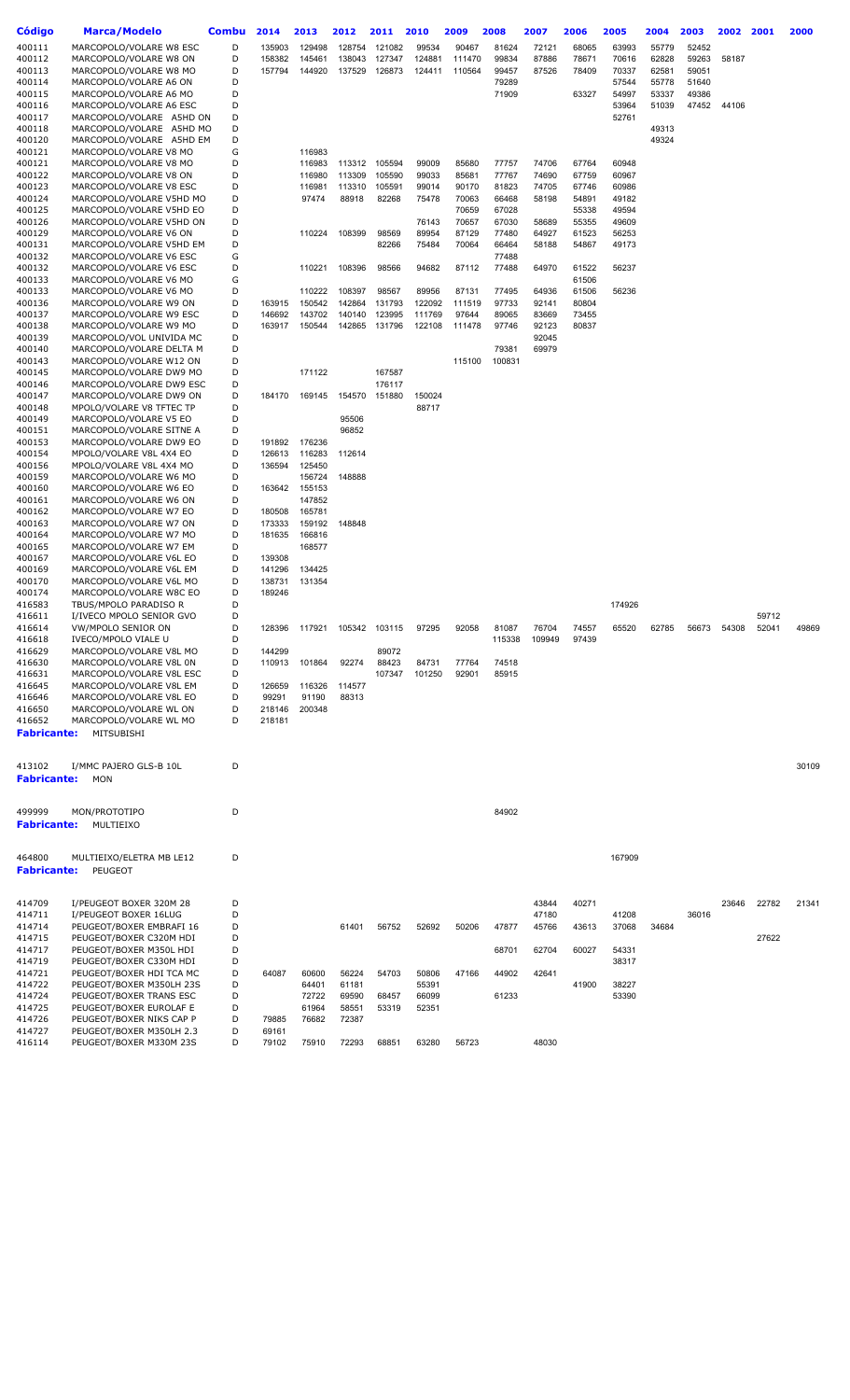| Código             | <b>Marca/Modelo</b>                                 | Combu  | 2014   | 2013             | 2012   | 2011          | 2010           | 2009           | 2008            | 2007           | 2006           | 2005           | 2004  | 2003  | 2002  | 2001  | 2000  |
|--------------------|-----------------------------------------------------|--------|--------|------------------|--------|---------------|----------------|----------------|-----------------|----------------|----------------|----------------|-------|-------|-------|-------|-------|
| 400111             | MARCOPOLO/VOLARE W8 ESC                             | D      | 135903 | 129498           | 128754 | 121082        | 99534          | 90467          | 81624           | 72121          | 68065          | 63993          | 55779 | 52452 |       |       |       |
| 400112             | MARCOPOLO/VOLARE W8 ON                              | D      | 158382 | 145461           | 138043 | 127347        | 124881         | 111470         | 99834           | 87886          | 78671          | 70616          | 62828 | 59263 | 58187 |       |       |
| 400113             | MARCOPOLO/VOLARE W8 MO                              | D      | 157794 | 144920           | 137529 | 126873        | 124411         | 110564         | 99457           | 87526          | 78409          | 70337          | 62581 | 59051 |       |       |       |
| 400114             | MARCOPOLO/VOLARE A6 ON                              | D      |        |                  |        |               |                |                | 79289           |                |                | 57544          | 55778 | 51640 |       |       |       |
| 400115             | MARCOPOLO/VOLARE A6 MO                              | D      |        |                  |        |               |                |                | 71909           |                | 63327          | 54997          | 53337 | 49386 |       |       |       |
| 400116<br>400117   | MARCOPOLO/VOLARE A6 ESC<br>MARCOPOLO/VOLARE A5HD ON | D<br>D |        |                  |        |               |                |                |                 |                |                | 53964<br>52761 | 51039 | 47452 | 44106 |       |       |
| 400118             | MARCOPOLO/VOLARE A5HD MO                            | D      |        |                  |        |               |                |                |                 |                |                |                | 49313 |       |       |       |       |
| 400120             | MARCOPOLO/VOLARE A5HD EM                            | D      |        |                  |        |               |                |                |                 |                |                |                | 49324 |       |       |       |       |
| 400121             | MARCOPOLO/VOLARE V8 MO                              | G      |        | 116983           |        |               |                |                |                 |                |                |                |       |       |       |       |       |
| 400121             | MARCOPOLO/VOLARE V8 MO                              | D      |        | 116983           | 113312 | 105594        | 99009          | 85680          | 77757           | 74706          | 67764          | 60948          |       |       |       |       |       |
| 400122             | MARCOPOLO/VOLARE V8 ON                              | D      |        | 116980           | 113309 | 105590        | 99033          | 85681          | 77767           | 74690          | 67759          | 60967          |       |       |       |       |       |
| 400123             | MARCOPOLO/VOLARE V8 ESC                             | D      |        | 116981           | 113310 | 105591        | 99014          | 90170          | 81823           | 74705          | 67746          | 60986          |       |       |       |       |       |
| 400124             | MARCOPOLO/VOLARE V5HD MO                            | D      |        | 97474            | 88918  | 82268         | 75478          | 70063          | 66468           | 58198          | 54891          | 49182          |       |       |       |       |       |
| 400125             | MARCOPOLO/VOLARE V5HD EO                            | D      |        |                  |        |               |                | 70659          | 67028           |                | 55338          | 49594          |       |       |       |       |       |
| 400126<br>400129   | MARCOPOLO/VOLARE V5HD ON<br>MARCOPOLO/VOLARE V6 ON  | D<br>D |        | 110224           | 108399 | 98569         | 76143<br>89954 | 70657<br>87129 | 67030<br>77480  | 58689<br>64927 | 55355<br>61523 | 49609<br>56253 |       |       |       |       |       |
| 400131             | MARCOPOLO/VOLARE V5HD EM                            | D      |        |                  |        | 82266         | 75484          | 70064          | 66464           | 58188          | 54867          | 49173          |       |       |       |       |       |
| 400132             | MARCOPOLO/VOLARE V6 ESC                             | G      |        |                  |        |               |                |                | 77488           |                |                |                |       |       |       |       |       |
| 400132             | MARCOPOLO/VOLARE V6 ESC                             | D      |        | 110221           | 108396 | 98566         | 94682          | 87112          | 77488           | 64970          | 61522          | 56237          |       |       |       |       |       |
| 400133             | MARCOPOLO/VOLARE V6 MO                              | G      |        |                  |        |               |                |                |                 |                | 61506          |                |       |       |       |       |       |
| 400133             | MARCOPOLO/VOLARE V6 MO                              | D      |        | 110222           | 108397 | 98567         | 89956          | 87131          | 77495           | 64936          | 61506          | 56236          |       |       |       |       |       |
| 400136             | MARCOPOLO/VOLARE W9 ON                              | D      | 163915 | 150542           | 142864 | 131793        | 122092         | 111519         | 97733           | 92141          | 80804          |                |       |       |       |       |       |
| 400137             | MARCOPOLO/VOLARE W9 ESC                             | D      | 146692 | 143702           | 140140 | 123995        | 111769         | 97644          | 89065           | 83669          | 73455          |                |       |       |       |       |       |
| 400138             | MARCOPOLO/VOLARE W9 MO                              | D      | 163917 | 150544           | 142865 | 131796        | 122108         | 111478         | 97746           | 92123          | 80837          |                |       |       |       |       |       |
| 400139             | MARCOPOLO/VOL UNIVIDA MC                            | D      |        |                  |        |               |                |                |                 | 92045          |                |                |       |       |       |       |       |
| 400140<br>400143   | MARCOPOLO/VOLARE DELTA M<br>MARCOPOLO/VOLARE W12 ON | D<br>D |        |                  |        |               |                | 115100         | 79381<br>100831 | 69979          |                |                |       |       |       |       |       |
| 400145             | MARCOPOLO/VOLARE DW9 MO                             | D      |        | 171122           |        | 167587        |                |                |                 |                |                |                |       |       |       |       |       |
| 400146             | MARCOPOLO/VOLARE DW9 ESC                            | D      |        |                  |        | 176117        |                |                |                 |                |                |                |       |       |       |       |       |
| 400147             | MARCOPOLO/VOLARE DW9 ON                             | D      | 184170 | 169145           | 154570 | 151880        | 150024         |                |                 |                |                |                |       |       |       |       |       |
| 400148             | MPOLO/VOLARE V8 TFTEC TP                            | D      |        |                  |        |               | 88717          |                |                 |                |                |                |       |       |       |       |       |
| 400149             | MARCOPOLO/VOLARE V5 EO                              | D      |        |                  | 95506  |               |                |                |                 |                |                |                |       |       |       |       |       |
| 400151             | MARCOPOLO/VOLARE SITNE A                            | D      |        |                  | 96852  |               |                |                |                 |                |                |                |       |       |       |       |       |
| 400153             | MARCOPOLO/VOLARE DW9 EO                             | D      | 191892 | 176236           |        |               |                |                |                 |                |                |                |       |       |       |       |       |
| 400154             | MPOLO/VOLARE V8L 4X4 EO                             | D      | 126613 | 116283           | 112614 |               |                |                |                 |                |                |                |       |       |       |       |       |
| 400156<br>400159   | MPOLO/VOLARE V8L 4X4 MO<br>MARCOPOLO/VOLARE W6 MO   | D<br>D | 136594 | 125450<br>156724 | 148888 |               |                |                |                 |                |                |                |       |       |       |       |       |
| 400160             | MARCOPOLO/VOLARE W6 EO                              | D      | 163642 | 155153           |        |               |                |                |                 |                |                |                |       |       |       |       |       |
| 400161             | MARCOPOLO/VOLARE W6 ON                              | D      |        | 147852           |        |               |                |                |                 |                |                |                |       |       |       |       |       |
| 400162             | MARCOPOLO/VOLARE W7 EO                              | D      | 180508 | 165781           |        |               |                |                |                 |                |                |                |       |       |       |       |       |
| 400163             | MARCOPOLO/VOLARE W7 ON                              | D      | 173333 | 159192           | 148848 |               |                |                |                 |                |                |                |       |       |       |       |       |
| 400164             | MARCOPOLO/VOLARE W7 MO                              | D      | 181635 | 166816           |        |               |                |                |                 |                |                |                |       |       |       |       |       |
| 400165             | MARCOPOLO/VOLARE W7 EM                              | D      |        | 168577           |        |               |                |                |                 |                |                |                |       |       |       |       |       |
| 400167             | MARCOPOLO/VOLARE V6L EO                             | D      | 139308 |                  |        |               |                |                |                 |                |                |                |       |       |       |       |       |
| 400169             | MARCOPOLO/VOLARE V6L EM                             | D      | 141296 | 134425           |        |               |                |                |                 |                |                |                |       |       |       |       |       |
| 400170             | MARCOPOLO/VOLARE V6L MO                             | D      | 138731 | 131354           |        |               |                |                |                 |                |                |                |       |       |       |       |       |
| 400174             | MARCOPOLO/VOLARE W8C EO                             | D      | 189246 |                  |        |               |                |                |                 |                |                |                |       |       |       |       |       |
| 416583             | TBUS/MPOLO PARADISO R                               | D<br>D |        |                  |        |               |                |                |                 |                |                | 174926         |       |       |       | 59712 |       |
| 416611<br>416614   | I/IVECO MPOLO SENIOR GVO<br>VW/MPOLO SENIOR ON      | D      | 128396 | 117921           |        | 105342 103115 | 97295          | 92058          | 81087           | 76704          | 74557          | 65520          | 62785 | 56673 | 54308 | 52041 | 49869 |
| 416618             | IVECO/MPOLO VIALE U                                 | D      |        |                  |        |               |                |                | 115338          | 109949         | 97439          |                |       |       |       |       |       |
| 416629             | MARCOPOLO/VOLARE V8L MO                             | D      | 144299 |                  |        | 89072         |                |                |                 |                |                |                |       |       |       |       |       |
| 416630             | MARCOPOLO/VOLARE V8L 0N                             | D      | 110913 | 101864           | 92274  | 88423         | 84731          | 77764          | 74518           |                |                |                |       |       |       |       |       |
| 416631             | MARCOPOLO/VOLARE V8L ESC                            | D      |        |                  |        | 107347        | 101250         | 92901          | 85915           |                |                |                |       |       |       |       |       |
| 416645             | MARCOPOLO/VOLARE V8L EM                             | D      | 126659 | 116326           | 114577 |               |                |                |                 |                |                |                |       |       |       |       |       |
| 416646             | MARCOPOLO/VOLARE V8L EO                             | D      | 99291  | 91190            | 88313  |               |                |                |                 |                |                |                |       |       |       |       |       |
| 416650             | MARCOPOLO/VOLARE WL ON                              | D      | 218146 | 200348           |        |               |                |                |                 |                |                |                |       |       |       |       |       |
| 416652             | MARCOPOLO/VOLARE WL MO                              | D      | 218181 |                  |        |               |                |                |                 |                |                |                |       |       |       |       |       |
| <b>Fabricante:</b> | MITSUBISHI                                          |        |        |                  |        |               |                |                |                 |                |                |                |       |       |       |       |       |
|                    |                                                     |        |        |                  |        |               |                |                |                 |                |                |                |       |       |       |       |       |
| 413102             | I/MMC PAJERO GLS-B 10L                              | D      |        |                  |        |               |                |                |                 |                |                |                |       |       |       |       | 30109 |
| <b>Fabricante:</b> | MON                                                 |        |        |                  |        |               |                |                |                 |                |                |                |       |       |       |       |       |
|                    |                                                     |        |        |                  |        |               |                |                |                 |                |                |                |       |       |       |       |       |
|                    |                                                     |        |        |                  |        |               |                |                |                 |                |                |                |       |       |       |       |       |
| 499999             | MON/PROTOTIPO                                       | D      |        |                  |        |               |                |                | 84902           |                |                |                |       |       |       |       |       |
| <b>Fabricante:</b> | MULTIEIXO                                           |        |        |                  |        |               |                |                |                 |                |                |                |       |       |       |       |       |
|                    |                                                     |        |        |                  |        |               |                |                |                 |                |                |                |       |       |       |       |       |
| 464800             | MULTIEIXO/ELETRA MB LE12                            | D      |        |                  |        |               |                |                |                 |                |                | 167909         |       |       |       |       |       |
| <b>Fabricante:</b> | PEUGEOT                                             |        |        |                  |        |               |                |                |                 |                |                |                |       |       |       |       |       |
|                    |                                                     |        |        |                  |        |               |                |                |                 |                |                |                |       |       |       |       |       |
| 414709             | I/PEUGEOT BOXER 320M 28                             | D      |        |                  |        |               |                |                |                 | 43844          | 40271          |                |       |       | 23646 | 22782 | 21341 |
| 414711             | I/PEUGEOT BOXER 16LUG                               | D      |        |                  |        |               |                |                |                 | 47180          |                | 41208          |       | 36016 |       |       |       |
| 414714             | PEUGEOT/BOXER EMBRAFI 16                            | D      |        |                  | 61401  | 56752         | 52692          | 50206          | 47877           | 45766          | 43613          | 37068          | 34684 |       |       |       |       |
| 414715             | PEUGEOT/BOXER C320M HDI                             | D      |        |                  |        |               |                |                |                 |                |                |                |       |       |       | 27622 |       |
| 414717             | PEUGEOT/BOXER M350L HDI                             | D      |        |                  |        |               |                |                | 68701           | 62704          | 60027          | 54331          |       |       |       |       |       |
| 414719             | PEUGEOT/BOXER C330M HDI                             | D      |        |                  |        |               |                |                |                 |                |                | 38317          |       |       |       |       |       |
| 414721             | PEUGEOT/BOXER HDI TCA MC                            | D      | 64087  | 60600            | 56224  | 54703         | 50806          | 47166          | 44902           | 42641          |                |                |       |       |       |       |       |
| 414722             | PEUGEOT/BOXER M350LH 23S                            | D      |        | 64401            | 61181  |               | 55391          |                |                 |                | 41900          | 38227          |       |       |       |       |       |
| 414724             | PEUGEOT/BOXER TRANS ESC                             | D      |        | 72722            | 69590  | 68457         | 66099          |                | 61233           |                |                | 53390          |       |       |       |       |       |
| 414725             | PEUGEOT/BOXER EUROLAF E                             | D      |        | 61964            | 58551  | 53319         | 52351          |                |                 |                |                |                |       |       |       |       |       |
| 414726             | PEUGEOT/BOXER NIKS CAP P                            | D      | 79885  | 76682            | 72387  |               |                |                |                 |                |                |                |       |       |       |       |       |
| 414727             | PEUGEOT/BOXER M350LH 2.3                            | D      | 69161  |                  |        |               |                |                |                 |                |                |                |       |       |       |       |       |

PEUGEOT/BOXER M330M 23S D 79102 75910 72293 68851 63280 56723 48030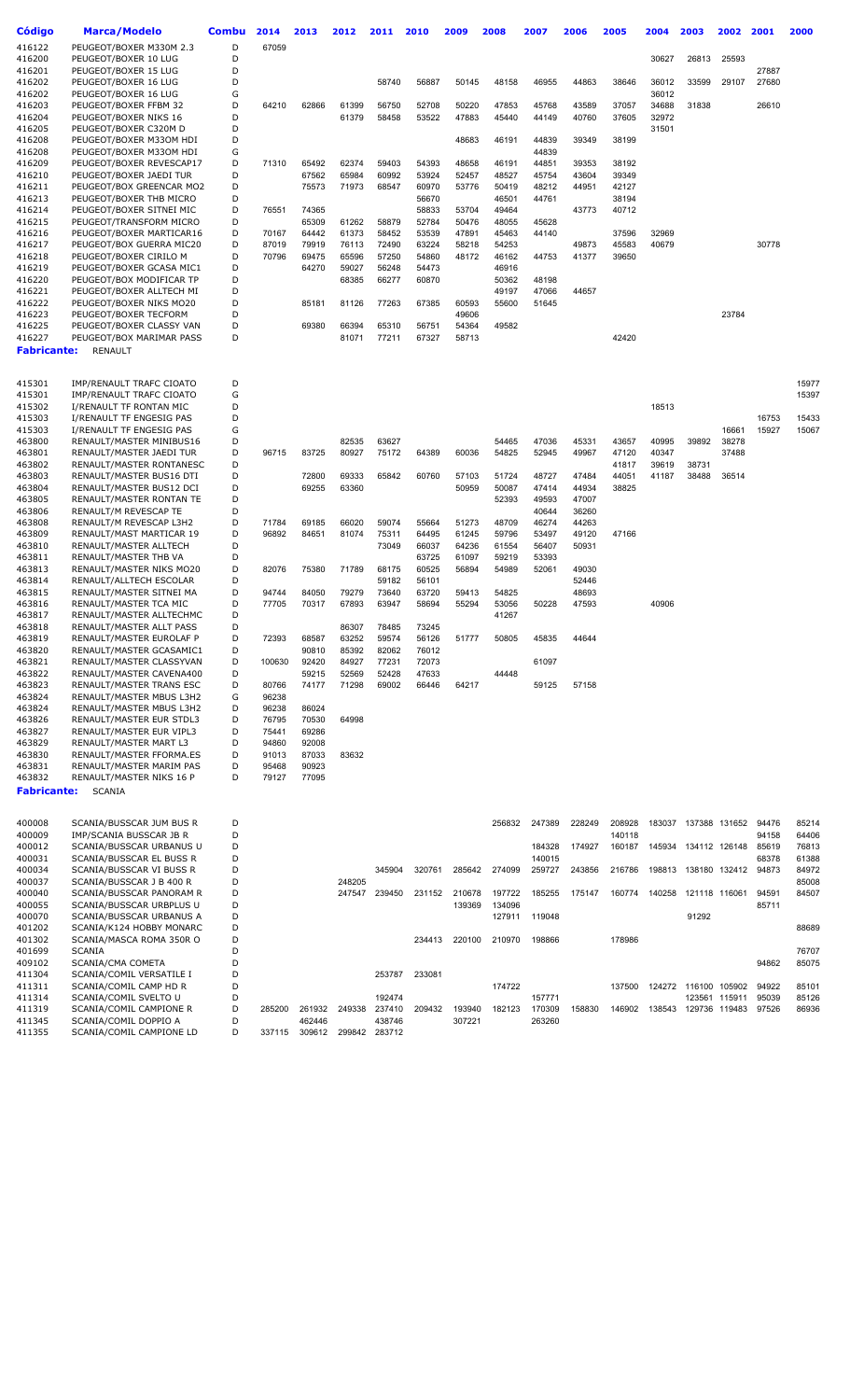| <b>Código</b>      | <b>Marca/Modelo</b>                                  | Combu  | 2014           | 2013           | 2012           | 2011           | 2010           | 2009           | 2008           | 2007           | 2006           | 2005           | 2004           | 2003                 | 2002           | 2001           | 2000  |
|--------------------|------------------------------------------------------|--------|----------------|----------------|----------------|----------------|----------------|----------------|----------------|----------------|----------------|----------------|----------------|----------------------|----------------|----------------|-------|
|                    |                                                      |        |                |                |                |                |                |                |                |                |                |                |                |                      |                |                |       |
| 416122<br>416200   | PEUGEOT/BOXER M330M 2.3                              | D      | 67059          |                |                |                |                |                |                |                |                |                |                |                      |                |                |       |
| 416201             | PEUGEOT/BOXER 10 LUG<br>PEUGEOT/BOXER 15 LUG         | D<br>D |                |                |                |                |                |                |                |                |                |                | 30627          | 26813                | 25593          |                |       |
| 416202             | PEUGEOT/BOXER 16 LUG                                 | D      |                |                |                | 58740          | 56887          | 50145          | 48158          | 46955          | 44863          | 38646          | 36012          | 33599                | 29107          | 27887<br>27680 |       |
| 416202             | PEUGEOT/BOXER 16 LUG                                 | G      |                |                |                |                |                |                |                |                |                |                | 36012          |                      |                |                |       |
| 416203             | PEUGEOT/BOXER FFBM 32                                | D      | 64210          | 62866          | 61399          | 56750          | 52708          | 50220          | 47853          | 45768          | 43589          | 37057          | 34688          | 31838                |                | 26610          |       |
| 416204             | PEUGEOT/BOXER NIKS 16                                | D      |                |                | 61379          | 58458          | 53522          | 47883          | 45440          | 44149          | 40760          | 37605          | 32972          |                      |                |                |       |
| 416205             | PEUGEOT/BOXER C320M D                                | D      |                |                |                |                |                |                |                |                |                |                | 31501          |                      |                |                |       |
| 416208             | PEUGEOT/BOXER M330M HDI                              | D      |                |                |                |                |                | 48683          | 46191          | 44839          | 39349          | 38199          |                |                      |                |                |       |
| 416208             | PEUGEOT/BOXER M330M HDI                              | G      |                |                |                |                |                |                |                | 44839          |                |                |                |                      |                |                |       |
| 416209             | PEUGEOT/BOXER REVESCAP17                             | D      | 71310          | 65492          | 62374          | 59403          | 54393          | 48658          | 46191          | 44851          | 39353          | 38192          |                |                      |                |                |       |
| 416210             | PEUGEOT/BOXER JAEDI TUR                              | D      |                | 67562          | 65984          | 60992          | 53924          | 52457          | 48527          | 45754          | 43604          | 39349          |                |                      |                |                |       |
| 416211             | PEUGEOT/BOX GREENCAR MO2                             | D      |                | 75573          | 71973          | 68547          | 60970          | 53776          | 50419          | 48212          | 44951          | 42127          |                |                      |                |                |       |
| 416213             | PEUGEOT/BOXER THB MICRO                              | D      |                |                |                |                | 56670          |                | 46501          | 44761          |                | 38194          |                |                      |                |                |       |
| 416214             | PEUGEOT/BOXER SITNEI MIC                             | D      | 76551          | 74365          |                |                | 58833          | 53704          | 49464          |                | 43773          | 40712          |                |                      |                |                |       |
| 416215             | PEUGEOT/TRANSFORM MICRO                              | D      |                | 65309          | 61262          | 58879          | 52784          | 50476          | 48055          | 45628          |                |                |                |                      |                |                |       |
| 416216<br>416217   | PEUGEOT/BOXER MARTICAR16                             | D<br>D | 70167<br>87019 | 64442<br>79919 | 61373<br>76113 | 58452<br>72490 | 53539<br>63224 | 47891<br>58218 | 45463<br>54253 | 44140          | 49873          | 37596<br>45583 | 32969<br>40679 |                      |                | 30778          |       |
| 416218             | PEUGEOT/BOX GUERRA MIC20<br>PEUGEOT/BOXER CIRILO M   | D      | 70796          | 69475          | 65596          | 57250          | 54860          | 48172          | 46162          | 44753          | 41377          | 39650          |                |                      |                |                |       |
| 416219             | PEUGEOT/BOXER GCASA MIC1                             | D      |                | 64270          | 59027          | 56248          | 54473          |                | 46916          |                |                |                |                |                      |                |                |       |
| 416220             | PEUGEOT/BOX MODIFICAR TP                             | D      |                |                | 68385          | 66277          | 60870          |                | 50362          | 48198          |                |                |                |                      |                |                |       |
| 416221             | PEUGEOT/BOXER ALLTECH MI                             | D      |                |                |                |                |                |                | 49197          | 47066          | 44657          |                |                |                      |                |                |       |
| 416222             | PEUGEOT/BOXER NIKS MO20                              | D      |                | 85181          | 81126          | 77263          | 67385          | 60593          | 55600          | 51645          |                |                |                |                      |                |                |       |
| 416223             | PEUGEOT/BOXER TECFORM                                | D      |                |                |                |                |                | 49606          |                |                |                |                |                |                      | 23784          |                |       |
| 416225             | PEUGEOT/BOXER CLASSY VAN                             | D      |                | 69380          | 66394          | 65310          | 56751          | 54364          | 49582          |                |                |                |                |                      |                |                |       |
| 416227             | PEUGEOT/BOX MARIMAR PASS                             | D      |                |                | 81071          | 77211          | 67327          | 58713          |                |                |                | 42420          |                |                      |                |                |       |
| <b>Fabricante:</b> | <b>RENAULT</b>                                       |        |                |                |                |                |                |                |                |                |                |                |                |                      |                |                |       |
|                    |                                                      |        |                |                |                |                |                |                |                |                |                |                |                |                      |                |                |       |
| 415301             | IMP/RENAULT TRAFC CIOATO                             | D      |                |                |                |                |                |                |                |                |                |                |                |                      |                |                | 15977 |
| 415301             | IMP/RENAULT TRAFC CIOATO                             | G      |                |                |                |                |                |                |                |                |                |                |                |                      |                |                | 15397 |
| 415302             | I/RENAULT TF RONTAN MIC                              | D      |                |                |                |                |                |                |                |                |                |                | 18513          |                      |                |                |       |
| 415303             | I/RENAULT TF ENGESIG PAS                             | D      |                |                |                |                |                |                |                |                |                |                |                |                      |                | 16753          | 15433 |
| 415303             | I/RENAULT TF ENGESIG PAS                             | G      |                |                |                |                |                |                |                |                |                |                |                |                      | 16661          | 15927          | 15067 |
| 463800<br>463801   | RENAULT/MASTER MINIBUS16<br>RENAULT/MASTER JAEDI TUR | D<br>D | 96715          | 83725          | 82535<br>80927 | 63627<br>75172 | 64389          | 60036          | 54465<br>54825 | 47036<br>52945 | 45331<br>49967 | 43657<br>47120 | 40995<br>40347 | 39892                | 38278<br>37488 |                |       |
| 463802             | RENAULT/MASTER RONTANESC                             | D      |                |                |                |                |                |                |                |                |                | 41817          | 39619          | 38731                |                |                |       |
| 463803             | RENAULT/MASTER BUS16 DTI                             | D      |                | 72800          | 69333          | 65842          | 60760          | 57103          | 51724          | 48727          | 47484          | 44051          | 41187          | 38488                | 36514          |                |       |
| 463804             | RENAULT/MASTER BUS12 DCI                             | D      |                | 69255          | 63360          |                |                | 50959          | 50087          | 47414          | 44934          | 38825          |                |                      |                |                |       |
| 463805             | RENAULT/MASTER RONTAN TE                             | D      |                |                |                |                |                |                | 52393          | 49593          | 47007          |                |                |                      |                |                |       |
| 463806             | RENAULT/M REVESCAP TE                                | D      |                |                |                |                |                |                |                | 40644          | 36260          |                |                |                      |                |                |       |
| 463808             | RENAULT/M REVESCAP L3H2                              | D      | 71784          | 69185          | 66020          | 59074          | 55664          | 51273          | 48709          | 46274          | 44263          |                |                |                      |                |                |       |
| 463809             | RENAULT/MAST MARTICAR 19                             | D      | 96892          | 84651          | 81074          | 75311          | 64495          | 61245          | 59796          | 53497          | 49120          | 47166          |                |                      |                |                |       |
| 463810             | RENAULT/MASTER ALLTECH                               | D      |                |                |                | 73049          | 66037          | 64236          | 61554          | 56407          | 50931          |                |                |                      |                |                |       |
| 463811             | RENAULT/MASTER THB VA                                | D      |                |                |                |                | 63725          | 61097          | 59219          | 53393          |                |                |                |                      |                |                |       |
| 463813             | RENAULT/MASTER NIKS MO20                             | D      | 82076          | 75380          | 71789          | 68175          | 60525          | 56894          | 54989          | 52061          | 49030          |                |                |                      |                |                |       |
| 463814<br>463815   | RENAULT/ALLTECH ESCOLAR<br>RENAULT/MASTER SITNEI MA  | D<br>D | 94744          | 84050          |                | 59182<br>73640 | 56101<br>63720 | 59413          |                |                | 52446<br>48693 |                |                |                      |                |                |       |
| 463816             | RENAULT/MASTER TCA MIC                               | D      | 77705          | 70317          | 79279<br>67893 | 63947          | 58694          | 55294          | 54825<br>53056 | 50228          | 47593          |                | 40906          |                      |                |                |       |
| 463817             | RENAULT/MASTER ALLTECHMC                             | D      |                |                |                |                |                |                | 41267          |                |                |                |                |                      |                |                |       |
| 463818             | RENAULT/MASTER ALLT PASS                             | D      |                |                | 86307          | 78485          | 73245          |                |                |                |                |                |                |                      |                |                |       |
| 463819             | RENAULT/MASTER EUROLAF P                             | D      | 72393          | 68587          | 63252          | 59574          | 56126          | 51777          | 50805          | 45835          | 44644          |                |                |                      |                |                |       |
| 463820             | RENAULT/MASTER GCASAMIC1                             | D      |                | 90810          | 85392          | 82062          | 76012          |                |                |                |                |                |                |                      |                |                |       |
| 463821             | RENAULT/MASTER CLASSYVAN                             | D      | 100630         | 92420          | 84927          | 77231          | 72073          |                |                | 61097          |                |                |                |                      |                |                |       |
| 463822             | RENAULT/MASTER CAVENA400                             | D      |                | 59215          | 52569          | 52428          | 47633          |                | 44448          |                |                |                |                |                      |                |                |       |
| 463823             | RENAULT/MASTER TRANS ESC                             | D      | 80766          | 74177          | 71298          | 69002          | 66446          | 64217          |                | 59125          | 57158          |                |                |                      |                |                |       |
| 463824             | RENAULT/MASTER MBUS L3H2                             | G      | 96238          |                |                |                |                |                |                |                |                |                |                |                      |                |                |       |
| 463824             | RENAULT/MASTER MBUS L3H2                             | D      | 96238          | 86024          |                |                |                |                |                |                |                |                |                |                      |                |                |       |
| 463826             | RENAULT/MASTER EUR STDL3                             | D      | 76795          | 70530          | 64998          |                |                |                |                |                |                |                |                |                      |                |                |       |
| 463827<br>463829   | RENAULT/MASTER EUR VIPL3<br>RENAULT/MASTER MART L3   | D<br>D | 75441<br>94860 | 69286<br>92008 |                |                |                |                |                |                |                |                |                |                      |                |                |       |
| 463830             | RENAULT/MASTER FFORMA.ES                             | D      | 91013          | 87033          | 83632          |                |                |                |                |                |                |                |                |                      |                |                |       |
| 463831             | RENAULT/MASTER MARIM PAS                             | D      | 95468          | 90923          |                |                |                |                |                |                |                |                |                |                      |                |                |       |
| 463832             | RENAULT/MASTER NIKS 16 P                             | D      | 79127          | 77095          |                |                |                |                |                |                |                |                |                |                      |                |                |       |
| <b>Fabricante:</b> | <b>SCANIA</b>                                        |        |                |                |                |                |                |                |                |                |                |                |                |                      |                |                |       |
|                    |                                                      |        |                |                |                |                |                |                |                |                |                |                |                |                      |                |                |       |
| 400008             | SCANIA/BUSSCAR JUM BUS R                             | D      |                |                |                |                |                |                | 256832         | 247389         | 228249         | 208928         | 183037         |                      | 137388 131652  | 94476          | 85214 |
| 400009             | IMP/SCANIA BUSSCAR JB R                              | D      |                |                |                |                |                |                |                |                |                | 140118         |                |                      |                | 94158          | 64406 |
| 400012             | SCANIA/BUSSCAR URBANUS U                             | D      |                |                |                |                |                |                |                | 184328         | 174927         | 160187         |                | 145934 134112 126148 |                | 85619          | 76813 |
| 400031             | SCANIA/BUSSCAR EL BUSS R                             | D      |                |                |                |                |                |                |                | 140015         |                |                |                |                      |                | 68378          | 61388 |
| 400034             | SCANIA/BUSSCAR VI BUSS R                             | D      |                |                |                | 345904         | 320761         | 285642         | 274099         | 259727         | 243856         | 216786         |                | 198813 138180 132412 |                | 94873          | 84972 |
| 400037             | SCANIA/BUSSCAR J B 400 R                             | D      |                |                | 248205         |                |                |                |                |                |                |                |                |                      |                |                | 85008 |
| 400040             | SCANIA/BUSSCAR PANORAM R                             | D      |                |                |                | 247547 239450  | 231152         | 210678         | 197722         | 185255         | 175147         | 160774         | 140258         |                      | 121118 116061  | 94591          | 84507 |
| 400055             | SCANIA/BUSSCAR URBPLUS U                             | D      |                |                |                |                |                | 139369         | 134096         |                |                |                |                |                      |                | 85711          |       |
| 400070<br>401202   | SCANIA/BUSSCAR URBANUS A<br>SCANIA/K124 HOBBY MONARC | D<br>D |                |                |                |                |                |                | 127911         | 119048         |                |                |                | 91292                |                |                | 88689 |
| 401302             | SCANIA/MASCA ROMA 350R O                             | D      |                |                |                |                | 234413         | 220100         | 210970         | 198866         |                | 178986         |                |                      |                |                |       |
| 401699             | <b>SCANIA</b>                                        | D      |                |                |                |                |                |                |                |                |                |                |                |                      |                |                | 76707 |
| 409102             | SCANIA/CMA COMETA                                    | D      |                |                |                |                |                |                |                |                |                |                |                |                      |                | 94862          | 85075 |
| 411304             | SCANIA/COMIL VERSATILE I                             | D      |                |                |                | 253787         | 233081         |                |                |                |                |                |                |                      |                |                |       |
| 411311             | SCANIA/COMIL CAMP HD R                               | D      |                |                |                |                |                |                | 174722         |                |                | 137500         |                | 124272 116100 105902 |                | 94922          | 85101 |
| 411314             | SCANIA/COMIL SVELTO U                                | D      |                |                |                | 192474         |                |                |                | 157771         |                |                |                |                      | 123561 115911  | 95039          | 85126 |
| 411319             | SCANIA/COMIL CAMPIONE R                              | D      | 285200         | 261932         | 249338         | 237410         | 209432         | 193940         | 182123         | 170309         | 158830         | 146902         |                | 138543 129736 119483 |                | 97526          | 86936 |
| 411345             | SCANIA/COMIL DOPPIO A                                | D      |                | 462446         |                | 438746         |                | 307221         |                | 263260         |                |                |                |                      |                |                |       |
| 411355             | SCANIA/COMIL CAMPIONE LD                             | D      | 337115         | 309612         | 299842         | 283712         |                |                |                |                |                |                |                |                      |                |                |       |
|                    |                                                      |        |                |                |                |                |                |                |                |                |                |                |                |                      |                |                |       |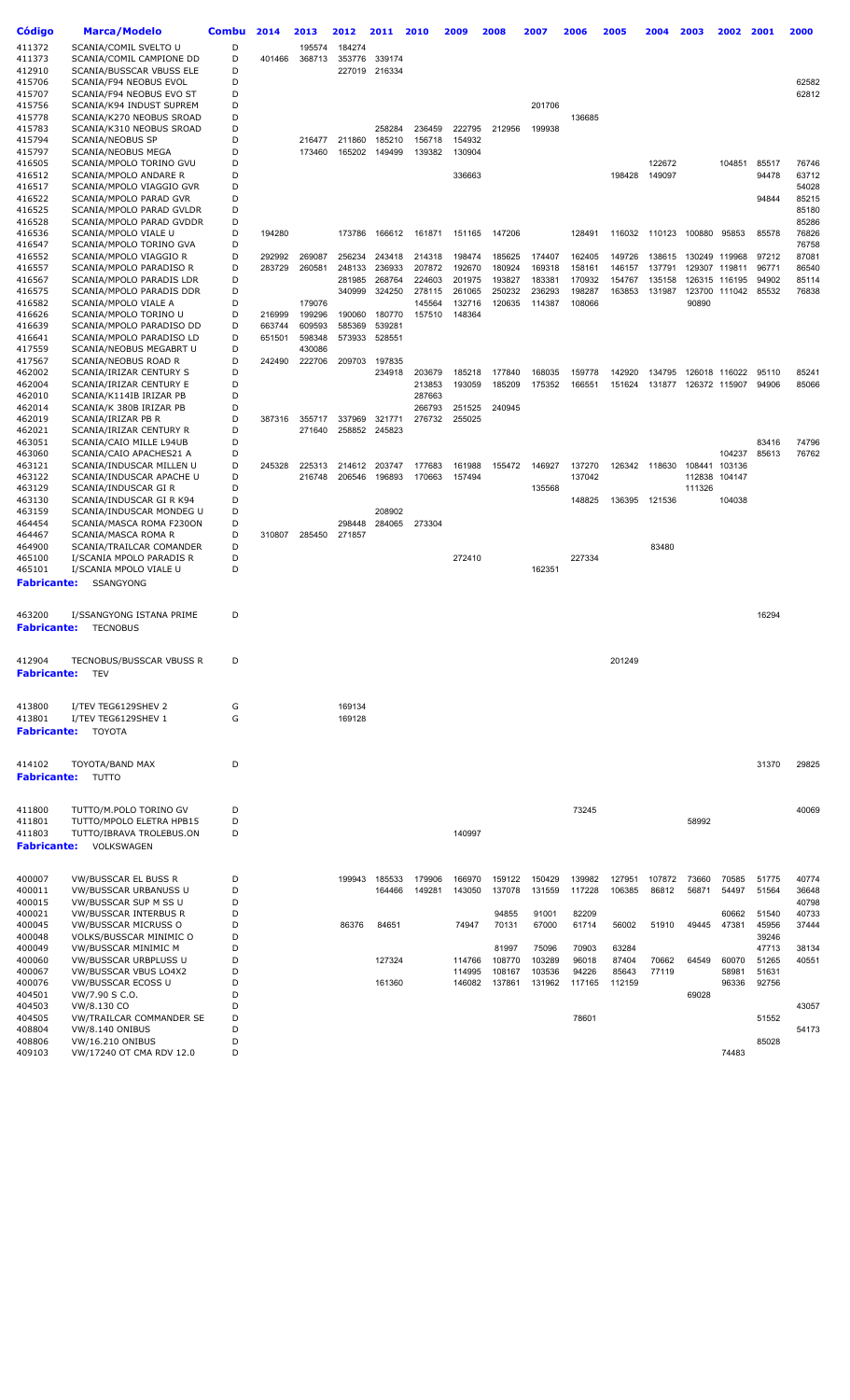| <b>Código</b>                | Marca/Modelo                                        | Combu  | 2014   | 2013             | 2012   | 2011          | 2010   | 2009             | 2008            | 2007            | 2006           | 2005           | 2004           | 2003   | 2002                    | 2001           | 2000           |
|------------------------------|-----------------------------------------------------|--------|--------|------------------|--------|---------------|--------|------------------|-----------------|-----------------|----------------|----------------|----------------|--------|-------------------------|----------------|----------------|
| 411372                       | SCANIA/COMIL SVELTO U                               | D      |        |                  | 184274 |               |        |                  |                 |                 |                |                |                |        |                         |                |                |
| 411373                       | SCANIA/COMIL CAMPIONE DD                            | D      | 401466 | 195574<br>368713 | 353776 | 339174        |        |                  |                 |                 |                |                |                |        |                         |                |                |
| 412910                       | SCANIA/BUSSCAR VBUSS ELE                            | D      |        |                  |        | 227019 216334 |        |                  |                 |                 |                |                |                |        |                         |                |                |
| 415706                       | SCANIA/F94 NEOBUS EVOL                              | D      |        |                  |        |               |        |                  |                 |                 |                |                |                |        |                         |                | 62582          |
| 415707                       | SCANIA/F94 NEOBUS EVO ST                            | D      |        |                  |        |               |        |                  |                 |                 |                |                |                |        |                         |                | 62812          |
| 415756                       | SCANIA/K94 INDUST SUPREM                            | D      |        |                  |        |               |        |                  |                 | 201706          |                |                |                |        |                         |                |                |
| 415778                       | SCANIA/K270 NEOBUS SROAD                            | D      |        |                  |        |               |        |                  |                 |                 | 136685         |                |                |        |                         |                |                |
| 415783                       | SCANIA/K310 NEOBUS SROAD                            | D      |        |                  |        | 258284        | 236459 | 222795           | 212956          | 199938          |                |                |                |        |                         |                |                |
| 415794                       | <b>SCANIA/NEOBUS SP</b>                             | D      |        | 216477           | 211860 | 185210        | 156718 | 154932           |                 |                 |                |                |                |        |                         |                |                |
| 415797                       | SCANIA/NEOBUS MEGA                                  | D      |        | 173460           | 165202 | 149499        | 139382 | 130904           |                 |                 |                |                |                |        |                         |                |                |
| 416505                       | SCANIA/MPOLO TORINO GVU                             | D      |        |                  |        |               |        |                  |                 |                 |                |                | 122672         |        | 104851                  | 85517          | 76746          |
| 416512                       | SCANIA/MPOLO ANDARE R                               | D      |        |                  |        |               |        | 336663           |                 |                 |                | 198428         | 149097         |        |                         | 94478          | 63712          |
| 416517                       | SCANIA/MPOLO VIAGGIO GVR                            | D      |        |                  |        |               |        |                  |                 |                 |                |                |                |        |                         |                | 54028          |
| 416522                       | SCANIA/MPOLO PARAD GVR                              | D      |        |                  |        |               |        |                  |                 |                 |                |                |                |        |                         | 94844          | 85215          |
| 416525                       | SCANIA/MPOLO PARAD GVLDR                            | D      |        |                  |        |               |        |                  |                 |                 |                |                |                |        |                         |                | 85180          |
| 416528                       | SCANIA/MPOLO PARAD GVDDR                            | D      |        |                  |        |               |        |                  |                 |                 |                |                |                |        |                         |                | 85286          |
| 416536                       | SCANIA/MPOLO VIALE U                                | D<br>D | 194280 |                  | 173786 | 166612        | 161871 | 151165           | 147206          |                 | 128491         | 116032         | 110123         | 100880 | 95853                   | 85578          | 76826<br>76758 |
| 416547<br>416552             | SCANIA/MPOLO TORINO GVA<br>SCANIA/MPOLO VIAGGIO R   | D      | 292992 | 269087           | 256234 | 243418        | 214318 | 198474           | 185625          | 174407          | 162405         | 149726         | 138615         |        | 130249 119968           | 97212          | 87081          |
| 416557                       | SCANIA/MPOLO PARADISO R                             | D      | 283729 | 260581           | 248133 | 236933        | 207872 | 192670           | 180924          | 169318          | 158161         | 146157         | 137791         |        | 129307 119811           | 96771          | 86540          |
| 416567                       | SCANIA/MPOLO PARADIS LDR                            | D      |        |                  | 281985 | 268764        | 224603 | 201975           | 193827          | 183381          | 170932         | 154767         | 135158         | 126315 | 116195                  | 94902          | 85114          |
| 416575                       | SCANIA/MPOLO PARADIS DDR                            | D      |        |                  | 340999 | 324250        | 278115 | 261065           | 250232          | 236293          | 198287         | 163853         | 131987         |        | 123700 111042           | 85532          | 76838          |
| 416582                       | SCANIA/MPOLO VIALE A                                | D      |        | 179076           |        |               | 145564 | 132716           | 120635          | 114387          | 108066         |                |                | 90890  |                         |                |                |
| 416626                       | SCANIA/MPOLO TORINO U                               | D      | 216999 | 199296           | 190060 | 180770        | 157510 | 148364           |                 |                 |                |                |                |        |                         |                |                |
| 416639                       | SCANIA/MPOLO PARADISO DD                            | D      | 663744 | 609593           | 585369 | 539281        |        |                  |                 |                 |                |                |                |        |                         |                |                |
| 416641                       | SCANIA/MPOLO PARADISO LD                            | D      | 651501 | 598348           | 573933 | 528551        |        |                  |                 |                 |                |                |                |        |                         |                |                |
| 417559                       | SCANIA/NEOBUS MEGABRT U                             | D      |        | 430086           |        |               |        |                  |                 |                 |                |                |                |        |                         |                |                |
| 417567                       | SCANIA/NEOBUS ROAD R                                | D      | 242490 | 222706           | 209703 | 197835        |        |                  |                 |                 |                |                |                |        |                         |                |                |
| 462002                       | SCANIA/IRIZAR CENTURY S                             | D      |        |                  |        | 234918        | 203679 | 185218           | 177840          | 168035          | 159778         | 142920         | 134795         |        | 126018 116022           | 95110          | 85241          |
| 462004                       | SCANIA/IRIZAR CENTURY E                             | D      |        |                  |        |               | 213853 | 193059           | 185209          | 175352          | 166551         | 151624         | 131877         |        | 126372 115907           | 94906          | 85066          |
| 462010                       | SCANIA/K114IB IRIZAR PB                             | D      |        |                  |        |               | 287663 |                  |                 |                 |                |                |                |        |                         |                |                |
| 462014                       | SCANIA/K 380B IRIZAR PB                             | D      |        |                  |        |               | 266793 | 251525           | 240945          |                 |                |                |                |        |                         |                |                |
| 462019                       | SCANIA/IRIZAR PB R                                  | D      | 387316 | 355717           | 337969 | 321771        | 276732 | 255025           |                 |                 |                |                |                |        |                         |                |                |
| 462021                       | SCANIA/IRIZAR CENTURY R                             | D      |        | 271640           |        | 258852 245823 |        |                  |                 |                 |                |                |                |        |                         |                |                |
| 463051                       | SCANIA/CAIO MILLE L94UB                             | D<br>D |        |                  |        |               |        |                  |                 |                 |                |                |                |        |                         | 83416          | 74796          |
| 463060<br>463121             | SCANIA/CAIO APACHES21 A<br>SCANIA/INDUSCAR MILLEN U | D      | 245328 | 225313           | 214612 | 203747        | 177683 | 161988           | 155472          | 146927          | 137270         | 126342         | 118630         |        | 104237<br>108441 103136 | 85613          | 76762          |
| 463122                       | SCANIA/INDUSCAR APACHE U                            | D      |        | 216748           | 206546 | 196893        | 170663 | 157494           |                 |                 | 137042         |                |                |        | 112838 104147           |                |                |
| 463129                       | SCANIA/INDUSCAR GI R                                | D      |        |                  |        |               |        |                  |                 | 135568          |                |                |                | 111326 |                         |                |                |
| 463130                       | SCANIA/INDUSCAR GI R K94                            | D      |        |                  |        |               |        |                  |                 |                 | 148825         | 136395         | 121536         |        | 104038                  |                |                |
| 463159                       | SCANIA/INDUSCAR MONDEG U                            | D      |        |                  |        | 208902        |        |                  |                 |                 |                |                |                |        |                         |                |                |
| 464454                       | SCANIA/MASCA ROMA F230ON                            | D      |        |                  | 298448 | 284065        | 273304 |                  |                 |                 |                |                |                |        |                         |                |                |
| 464467                       | SCANIA/MASCA ROMA R                                 | D      | 310807 | 285450           | 271857 |               |        |                  |                 |                 |                |                |                |        |                         |                |                |
| 464900                       | SCANIA/TRAILCAR COMANDER                            | D      |        |                  |        |               |        |                  |                 |                 |                |                | 83480          |        |                         |                |                |
| 465100                       | I/SCANIA MPOLO PARADIS R                            | D      |        |                  |        |               |        | 272410           |                 |                 | 227334         |                |                |        |                         |                |                |
| 465101                       | I/SCANIA MPOLO VIALE U                              | D      |        |                  |        |               |        |                  |                 | 162351          |                |                |                |        |                         |                |                |
| <b>Fabricante:</b>           | SSANGYONG                                           |        |        |                  |        |               |        |                  |                 |                 |                |                |                |        |                         |                |                |
|                              |                                                     |        |        |                  |        |               |        |                  |                 |                 |                |                |                |        |                         |                |                |
|                              | I/SSANGYONG ISTANA PRIME                            | D      |        |                  |        |               |        |                  |                 |                 |                |                |                |        |                         | 16294          |                |
| 463200<br><b>Fabricante:</b> |                                                     |        |        |                  |        |               |        |                  |                 |                 |                |                |                |        |                         |                |                |
|                              | <b>TECNOBUS</b>                                     |        |        |                  |        |               |        |                  |                 |                 |                |                |                |        |                         |                |                |
|                              |                                                     |        |        |                  |        |               |        |                  |                 |                 |                |                |                |        |                         |                |                |
| 412904                       | TECNOBUS/BUSSCAR VBUSS R                            | D      |        |                  |        |               |        |                  |                 |                 |                | 201249         |                |        |                         |                |                |
| <b>Fabricante:</b>           | TEV                                                 |        |        |                  |        |               |        |                  |                 |                 |                |                |                |        |                         |                |                |
|                              |                                                     |        |        |                  |        |               |        |                  |                 |                 |                |                |                |        |                         |                |                |
|                              |                                                     |        |        |                  |        |               |        |                  |                 |                 |                |                |                |        |                         |                |                |
| 413800                       | I/TEV TEG6129SHEV 2                                 | G      |        |                  | 169134 |               |        |                  |                 |                 |                |                |                |        |                         |                |                |
| 413801                       | I/TEV TEG6129SHEV 1                                 | G      |        |                  | 169128 |               |        |                  |                 |                 |                |                |                |        |                         |                |                |
| <b>Fabricante:</b>           | <b>TOYOTA</b>                                       |        |        |                  |        |               |        |                  |                 |                 |                |                |                |        |                         |                |                |
|                              |                                                     |        |        |                  |        |               |        |                  |                 |                 |                |                |                |        |                         |                |                |
|                              |                                                     | D      |        |                  |        |               |        |                  |                 |                 |                |                |                |        |                         | 31370          | 29825          |
| 414102                       | TOYOTA/BAND MAX                                     |        |        |                  |        |               |        |                  |                 |                 |                |                |                |        |                         |                |                |
| <b>Fabricante:</b>           | TUTTO                                               |        |        |                  |        |               |        |                  |                 |                 |                |                |                |        |                         |                |                |
|                              |                                                     |        |        |                  |        |               |        |                  |                 |                 |                |                |                |        |                         |                |                |
| 411800                       | TUTTO/M.POLO TORINO GV                              | D      |        |                  |        |               |        |                  |                 |                 | 73245          |                |                |        |                         |                | 40069          |
| 411801                       | TUTTO/MPOLO ELETRA HPB15                            | D      |        |                  |        |               |        |                  |                 |                 |                |                |                | 58992  |                         |                |                |
| 411803                       | TUTTO/IBRAVA TROLEBUS.ON                            | D      |        |                  |        |               |        | 140997           |                 |                 |                |                |                |        |                         |                |                |
| <b>Fabricante:</b>           | VOLKSWAGEN                                          |        |        |                  |        |               |        |                  |                 |                 |                |                |                |        |                         |                |                |
|                              |                                                     |        |        |                  |        |               |        |                  |                 |                 |                |                |                |        |                         |                |                |
|                              |                                                     |        |        |                  |        |               |        |                  |                 |                 |                |                |                |        |                         |                |                |
| 400007                       | VW/BUSSCAR EL BUSS R                                | D      |        |                  | 199943 | 185533        | 179906 | 166970           | 159122          | 150429          | 139982         | 127951         | 107872         | 73660  | 70585                   | 51775          | 40774          |
| 400011                       | VW/BUSSCAR URBANUSS U                               | D      |        |                  |        | 164466        | 149281 | 143050           | 137078          | 131559          | 117228         | 106385         | 86812          | 56871  | 54497                   | 51564          | 36648          |
| 400015                       | VW/BUSSCAR SUP M SS U                               | D      |        |                  |        |               |        |                  |                 |                 |                |                |                |        |                         |                | 40798          |
| 400021                       | VW/BUSSCAR INTERBUS R                               | D      |        |                  |        |               |        |                  | 94855           | 91001           | 82209          |                |                |        | 60662                   | 51540          | 40733          |
| 400045                       | VW/BUSSCAR MICRUSS O                                | D      |        |                  | 86376  | 84651         |        | 74947            | 70131           | 67000           | 61714          | 56002          | 51910          | 49445  | 47381                   | 45956          | 37444          |
| 400048                       | VOLKS/BUSSCAR MINIMIC O                             | D<br>D |        |                  |        |               |        |                  |                 |                 |                |                |                |        |                         | 39246          |                |
| 400049                       | VW/BUSSCAR MINIMIC M<br>VW/BUSSCAR URBPLUSS U       | D      |        |                  |        | 127324        |        |                  | 81997<br>108770 | 75096<br>103289 | 70903<br>96018 | 63284<br>87404 |                |        |                         | 47713<br>51265 | 38134          |
| 400060<br>400067             | VW/BUSSCAR VBUS LO4X2                               | D      |        |                  |        |               |        | 114766<br>114995 | 108167          | 103536          | 94226          | 85643          | 70662<br>77119 | 64549  | 60070<br>58981          | 51631          | 40551          |
| 400076                       | VW/BUSSCAR ECOSS U                                  | D      |        |                  |        | 161360        |        | 146082           | 137861          | 131962          | 117165         | 112159         |                |        | 96336                   | 92756          |                |
| 404501                       | VW/7.90 S C.O.                                      | D      |        |                  |        |               |        |                  |                 |                 |                |                |                | 69028  |                         |                |                |
| 404503                       | VW/8.130 CO                                         | D      |        |                  |        |               |        |                  |                 |                 |                |                |                |        |                         |                | 43057          |
| 404505                       | <b>VW/TRAILCAR COMMANDER SE</b>                     | D      |        |                  |        |               |        |                  |                 |                 | 78601          |                |                |        |                         | 51552          |                |
| 408804                       | <b>VW/8.140 ONIBUS</b>                              | D      |        |                  |        |               |        |                  |                 |                 |                |                |                |        |                         |                | 54173          |
| 408806                       | <b>VW/16.210 ONIBUS</b>                             | D      |        |                  |        |               |        |                  |                 |                 |                |                |                |        |                         | 85028          |                |
| 409103                       | VW/17240 OT CMA RDV 12.0                            | D      |        |                  |        |               |        |                  |                 |                 |                |                |                |        | 74483                   |                |                |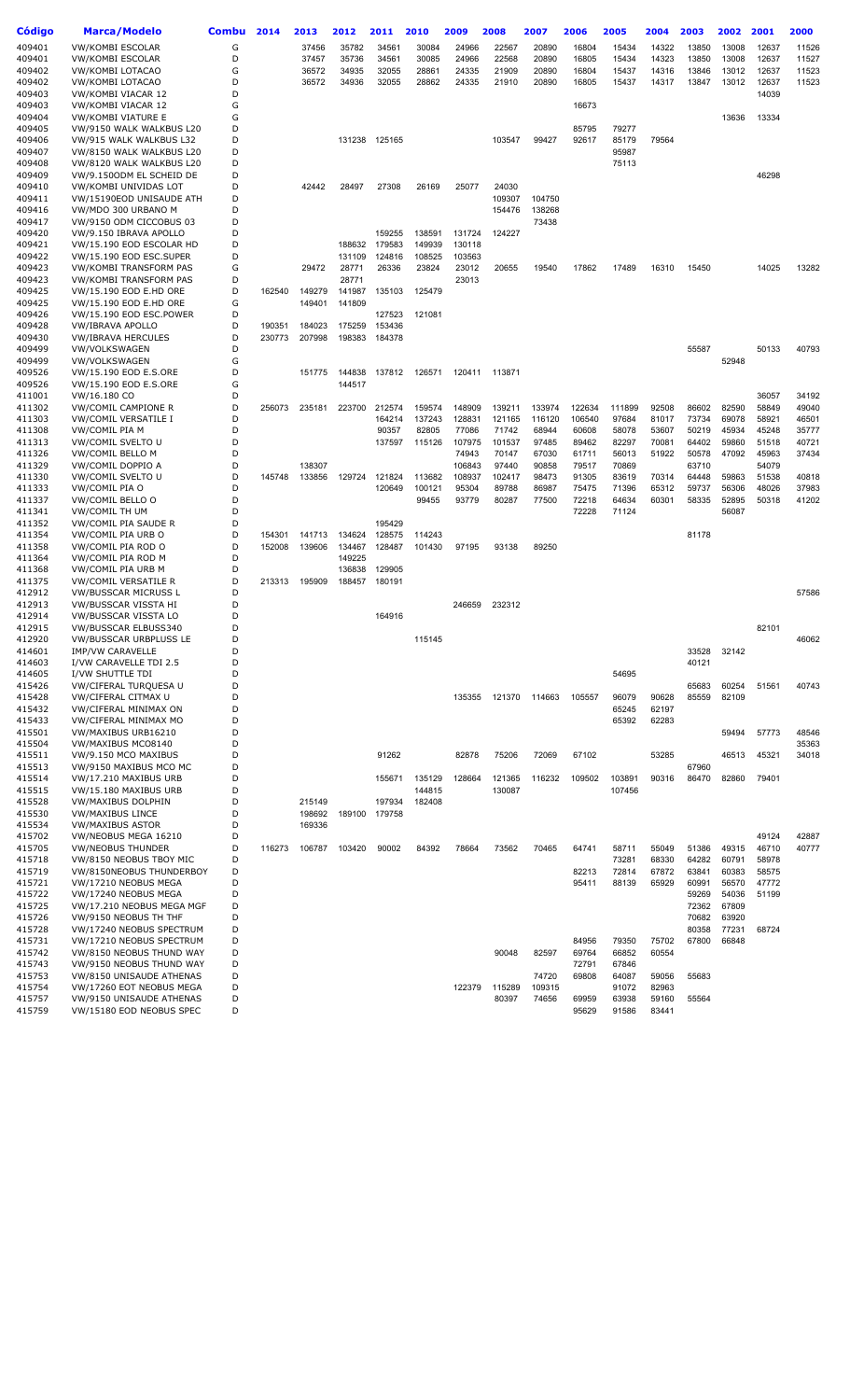| Código           | <b>Marca/Modelo</b>                                  | Combu  | 2014   | 2013             | 2012             | 2011           | 2010           | 2009             | 2008            | 2007           | 2006           | 2005           | 2004           | 2003           | 2002           | 2001           | 2000           |
|------------------|------------------------------------------------------|--------|--------|------------------|------------------|----------------|----------------|------------------|-----------------|----------------|----------------|----------------|----------------|----------------|----------------|----------------|----------------|
| 409401           | <b>VW/KOMBI ESCOLAR</b>                              | G      |        | 37456            | 35782            | 34561          | 30084          | 24966            | 22567           | 20890          | 16804          | 15434          | 14322          | 13850          | 13008          | 12637          | 11526          |
| 409401           | VW/KOMBI ESCOLAR                                     | D      |        | 37457            | 35736            | 34561          | 30085          | 24966            | 22568           | 20890          | 16805          | 15434          | 14323          | 13850          | 13008          | 12637          | 11527          |
| 409402<br>409402 | VW/KOMBI LOTACAO<br>VW/KOMBI LOTACAO                 | G<br>D |        | 36572<br>36572   | 34935<br>34936   | 32055<br>32055 | 28861<br>28862 | 24335<br>24335   | 21909<br>21910  | 20890<br>20890 | 16804<br>16805 | 15437<br>15437 | 14316<br>14317 | 13846<br>13847 | 13012<br>13012 | 12637<br>12637 | 11523<br>11523 |
| 409403           | VW/KOMBI VIACAR 12                                   | D      |        |                  |                  |                |                |                  |                 |                |                |                |                |                |                | 14039          |                |
| 409403           | VW/KOMBI VIACAR 12                                   | G      |        |                  |                  |                |                |                  |                 |                | 16673          |                |                |                |                |                |                |
| 409404           | VW/KOMBI VIATURE E                                   | G      |        |                  |                  |                |                |                  |                 |                |                |                |                |                | 13636          | 13334          |                |
| 409405           | VW/9150 WALK WALKBUS L20                             | D      |        |                  |                  |                |                |                  |                 |                | 85795          | 79277          |                |                |                |                |                |
| 409406           | VW/915 WALK WALKBUS L32                              | D      |        |                  | 131238           | 125165         |                |                  | 103547          | 99427          | 92617          | 85179          | 79564          |                |                |                |                |
| 409407           | VW/8150 WALK WALKBUS L20                             | D      |        |                  |                  |                |                |                  |                 |                |                | 95987          |                |                |                |                |                |
| 409408           | VW/8120 WALK WALKBUS L20                             | D      |        |                  |                  |                |                |                  |                 |                |                | 75113          |                |                |                |                |                |
| 409409<br>409410 | VW/9.1500DM EL SCHEID DE<br>VW/KOMBI UNIVIDAS LOT    | D<br>D |        | 42442            | 28497            | 27308          | 26169          | 25077            | 24030           |                |                |                |                |                |                | 46298          |                |
| 409411           | VW/15190EOD UNISAUDE ATH                             | D      |        |                  |                  |                |                |                  | 109307          | 104750         |                |                |                |                |                |                |                |
| 409416           | VW/MDO 300 URBANO M                                  | D      |        |                  |                  |                |                |                  | 154476          | 138268         |                |                |                |                |                |                |                |
| 409417           | VW/9150 ODM CICCOBUS 03                              | D      |        |                  |                  |                |                |                  |                 | 73438          |                |                |                |                |                |                |                |
| 409420           | VW/9.150 IBRAVA APOLLO                               | D      |        |                  |                  | 159255         | 138591         | 131724           | 124227          |                |                |                |                |                |                |                |                |
| 409421           | VW/15.190 EOD ESCOLAR HD                             | D      |        |                  | 188632           | 179583         | 149939         | 130118           |                 |                |                |                |                |                |                |                |                |
| 409422           | VW/15.190 EOD ESC.SUPER                              | D      |        |                  | 131109           | 124816         | 108525         | 103563           |                 |                |                |                |                |                |                |                |                |
| 409423<br>409423 | VW/KOMBI TRANSFORM PAS<br>VW/KOMBI TRANSFORM PAS     | G<br>D |        | 29472            | 28771<br>28771   | 26336          | 23824          | 23012<br>23013   | 20655           | 19540          | 17862          | 17489          | 16310          | 15450          |                | 14025          | 13282          |
| 409425           | VW/15.190 EOD E.HD ORE                               | D      | 162540 | 149279           | 141987           | 135103         | 125479         |                  |                 |                |                |                |                |                |                |                |                |
| 409425           | VW/15.190 EOD E.HD ORE                               | G      |        | 149401           | 141809           |                |                |                  |                 |                |                |                |                |                |                |                |                |
| 409426           | VW/15.190 EOD ESC.POWER                              | D      |        |                  |                  | 127523         | 121081         |                  |                 |                |                |                |                |                |                |                |                |
| 409428           | VW/IBRAVA APOLLO                                     | D      | 190351 | 184023           | 175259           | 153436         |                |                  |                 |                |                |                |                |                |                |                |                |
| 409430           | <b>VW/IBRAVA HERCULES</b>                            | D      | 230773 | 207998           | 198383           | 184378         |                |                  |                 |                |                |                |                |                |                |                |                |
| 409499           | VW/VOLKSWAGEN                                        | D      |        |                  |                  |                |                |                  |                 |                |                |                |                | 55587          |                | 50133          | 40793          |
| 409499           | <b>VW/VOLKSWAGEN</b><br>VW/15.190 EOD E.S.ORE        | G<br>D |        |                  |                  |                |                |                  |                 |                |                |                |                |                | 52948          |                |                |
| 409526<br>409526 | VW/15.190 EOD E.S.ORE                                | G      |        | 151775           | 144838<br>144517 | 137812         | 126571         | 120411           | 113871          |                |                |                |                |                |                |                |                |
| 411001           | VW/16.180 CO                                         | D      |        |                  |                  |                |                |                  |                 |                |                |                |                |                |                | 36057          | 34192          |
| 411302           | <b>VW/COMIL CAMPIONE R</b>                           | D      | 256073 | 235181           | 223700           | 212574         | 159574         | 148909           | 139211          | 133974         | 122634         | 111899         | 92508          | 86602          | 82590          | 58849          | 49040          |
| 411303           | VW/COMIL VERSATILE I                                 | D      |        |                  |                  | 164214         | 137243         | 128831           | 121165          | 116120         | 106540         | 97684          | 81017          | 73734          | 69078          | 58921          | 46501          |
| 411308           | VW/COMIL PIA M                                       | D      |        |                  |                  | 90357          | 82805          | 77086            | 71742           | 68944          | 60608          | 58078          | 53607          | 50219          | 45934          | 45248          | 35777          |
| 411313           | VW/COMIL SVELTO U                                    | D      |        |                  |                  | 137597         | 115126         | 107975           | 101537          | 97485          | 89462          | 82297          | 70081          | 64402          | 59860          | 51518          | 40721          |
| 411326           | VW/COMIL BELLO M                                     | D<br>D |        |                  |                  |                |                | 74943            | 70147           | 67030          | 61711          | 56013          | 51922          | 50578          | 47092          | 45963          | 37434          |
| 411329<br>411330 | VW/COMIL DOPPIO A<br>VW/COMIL SVELTO U               | D      | 145748 | 138307<br>133856 | 129724           | 121824         | 113682         | 106843<br>108937 | 97440<br>102417 | 90858<br>98473 | 79517<br>91305 | 70869<br>83619 | 70314          | 63710<br>64448 | 59863          | 54079<br>51538 | 40818          |
| 411333           | VW/COMIL PIA O                                       | D      |        |                  |                  | 120649         | 100121         | 95304            | 89788           | 86987          | 75475          | 71396          | 65312          | 59737          | 56306          | 48026          | 37983          |
| 411337           | VW/COMIL BELLO O                                     | D      |        |                  |                  |                | 99455          | 93779            | 80287           | 77500          | 72218          | 64634          | 60301          | 58335          | 52895          | 50318          | 41202          |
| 411341           | VW/COMIL TH UM                                       | D      |        |                  |                  |                |                |                  |                 |                | 72228          | 71124          |                |                | 56087          |                |                |
| 411352           | VW/COMIL PIA SAUDE R                                 | D      |        |                  |                  | 195429         |                |                  |                 |                |                |                |                |                |                |                |                |
| 411354           | VW/COMIL PIA URB O                                   | D      | 154301 | 141713           | 134624           | 128575         | 114243         |                  |                 |                |                |                |                | 81178          |                |                |                |
| 411358           | VW/COMIL PIA ROD O                                   | D      | 152008 | 139606           | 134467           | 128487         | 101430         | 97195            | 93138           | 89250          |                |                |                |                |                |                |                |
| 411364<br>411368 | VW/COMIL PIA ROD M<br>VW/COMIL PIA URB M             | D<br>D |        |                  | 149225<br>136838 | 129905         |                |                  |                 |                |                |                |                |                |                |                |                |
| 411375           | VW/COMIL VERSATILE R                                 | D      | 213313 | 195909           | 188457           | 180191         |                |                  |                 |                |                |                |                |                |                |                |                |
| 412912           | VW/BUSSCAR MICRUSS L                                 | D      |        |                  |                  |                |                |                  |                 |                |                |                |                |                |                |                | 57586          |
| 412913           | VW/BUSSCAR VISSTA HI                                 | D      |        |                  |                  |                |                | 246659           | 232312          |                |                |                |                |                |                |                |                |
| 412914           | VW/BUSSCAR VISSTA LO                                 | D      |        |                  |                  | 164916         |                |                  |                 |                |                |                |                |                |                |                |                |
| 412915           | VW/BUSSCAR ELBUSS340                                 | D      |        |                  |                  |                |                |                  |                 |                |                |                |                |                |                | 82101          |                |
| 412920           | <b>VW/BUSSCAR URBPLUSS LE</b>                        | D      |        |                  |                  |                | 115145         |                  |                 |                |                |                |                |                |                |                | 46062          |
| 414601<br>414603 | <b>IMP/VW CARAVELLE</b><br>I/VW CARAVELLE TDI 2.5    | D<br>D |        |                  |                  |                |                |                  |                 |                |                |                |                | 33528<br>40121 | 32142          |                |                |
| 414605           | I/VW SHUTTLE TDI                                     | D      |        |                  |                  |                |                |                  |                 |                |                | 54695          |                |                |                |                |                |
| 415426           | VW/CIFERAL TURQUESA U                                | D      |        |                  |                  |                |                |                  |                 |                |                |                |                | 65683          | 60254          | 51561          | 40743          |
| 415428           | VW/CIFERAL CITMAX U                                  | D      |        |                  |                  |                |                | 135355           | 121370          | 114663         | 105557         | 96079          | 90628          | 85559          | 82109          |                |                |
| 415432           | VW/CIFERAL MINIMAX ON                                | D      |        |                  |                  |                |                |                  |                 |                |                | 65245          | 62197          |                |                |                |                |
| 415433           | VW/CIFERAL MINIMAX MO                                | D      |        |                  |                  |                |                |                  |                 |                |                | 65392          | 62283          |                |                |                |                |
| 415501<br>415504 | VW/MAXIBUS URB16210<br>VW/MAXIBUS MCO8140            | D<br>D |        |                  |                  |                |                |                  |                 |                |                |                |                |                | 59494          | 57773          | 48546<br>35363 |
| 415511           | VW/9.150 MCO MAXIBUS                                 | D      |        |                  |                  | 91262          |                | 82878            | 75206           | 72069          | 67102          |                | 53285          |                | 46513          | 45321          | 34018          |
| 415513           | VW/9150 MAXIBUS MCO MC                               | D      |        |                  |                  |                |                |                  |                 |                |                |                |                | 67960          |                |                |                |
| 415514           | VW/17.210 MAXIBUS URB                                | D      |        |                  |                  | 155671         | 135129         | 128664           | 121365          | 116232         | 109502         | 103891         | 90316          | 86470          | 82860          | 79401          |                |
| 415515           | VW/15.180 MAXIBUS URB                                | D      |        |                  |                  |                | 144815         |                  | 130087          |                |                | 107456         |                |                |                |                |                |
| 415528           | VW/MAXIBUS DOLPHIN                                   | D      |        | 215149           |                  | 197934         | 182408         |                  |                 |                |                |                |                |                |                |                |                |
| 415530           | <b>VW/MAXIBUS LINCE</b>                              | D      |        | 198692           | 189100           | 179758         |                |                  |                 |                |                |                |                |                |                |                |                |
| 415534           | <b>VW/MAXIBUS ASTOR</b>                              | D<br>D |        | 169336           |                  |                |                |                  |                 |                |                |                |                |                |                |                |                |
| 415702<br>415705 | VW/NEOBUS MEGA 16210<br><b>VW/NEOBUS THUNDER</b>     | D      | 116273 | 106787           | 103420           | 90002          | 84392          | 78664            | 73562           | 70465          | 64741          | 58711          | 55049          | 51386          | 49315          | 49124<br>46710 | 42887<br>40777 |
| 415718           | VW/8150 NEOBUS TBOY MIC                              | D      |        |                  |                  |                |                |                  |                 |                |                | 73281          | 68330          | 64282          | 60791          | 58978          |                |
| 415719           | VW/8150NEOBUS THUNDERBOY                             | D      |        |                  |                  |                |                |                  |                 |                | 82213          | 72814          | 67872          | 63841          | 60383          | 58575          |                |
| 415721           | VW/17210 NEOBUS MEGA                                 | D      |        |                  |                  |                |                |                  |                 |                | 95411          | 88139          | 65929          | 60991          | 56570          | 47772          |                |
| 415722           | VW/17240 NEOBUS MEGA                                 | D      |        |                  |                  |                |                |                  |                 |                |                |                |                | 59269          | 54036          | 51199          |                |
| 415725           | VW/17.210 NEOBUS MEGA MGF                            | D      |        |                  |                  |                |                |                  |                 |                |                |                |                | 72362          | 67809          |                |                |
| 415726           | VW/9150 NEOBUS TH THF                                | D      |        |                  |                  |                |                |                  |                 |                |                |                |                | 70682          | 63920          |                |                |
| 415728<br>415731 | VW/17240 NEOBUS SPECTRUM<br>VW/17210 NEOBUS SPECTRUM | D<br>D |        |                  |                  |                |                |                  |                 |                | 84956          | 79350          | 75702          | 80358<br>67800 | 77231<br>66848 | 68724          |                |
| 415742           | VW/8150 NEOBUS THUND WAY                             | D      |        |                  |                  |                |                |                  | 90048           | 82597          | 69764          | 66852          | 60554          |                |                |                |                |
| 415743           | VW/9150 NEOBUS THUND WAY                             | D      |        |                  |                  |                |                |                  |                 |                | 72791          | 67846          |                |                |                |                |                |
| 415753           | VW/8150 UNISAUDE ATHENAS                             | D      |        |                  |                  |                |                |                  |                 | 74720          | 69808          | 64087          | 59056          | 55683          |                |                |                |
| 415754           | VW/17260 EOT NEOBUS MEGA                             | D      |        |                  |                  |                |                | 122379           | 115289          | 109315         |                | 91072          | 82963          |                |                |                |                |
| 415757           | VW/9150 UNISAUDE ATHENAS                             | D      |        |                  |                  |                |                |                  | 80397           | 74656          | 69959          | 63938          | 59160          | 55564          |                |                |                |
| 415759           | VW/15180 EOD NEOBUS SPEC                             | D      |        |                  |                  |                |                |                  |                 |                | 95629          | 91586          | 83441          |                |                |                |                |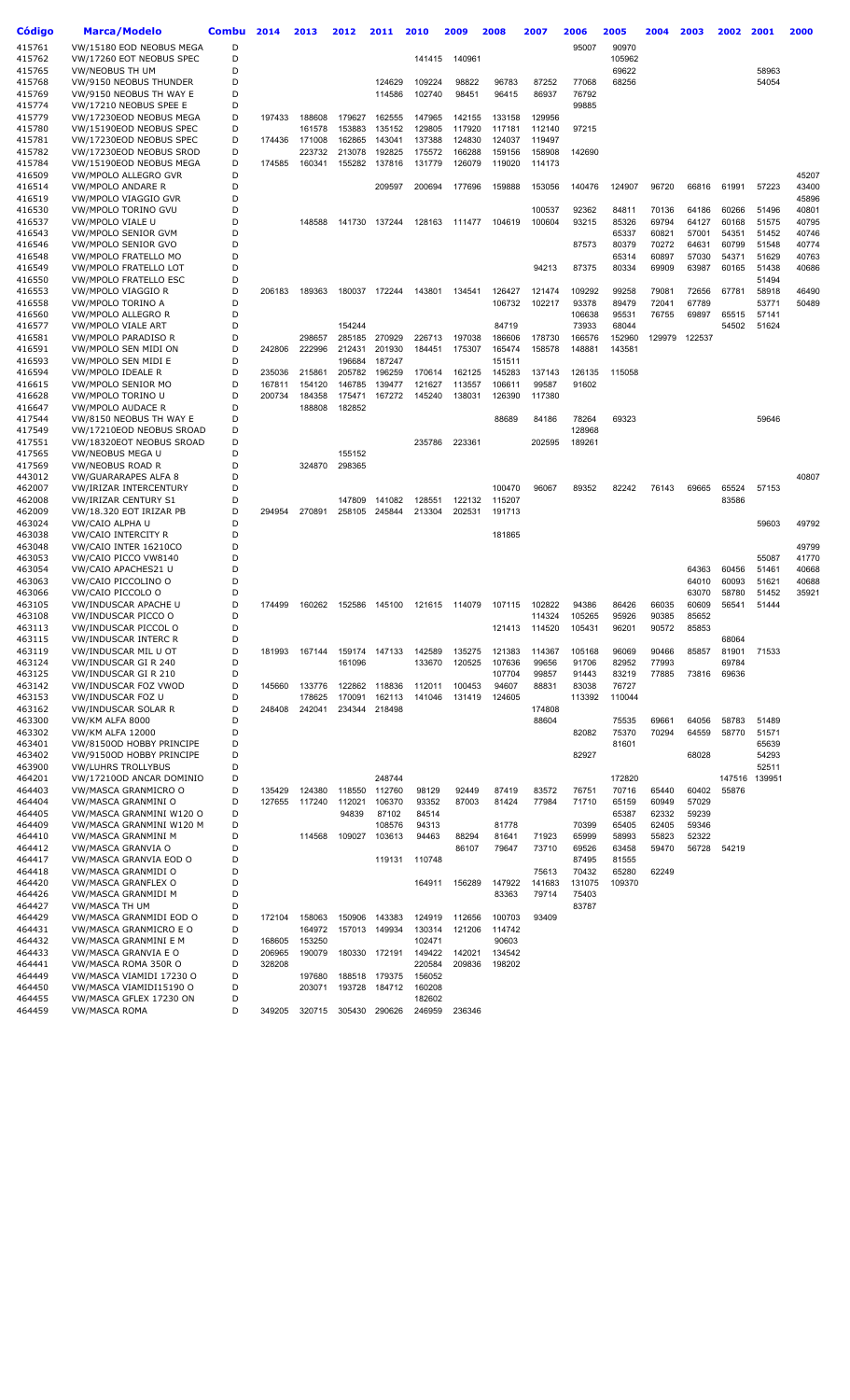| Código           | <b>Marca/Modelo</b>                            | Combu  | 2014             | 2013             | 2012             | 2011             | 2010             | 2009             | 2008             | 2007            | 2006            | 2005           | 2004           | 2003           | 2002           | 2001           | 2000           |
|------------------|------------------------------------------------|--------|------------------|------------------|------------------|------------------|------------------|------------------|------------------|-----------------|-----------------|----------------|----------------|----------------|----------------|----------------|----------------|
| 415761<br>415762 | VW/15180 EOD NEOBUS MEGA                       | D<br>D |                  |                  |                  |                  |                  |                  |                  |                 | 95007           | 90970          |                |                |                |                |                |
|                  | VW/17260 EOT NEOBUS SPEC                       | D      |                  |                  |                  |                  | 141415           | 140961           |                  |                 |                 | 105962         |                |                |                |                |                |
| 415765<br>415768 | VW/NEOBUS TH UM<br>VW/9150 NEOBUS THUNDER      | D      |                  |                  |                  | 124629           | 109224           | 98822            | 96783            | 87252           | 77068           | 69622<br>68256 |                |                |                | 58963<br>54054 |                |
| 415769           | VW/9150 NEOBUS TH WAY E                        | D      |                  |                  |                  | 114586           | 102740           | 98451            | 96415            | 86937           | 76792           |                |                |                |                |                |                |
| 415774           | VW/17210 NEOBUS SPEE E                         | D      |                  |                  |                  |                  |                  |                  |                  |                 | 99885           |                |                |                |                |                |                |
| 415779           | VW/17230EOD NEOBUS MEGA                        | D      | 197433           | 188608           | 179627           | 162555           | 147965           | 142155           | 133158           | 129956          |                 |                |                |                |                |                |                |
| 415780           | VW/15190EOD NEOBUS SPEC                        | D      |                  | 161578           | 153883           | 135152           | 129805           | 117920           | 117181           | 112140          | 97215           |                |                |                |                |                |                |
| 415781           | VW/17230EOD NEOBUS SPEC                        | D      | 174436           | 171008           | 162865           | 143041           | 137388           | 124830           | 124037           | 119497          |                 |                |                |                |                |                |                |
| 415782           | VW/17230EOD NEOBUS SROD                        | D      |                  | 223732           | 213078           | 192825           | 175572           | 166288           | 159156           | 158908          | 142690          |                |                |                |                |                |                |
| 415784           | VW/15190EOD NEOBUS MEGA                        | D      | 174585           | 160341           | 155282           | 137816           | 131779           | 126079           | 119020           | 114173          |                 |                |                |                |                |                |                |
| 416509           | VW/MPOLO ALLEGRO GVR                           | D      |                  |                  |                  |                  |                  |                  |                  |                 |                 |                |                |                |                |                | 45207          |
| 416514           | <b>VW/MPOLO ANDARE R</b>                       | D      |                  |                  |                  | 209597           | 200694           | 177696           | 159888           | 153056          | 140476          | 124907         | 96720          | 66816          | 61991          | 57223          | 43400          |
| 416519           | VW/MPOLO VIAGGIO GVR                           | D      |                  |                  |                  |                  |                  |                  |                  |                 |                 |                |                |                |                |                | 45896          |
| 416530           | VW/MPOLO TORINO GVU                            | D      |                  |                  |                  |                  |                  |                  |                  | 100537          | 92362           | 84811          | 70136          | 64186          | 60266          | 51496          | 40801          |
| 416537<br>416543 | VW/MPOLO VIALE U<br>VW/MPOLO SENIOR GVM        | D<br>D |                  | 148588           | 141730           | 137244           | 128163           | 111477           | 104619           | 100604          | 93215           | 85326<br>65337 | 69794<br>60821 | 64127<br>57001 | 60168<br>54351 | 51575<br>51452 | 40795<br>40746 |
| 416546           | VW/MPOLO SENIOR GVO                            | D      |                  |                  |                  |                  |                  |                  |                  |                 | 87573           | 80379          | 70272          | 64631          | 60799          | 51548          | 40774          |
| 416548           | VW/MPOLO FRATELLO MO                           | D      |                  |                  |                  |                  |                  |                  |                  |                 |                 | 65314          | 60897          | 57030          | 54371          | 51629          | 40763          |
| 416549           | VW/MPOLO FRATELLO LOT                          | D      |                  |                  |                  |                  |                  |                  |                  | 94213           | 87375           | 80334          | 69909          | 63987          | 60165          | 51438          | 40686          |
| 416550           | <b>VW/MPOLO FRATELLO ESC</b>                   | D      |                  |                  |                  |                  |                  |                  |                  |                 |                 |                |                |                |                | 51494          |                |
| 416553           | VW/MPOLO VIAGGIO R                             | D      | 206183           | 189363           | 180037           | 172244           | 143801           | 134541           | 126427           | 121474          | 109292          | 99258          | 79081          | 72656          | 67781          | 58918          | 46490          |
| 416558           | VW/MPOLO TORINO A                              | D      |                  |                  |                  |                  |                  |                  | 106732           | 102217          | 93378           | 89479          | 72041          | 67789          |                | 53771          | 50489          |
| 416560           | <b>VW/MPOLO ALLEGRO R</b>                      | D      |                  |                  |                  |                  |                  |                  |                  |                 | 106638          | 95531          | 76755          | 69897          | 65515          | 57141          |                |
| 416577           | <b>VW/MPOLO VIALE ART</b>                      | D      |                  |                  | 154244           |                  |                  |                  | 84719            |                 | 73933           | 68044          |                |                | 54502          | 51624          |                |
| 416581           | VW/MPOLO PARADISO R                            | D      |                  | 298657           | 285185           | 270929           | 226713           | 197038           | 186606           | 178730          | 166576          | 152960         | 129979         | 122537         |                |                |                |
| 416591           | VW/MPOLO SEN MIDI ON                           | D      | 242806           | 222996           | 212431           | 201930           | 184451           | 175307           | 165474           | 158578          | 148881          | 143581         |                |                |                |                |                |
| 416593           | VW/MPOLO SEN MIDI E                            | D      |                  |                  | 196684           | 187247           |                  |                  | 151511           |                 |                 |                |                |                |                |                |                |
| 416594<br>416615 | VW/MPOLO IDEALE R<br>VW/MPOLO SENIOR MO        | D<br>D | 235036<br>167811 | 215861<br>154120 | 205782<br>146785 | 196259<br>139477 | 170614<br>121627 | 162125<br>113557 | 145283<br>106611 | 137143<br>99587 | 126135<br>91602 | 115058         |                |                |                |                |                |
| 416628           | VW/MPOLO TORINO U                              | D      | 200734           | 184358           | 175471           | 167272           | 145240           | 138031           | 126390           | 117380          |                 |                |                |                |                |                |                |
| 416647           | <b>VW/MPOLO AUDACE R</b>                       | D      |                  | 188808           | 182852           |                  |                  |                  |                  |                 |                 |                |                |                |                |                |                |
| 417544           | VW/8150 NEOBUS TH WAY E                        | D      |                  |                  |                  |                  |                  |                  | 88689            | 84186           | 78264           | 69323          |                |                |                | 59646          |                |
| 417549           | VW/17210EOD NEOBUS SROAD                       | D      |                  |                  |                  |                  |                  |                  |                  |                 | 128968          |                |                |                |                |                |                |
| 417551           | VW/18320EOT NEOBUS SROAD                       | D      |                  |                  |                  |                  | 235786           | 223361           |                  | 202595          | 189261          |                |                |                |                |                |                |
| 417565           | VW/NEOBUS MEGA U                               | D      |                  |                  | 155152           |                  |                  |                  |                  |                 |                 |                |                |                |                |                |                |
| 417569           | VW/NEOBUS ROAD R                               | D      |                  | 324870           | 298365           |                  |                  |                  |                  |                 |                 |                |                |                |                |                |                |
| 443012           | VW/GUARARAPES ALFA 8                           | D      |                  |                  |                  |                  |                  |                  |                  |                 |                 |                |                |                |                |                | 40807          |
| 462007<br>462008 | VW/IRIZAR INTERCENTURY<br>VW/IRIZAR CENTURY S1 | D<br>D |                  |                  | 147809           | 141082           | 128551           | 122132           | 100470<br>115207 | 96067           | 89352           | 82242          | 76143          | 69665          | 65524<br>83586 | 57153          |                |
| 462009           | VW/18.320 EOT IRIZAR PB                        | D      | 294954           | 270891           | 258105           | 245844           | 213304           | 202531           | 191713           |                 |                 |                |                |                |                |                |                |
| 463024           | VW/CAIO ALPHA U                                | D      |                  |                  |                  |                  |                  |                  |                  |                 |                 |                |                |                |                | 59603          | 49792          |
| 463038           | VW/CAIO INTERCITY R                            | D      |                  |                  |                  |                  |                  |                  | 181865           |                 |                 |                |                |                |                |                |                |
| 463048           | VW/CAIO INTER 16210CO                          | D      |                  |                  |                  |                  |                  |                  |                  |                 |                 |                |                |                |                |                | 49799          |
| 463053           | VW/CAIO PICCO VW8140                           | D      |                  |                  |                  |                  |                  |                  |                  |                 |                 |                |                |                |                | 55087          | 41770          |
| 463054           | VW/CAIO APACHES21 U                            | D      |                  |                  |                  |                  |                  |                  |                  |                 |                 |                |                | 64363          | 60456          | 51461          | 40668          |
| 463063           | VW/CAIO PICCOLINO O                            | D      |                  |                  |                  |                  |                  |                  |                  |                 |                 |                |                | 64010          | 60093          | 51621          | 40688          |
| 463066           | VW/CAIO PICCOLO O<br>VW/INDUSCAR APACHE U      | D<br>D | 174499           | 160262           | 152586           | 145100           | 121615           | 114079           | 107115           | 102822          | 94386           | 86426          | 66035          | 63070<br>60609 | 58780          | 51452<br>51444 | 35921          |
| 463105<br>463108 | VW/INDUSCAR PICCO O                            | D      |                  |                  |                  |                  |                  |                  |                  | 114324          | 105265          | 95926          | 90385          | 85652          | 56541          |                |                |
| 463113           | VW/INDUSCAR PICCOL O                           | D      |                  |                  |                  |                  |                  |                  | 121413           | 114520          | 105431          | 96201          | 90572          | 85853          |                |                |                |
| 463115           | <b>VW/INDUSCAR INTERC R</b>                    | D      |                  |                  |                  |                  |                  |                  |                  |                 |                 |                |                |                | 68064          |                |                |
| 463119           | VW/INDUSCAR MIL U OT                           | D      | 181993           | 167144           | 159174           | 147133           | 142589           | 135275           | 121383           | 114367          | 105168          | 96069          | 90466          | 85857          | 81901          | 71533          |                |
| 463124           | VW/INDUSCAR GI R 240                           | D      |                  |                  | 161096           |                  | 133670           | 120525           | 107636           | 99656           | 91706           | 82952          | 77993          |                | 69784          |                |                |
| 463125           | VW/INDUSCAR GI R 210                           | D      |                  |                  |                  |                  |                  |                  | 107704           | 99857           | 91443           | 83219          | 77885          | 73816          | 69636          |                |                |
| 463142           | VW/INDUSCAR FOZ VWOD                           | D      | 145660           | 133776           | 122862           | 118836           | 112011           | 100453           | 94607            | 88831           | 83038           | 76727          |                |                |                |                |                |
| 463153           | <b>VW/INDUSCAR FOZ U</b>                       | D      |                  | 178625           | 170091           | 162113           | 141046           | 131419           | 124605           |                 | 113392          | 110044         |                |                |                |                |                |
| 463162<br>463300 | <b>VW/INDUSCAR SOLAR R</b><br>VW/KM ALFA 8000  | D<br>D | 248408           | 242041           | 234344           | 218498           |                  |                  |                  | 174808<br>88604 |                 | 75535          | 69661          | 64056          | 58783          | 51489          |                |
| 463302           | <b>VW/KM ALFA 12000</b>                        | D      |                  |                  |                  |                  |                  |                  |                  |                 | 82082           | 75370          | 70294          | 64559          | 58770          | 51571          |                |
| 463401           | VW/8150OD HOBBY PRINCIPE                       | D      |                  |                  |                  |                  |                  |                  |                  |                 |                 | 81601          |                |                |                | 65639          |                |
| 463402           | VW/9150OD HOBBY PRINCIPE                       | D      |                  |                  |                  |                  |                  |                  |                  |                 | 82927           |                |                | 68028          |                | 54293          |                |
| 463900           | <b>VW/LUHRS TROLLYBUS</b>                      | D      |                  |                  |                  |                  |                  |                  |                  |                 |                 |                |                |                |                | 52511          |                |
| 464201           | VW/17210OD ANCAR DOMINIO                       | D      |                  |                  |                  | 248744           |                  |                  |                  |                 |                 | 172820         |                |                | 147516         | 139951         |                |
| 464403           | VW/MASCA GRANMICRO O                           | D      | 135429           | 124380           | 118550           | 112760           | 98129            | 92449            | 87419            | 83572           | 76751           | 70716          | 65440          | 60402          | 55876          |                |                |
| 464404           | VW/MASCA GRANMINI O                            | D      | 127655           | 117240           | 112021           | 106370           | 93352            | 87003            | 81424            | 77984           | 71710           | 65159          | 60949          | 57029          |                |                |                |
| 464405           | VW/MASCA GRANMINI W120 O                       | D      |                  |                  | 94839            | 87102            | 84514            |                  |                  |                 |                 | 65387          | 62332          | 59239          |                |                |                |
| 464409           | VW/MASCA GRANMINI W120 M                       | D      |                  |                  |                  | 108576           | 94313            |                  | 81778            |                 | 70399           | 65405          | 62405          | 59346          |                |                |                |
| 464410           | VW/MASCA GRANMINI M<br>VW/MASCA GRANVIA O      | D<br>D |                  | 114568           | 109027           | 103613           | 94463            | 88294            | 81641            | 71923           | 65999           | 58993          | 55823          | 52322          |                |                |                |
| 464412<br>464417 | VW/MASCA GRANVIA EOD O                         | D      |                  |                  |                  | 119131           | 110748           | 86107            | 79647            | 73710           | 69526<br>87495  | 63458<br>81555 | 59470          | 56728          | 54219          |                |                |
| 464418           | VW/MASCA GRANMIDI O                            | D      |                  |                  |                  |                  |                  |                  |                  | 75613           | 70432           | 65280          | 62249          |                |                |                |                |
| 464420           | VW/MASCA GRANFLEX O                            | D      |                  |                  |                  |                  | 164911           | 156289           | 147922           | 141683          | 131075          | 109370         |                |                |                |                |                |
| 464426           | VW/MASCA GRANMIDI M                            | D      |                  |                  |                  |                  |                  |                  | 83363            | 79714           | 75403           |                |                |                |                |                |                |
| 464427           | VW/MASCA TH UM                                 | D      |                  |                  |                  |                  |                  |                  |                  |                 | 83787           |                |                |                |                |                |                |
| 464429           | VW/MASCA GRANMIDI EOD O                        | D      | 172104           | 158063           | 150906           | 143383           | 124919           | 112656           | 100703           | 93409           |                 |                |                |                |                |                |                |
| 464431           | VW/MASCA GRANMICRO E O                         | D      |                  | 164972           | 157013           | 149934           | 130314           | 121206           | 114742           |                 |                 |                |                |                |                |                |                |
| 464432           | VW/MASCA GRANMINI E M                          | D      | 168605           | 153250           |                  |                  | 102471           |                  | 90603            |                 |                 |                |                |                |                |                |                |
| 464433<br>464441 | VW/MASCA GRANVIA E O<br>VW/MASCA ROMA 350R O   | D<br>D | 206965<br>328208 | 190079           | 180330           | 172191           | 149422<br>220584 | 142021<br>209836 | 134542<br>198202 |                 |                 |                |                |                |                |                |                |
| 464449           | VW/MASCA VIAMIDI 17230 O                       | D      |                  | 197680           | 188518           | 179375           | 156052           |                  |                  |                 |                 |                |                |                |                |                |                |
| 464450           | VW/MASCA VIAMIDI15190 O                        | D      |                  | 203071           | 193728           | 184712           | 160208           |                  |                  |                 |                 |                |                |                |                |                |                |
| 464455           | VW/MASCA GFLEX 17230 ON                        | D      |                  |                  |                  |                  | 182602           |                  |                  |                 |                 |                |                |                |                |                |                |
| 464459           | <b>VW/MASCA ROMA</b>                           | D      | 349205           | 320715           | 305430           | 290626           | 246959           | 236346           |                  |                 |                 |                |                |                |                |                |                |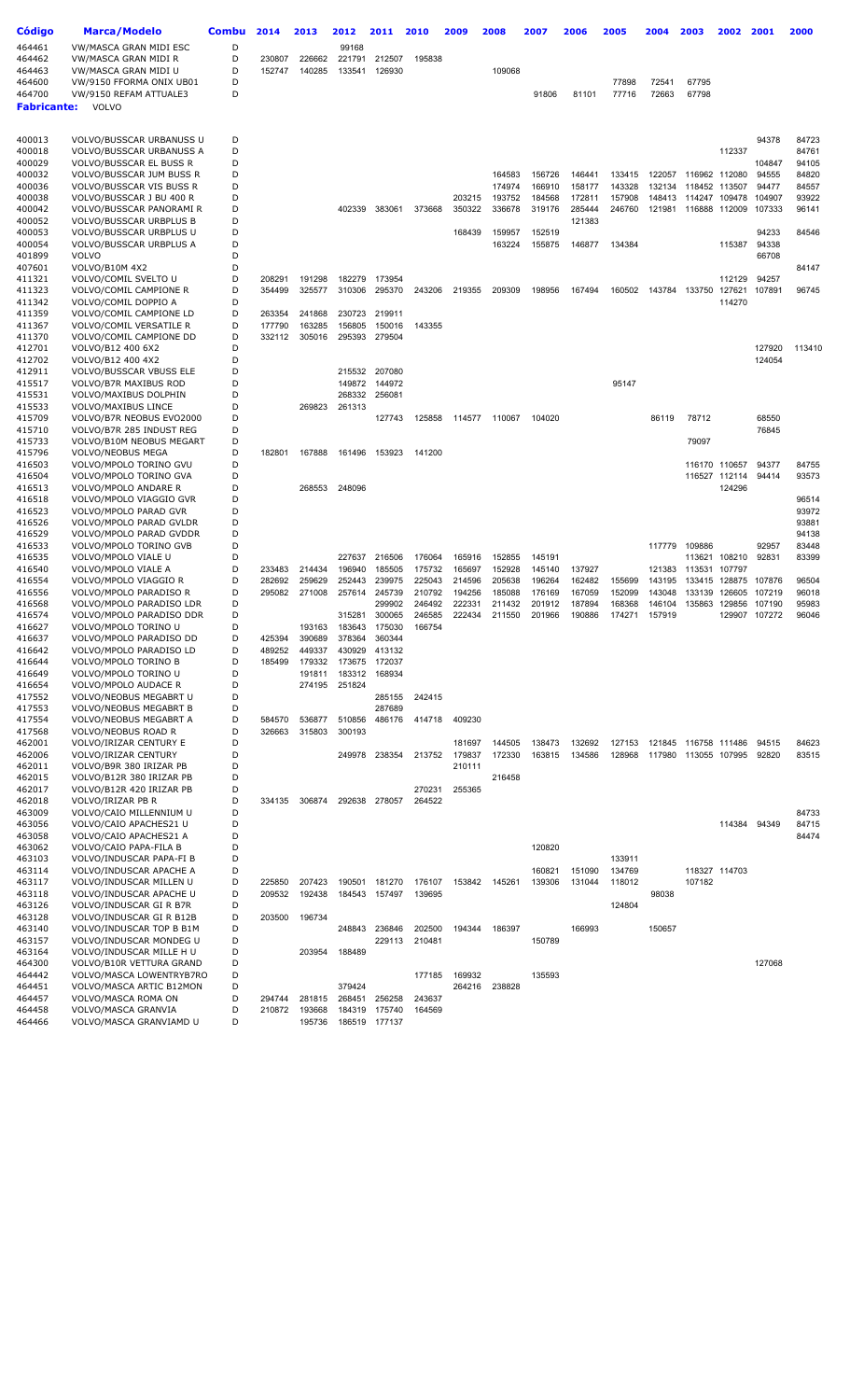| <b>Código</b>      | <b>Marca/Modelo</b>                                  | Combu  | 2014             | 2013             | 2012             | 2011             | 2010             | 2009             | 2008             | 2007             | 2006             | 2005             | 2004             | 2003                 | 2002                           | 2001             | 2000           |
|--------------------|------------------------------------------------------|--------|------------------|------------------|------------------|------------------|------------------|------------------|------------------|------------------|------------------|------------------|------------------|----------------------|--------------------------------|------------------|----------------|
| 464461             | VW/MASCA GRAN MIDI ESC                               | D      |                  |                  | 99168            |                  |                  |                  |                  |                  |                  |                  |                  |                      |                                |                  |                |
| 464462             | VW/MASCA GRAN MIDI R                                 | D      | 230807           | 226662           | 221791           | 212507           | 195838           |                  |                  |                  |                  |                  |                  |                      |                                |                  |                |
| 464463             | VW/MASCA GRAN MIDI U                                 | D      | 152747           | 140285           | 133541           | 126930           |                  |                  | 109068           |                  |                  |                  |                  |                      |                                |                  |                |
| 464600<br>464700   | VW/9150 FFORMA ONIX UB01                             | D<br>D |                  |                  |                  |                  |                  |                  |                  |                  |                  | 77898            | 72541<br>72663   | 67795                |                                |                  |                |
| <b>Fabricante:</b> | VW/9150 REFAM ATTUALE3<br>VOLVO                      |        |                  |                  |                  |                  |                  |                  |                  | 91806            | 81101            | 77716            |                  | 67798                |                                |                  |                |
|                    |                                                      |        |                  |                  |                  |                  |                  |                  |                  |                  |                  |                  |                  |                      |                                |                  |                |
|                    |                                                      |        |                  |                  |                  |                  |                  |                  |                  |                  |                  |                  |                  |                      |                                |                  |                |
| 400013<br>400018   | VOLVO/BUSSCAR URBANUSS U<br>VOLVO/BUSSCAR URBANUSS A | D<br>D |                  |                  |                  |                  |                  |                  |                  |                  |                  |                  |                  |                      | 112337                         | 94378            | 84723<br>84761 |
| 400029             | VOLVO/BUSSCAR EL BUSS R                              | D      |                  |                  |                  |                  |                  |                  |                  |                  |                  |                  |                  |                      |                                | 104847           | 94105          |
| 400032             | VOLVO/BUSSCAR JUM BUSS R                             | D      |                  |                  |                  |                  |                  |                  | 164583           | 156726           | 146441           | 133415           | 122057           |                      | 116962 112080                  | 94555            | 84820          |
| 400036             | VOLVO/BUSSCAR VIS BUSS R                             | D      |                  |                  |                  |                  |                  |                  | 174974           | 166910           | 158177           | 143328           | 132134           |                      | 118452 113507                  | 94477            | 84557          |
| 400038             | VOLVO/BUSSCAR J BU 400 R                             | D<br>D |                  |                  |                  |                  |                  | 203215           | 193752           | 184568           | 172811           | 157908           | 148413           |                      | 114247 109478                  | 104907           | 93922          |
| 400042<br>400052   | VOLVO/BUSSCAR PANORAMI R<br>VOLVO/BUSSCAR URBPLUS B  | D      |                  |                  | 402339           | 383061           | 373668           | 350322           | 336678           | 319176           | 285444<br>121383 | 246760           |                  | 121981 116888 112009 |                                | 107333           | 96141          |
| 400053             | VOLVO/BUSSCAR URBPLUS U                              | D      |                  |                  |                  |                  |                  | 168439           | 159957           | 152519           |                  |                  |                  |                      |                                | 94233            | 84546          |
| 400054             | VOLVO/BUSSCAR URBPLUS A                              | D      |                  |                  |                  |                  |                  |                  | 163224           | 155875           | 146877           | 134384           |                  |                      | 115387                         | 94338            |                |
| 401899             | <b>VOLVO</b>                                         | D      |                  |                  |                  |                  |                  |                  |                  |                  |                  |                  |                  |                      |                                | 66708            |                |
| 407601<br>411321   | VOLVO/B10M 4X2<br>VOLVO/COMIL SVELTO U               | D<br>D | 208291           | 191298           | 182279           | 173954           |                  |                  |                  |                  |                  |                  |                  |                      | 112129                         | 94257            | 84147          |
| 411323             | VOLVO/COMIL CAMPIONE R                               | D      | 354499           | 325577           | 310306           | 295370           | 243206           | 219355           | 209309           | 198956           | 167494           | 160502           |                  | 143784 133750        | 127621                         | 107891           | 96745          |
| 411342             | VOLVO/COMIL DOPPIO A                                 | D      |                  |                  |                  |                  |                  |                  |                  |                  |                  |                  |                  |                      | 114270                         |                  |                |
| 411359             | VOLVO/COMIL CAMPIONE LD                              | D      | 263354           | 241868           | 230723           | 219911           |                  |                  |                  |                  |                  |                  |                  |                      |                                |                  |                |
| 411367             | VOLVO/COMIL VERSATILE R                              | D      | 177790           | 163285           | 156805           | 150016           | 143355           |                  |                  |                  |                  |                  |                  |                      |                                |                  |                |
| 411370<br>412701   | VOLVO/COMIL CAMPIONE DD<br>VOLVO/B12 400 6X2         | D<br>D | 332112           | 305016           | 295393           | 279504           |                  |                  |                  |                  |                  |                  |                  |                      |                                | 127920           | 113410         |
| 412702             | VOLVO/B12 400 4X2                                    | D      |                  |                  |                  |                  |                  |                  |                  |                  |                  |                  |                  |                      |                                | 124054           |                |
| 412911             | VOLVO/BUSSCAR VBUSS ELE                              | D      |                  |                  | 215532           | 207080           |                  |                  |                  |                  |                  |                  |                  |                      |                                |                  |                |
| 415517             | VOLVO/B7R MAXIBUS ROD                                | D      |                  |                  | 149872           | 144972           |                  |                  |                  |                  |                  | 95147            |                  |                      |                                |                  |                |
| 415531             | VOLVO/MAXIBUS DOLPHIN                                | D      |                  |                  | 268332           | 256081           |                  |                  |                  |                  |                  |                  |                  |                      |                                |                  |                |
| 415533<br>415709   | VOLVO/MAXIBUS LINCE<br>VOLVO/B7R NEOBUS EVO2000      | D<br>D |                  | 269823           | 261313           | 127743           | 125858           | 114577           | 110067           | 104020           |                  |                  | 86119            | 78712                |                                | 68550            |                |
| 415710             | VOLVO/B7R 285 INDUST REG                             | D      |                  |                  |                  |                  |                  |                  |                  |                  |                  |                  |                  |                      |                                | 76845            |                |
| 415733             | VOLVO/B10M NEOBUS MEGART                             | D      |                  |                  |                  |                  |                  |                  |                  |                  |                  |                  |                  | 79097                |                                |                  |                |
| 415796             | <b>VOLVO/NEOBUS MEGA</b>                             | D      | 182801           | 167888           | 161496           | 153923           | 141200           |                  |                  |                  |                  |                  |                  |                      |                                |                  |                |
| 416503             | VOLVO/MPOLO TORINO GVU                               | D<br>D |                  |                  |                  |                  |                  |                  |                  |                  |                  |                  |                  |                      | 116170 110657<br>116527 112114 | 94377<br>94414   | 84755          |
| 416504<br>416513   | VOLVO/MPOLO TORINO GVA<br>VOLVO/MPOLO ANDARE R       | D      |                  | 268553           | 248096           |                  |                  |                  |                  |                  |                  |                  |                  |                      | 124296                         |                  | 93573          |
| 416518             | VOLVO/MPOLO VIAGGIO GVR                              | D      |                  |                  |                  |                  |                  |                  |                  |                  |                  |                  |                  |                      |                                |                  | 96514          |
| 416523             | VOLVO/MPOLO PARAD GVR                                | D      |                  |                  |                  |                  |                  |                  |                  |                  |                  |                  |                  |                      |                                |                  | 93972          |
| 416526             | VOLVO/MPOLO PARAD GVLDR                              | D      |                  |                  |                  |                  |                  |                  |                  |                  |                  |                  |                  |                      |                                |                  | 93881          |
| 416529<br>416533   | VOLVO/MPOLO PARAD GVDDR<br>VOLVO/MPOLO TORINO GVB    | D<br>D |                  |                  |                  |                  |                  |                  |                  |                  |                  |                  | 117779           | 109886               |                                | 92957            | 94138<br>83448 |
| 416535             | VOLVO/MPOLO VIALE U                                  | D      |                  |                  | 227637           | 216506           | 176064           | 165916           | 152855           | 145191           |                  |                  |                  | 113621               | 108210                         | 92831            | 83399          |
| 416540             | VOLVO/MPOLO VIALE A                                  | D      | 233483           | 214434           | 196940           | 185505           | 175732           | 165697           | 152928           | 145140           | 137927           |                  | 121383           | 113531 107797        |                                |                  |                |
| 416554             | VOLVO/MPOLO VIAGGIO R                                | D      | 282692           | 259629           | 252443           | 239975           | 225043           | 214596           | 205638           | 196264           | 162482           | 155699           | 143195           |                      | 133415 128875                  | 107876           | 96504          |
| 416556             | VOLVO/MPOLO PARADISO R                               | D<br>D | 295082           | 271008           | 257614           | 245739           | 210792           | 194256           | 185088           | 176169           | 167059           | 152099           | 143048           | 133139               | 126605                         | 107219           | 96018          |
| 416568<br>416574   | VOLVO/MPOLO PARADISO LDR<br>VOLVO/MPOLO PARADISO DDR | D      |                  |                  | 315281           | 299902<br>300065 | 246492<br>246585 | 222331<br>222434 | 211432<br>211550 | 201912<br>201966 | 187894<br>190886 | 168368<br>174271 | 146104<br>157919 | 135863               | 129856<br>129907               | 107190<br>107272 | 95983<br>96046 |
| 416627             | VOLVO/MPOLO TORINO U                                 | D      |                  | 193163           | 183643           | 175030           | 166754           |                  |                  |                  |                  |                  |                  |                      |                                |                  |                |
| 416637             | VOLVO/MPOLO PARADISO DD                              | D      | 425394           | 390689           | 378364           | 360344           |                  |                  |                  |                  |                  |                  |                  |                      |                                |                  |                |
| 416642             | VOLVO/MPOLO PARADISO LD                              | D      | 489252           | 449337           | 430929           | 413132           |                  |                  |                  |                  |                  |                  |                  |                      |                                |                  |                |
| 416644<br>416649   | VOLVO/MPOLO TORINO B<br>VOLVO/MPOLO TORINO U         | D<br>D | 185499           | 179332<br>191811 | 173675<br>183312 | 172037<br>168934 |                  |                  |                  |                  |                  |                  |                  |                      |                                |                  |                |
| 416654             | <b>VOLVO/MPOLO AUDACE R</b>                          | D      |                  | 274195           | 251824           |                  |                  |                  |                  |                  |                  |                  |                  |                      |                                |                  |                |
| 417552             | VOLVO/NEOBUS MEGABRT U                               | D      |                  |                  |                  | 285155           | 242415           |                  |                  |                  |                  |                  |                  |                      |                                |                  |                |
| 417553             | <b>VOLVO/NEOBUS MEGABRT B</b>                        | D      |                  |                  |                  | 287689           |                  |                  |                  |                  |                  |                  |                  |                      |                                |                  |                |
| 417554<br>417568   | VOLVO/NEOBUS MEGABRT A<br>VOLVO/NEOBUS ROAD R        | D<br>D | 584570<br>326663 | 536877<br>315803 | 510856<br>300193 | 486176           | 414718           | 409230           |                  |                  |                  |                  |                  |                      |                                |                  |                |
| 462001             | VOLVO/IRIZAR CENTURY E                               | D      |                  |                  |                  |                  |                  | 181697           | 144505           | 138473           | 132692           | 127153           |                  | 121845 116758 111486 |                                | 94515            | 84623          |
| 462006             | VOLVO/IRIZAR CENTURY                                 | D      |                  |                  | 249978           | 238354           | 213752           | 179837           | 172330           | 163815           | 134586           | 128968           |                  | 117980 113055 107995 |                                | 92820            | 83515          |
| 462011             | VOLVO/B9R 380 IRIZAR PB                              | D      |                  |                  |                  |                  |                  | 210111           |                  |                  |                  |                  |                  |                      |                                |                  |                |
| 462015             | VOLVO/B12R 380 IRIZAR PB                             | D      |                  |                  |                  |                  |                  |                  | 216458           |                  |                  |                  |                  |                      |                                |                  |                |
| 462017<br>462018   | VOLVO/B12R 420 IRIZAR PB<br>VOLVO/IRIZAR PB R        | D<br>D | 334135           | 306874           | 292638           | 278057           | 270231<br>264522 | 255365           |                  |                  |                  |                  |                  |                      |                                |                  |                |
| 463009             | VOLVO/CAIO MILLENNIUM U                              | D      |                  |                  |                  |                  |                  |                  |                  |                  |                  |                  |                  |                      |                                |                  | 84733          |
| 463056             | VOLVO/CAIO APACHES21 U                               | D      |                  |                  |                  |                  |                  |                  |                  |                  |                  |                  |                  |                      | 114384                         | 94349            | 84715          |
| 463058             | VOLVO/CAIO APACHES21 A                               | D      |                  |                  |                  |                  |                  |                  |                  |                  |                  |                  |                  |                      |                                |                  | 84474          |
| 463062<br>463103   | VOLVO/CAIO PAPA-FILA B<br>VOLVO/INDUSCAR PAPA-FI B   | D<br>D |                  |                  |                  |                  |                  |                  |                  | 120820           |                  | 133911           |                  |                      |                                |                  |                |
| 463114             | VOLVO/INDUSCAR APACHE A                              | D      |                  |                  |                  |                  |                  |                  |                  | 160821           | 151090           | 134769           |                  |                      | 118327 114703                  |                  |                |
| 463117             | VOLVO/INDUSCAR MILLEN U                              | D      | 225850           | 207423           | 190501           | 181270           | 176107           | 153842           | 145261           | 139306           | 131044           | 118012           |                  | 107182               |                                |                  |                |
| 463118             | VOLVO/INDUSCAR APACHE U                              | D      | 209532           | 192438           | 184543           | 157497           | 139695           |                  |                  |                  |                  |                  | 98038            |                      |                                |                  |                |
| 463126             | VOLVO/INDUSCAR GI R B7R                              | D      |                  |                  |                  |                  |                  |                  |                  |                  |                  | 124804           |                  |                      |                                |                  |                |
| 463128<br>463140   | VOLVO/INDUSCAR GI R B12B<br>VOLVO/INDUSCAR TOP B B1M | D<br>D | 203500           | 196734           | 248843           | 236846           | 202500           | 194344           | 186397           |                  | 166993           |                  | 150657           |                      |                                |                  |                |
| 463157             | VOLVO/INDUSCAR MONDEG U                              | D      |                  |                  |                  | 229113           | 210481           |                  |                  | 150789           |                  |                  |                  |                      |                                |                  |                |
| 463164             | VOLVO/INDUSCAR MILLE H U                             | D      |                  | 203954           | 188489           |                  |                  |                  |                  |                  |                  |                  |                  |                      |                                |                  |                |
| 464300             | VOLVO/B10R VETTURA GRAND                             | D      |                  |                  |                  |                  |                  |                  |                  |                  |                  |                  |                  |                      |                                | 127068           |                |
| 464442<br>464451   | VOLVO/MASCA LOWENTRYB7RO<br>VOLVO/MASCA ARTIC B12MON | D<br>D |                  |                  | 379424           |                  | 177185           | 169932<br>264216 | 238828           | 135593           |                  |                  |                  |                      |                                |                  |                |
| 464457             | VOLVO/MASCA ROMA ON                                  | D      | 294744           | 281815           | 268451           | 256258           | 243637           |                  |                  |                  |                  |                  |                  |                      |                                |                  |                |
| 464458             | VOLVO/MASCA GRANVIA                                  | D      | 210872           | 193668           | 184319           | 175740           | 164569           |                  |                  |                  |                  |                  |                  |                      |                                |                  |                |
| 464466             | VOLVO/MASCA GRANVIAMD U                              | D      |                  | 195736           |                  | 186519 177137    |                  |                  |                  |                  |                  |                  |                  |                      |                                |                  |                |